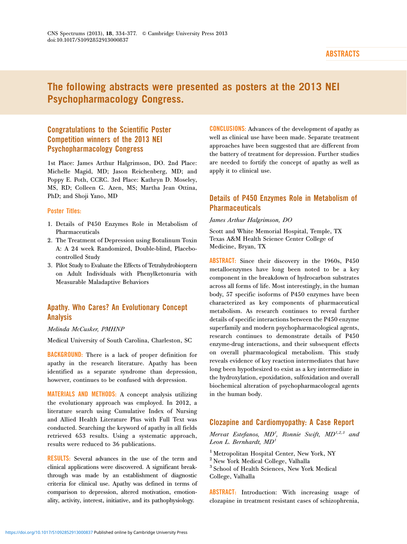ABSTRACTS

# The following abstracts were presented as posters at the 2013 NEI Psychopharmacology Congress.

## Congratulations to the Scientific Poster Competition winners of the 2013 NEI Psychopharmacology Congress

1st Place: James Arthur Halgrimson, DO. 2nd Place: Michelle Magid, MD; Jason Reichenberg, MD; and Poppy E. Poth, CCRC. 3rd Place: Kathryn D. Moseley, MS, RD; Colleen G. Azen, MS; Martha Jean Ottina, PhD; and Shoji Yano, MD

#### Poster Titles:

- 1. Details of P450 Enzymes Role in Metabolism of Pharmaceuticals
- 2. The Treatment of Depression using Botulinum Toxin A: A 24 week Randomized, Double-blind, Placebocontrolled Study
- 3. Pilot Study to Evaluate the Effects of Tetrahydrobioptern on Adult Individuals with Phenylketonuria with Measurable Maladaptive Behaviors

## Apathy. Who Cares? An Evolutionary Concept Analysis

#### Melinda McCusker, PMHNP

Medical University of South Carolina, Charleston, SC

BACKGROUND: There is a lack of proper definition for apathy in the research literature. Apathy has been identified as a separate syndrome than depression, however, continues to be confused with depression.

MATERIALS AND METHODS: A concept analysis utilizing the evolutionary approach was employed. In 2012, a literature search using Cumulative Index of Nursing and Allied Health Literature Plus with Full Text was conducted. Searching the keyword of apathy in all fields retrieved 653 results. Using a systematic approach, results were reduced to 36 publications.

**RESULTS:** Several advances in the use of the term and clinical applications were discovered. A significant breakthrough was made by an establishment of diagnostic criteria for clinical use. Apathy was defined in terms of comparison to depression, altered motivation, emotionality, activity, interest, initiative, and its pathophysiology.

CONCLUSIONS: Advances of the development of apathy as well as clinical use have been made. Separate treatment approaches have been suggested that are different from the battery of treatment for depression. Further studies are needed to fortify the concept of apathy as well as apply it to clinical use.

## Details of P450 Enzymes Role in Metabolism of **Pharmaceuticals**

#### James Arthur Halgrimson, DO

Scott and White Memorial Hospital, Temple, TX Texas A&M Health Science Center College of Medicine, Bryan, TX

ABSTRACT: Since their discovery in the 1960s, P450 metalloenzymes have long been noted to be a key component in the breakdown of hydrocarbon substrates across all forms of life. Most interestingly, in the human body, 57 specific isoforms of P450 enzymes have been characterized as key components of pharmaceutical metabolism. As research continues to reveal further details of specific interactions between the P450 enzyme superfamily and modern psychopharmacological agents, research continues to demonstrate details of P450 enzyme-drug interactions, and their subsequent effects on overall pharmacological metabolism. This study reveals evidence of key reaction intermediates that have long been hypothesized to exist as a key intermediate in the hydroxylation, epoxidation, sulfoxidation and overall biochemical alteration of psychopharmacologcal agents in the human body.

## Clozapine and Cardiomyopathy: A Case Report

Mervat Estefanos, MD<sup>1</sup>, Ronnie Swift, MD<sup>1,2,3</sup> and Leon L. Bernhardt, MD<sup>1</sup>

<sup>1</sup> Metropolitan Hospital Center, New York, NY

<sup>2</sup> New York Medical College, Valhalla

<sup>3</sup> School of Health Sciences, New York Medical College, Valhalla

ABSTRACT: Introduction: With increasing usage of clozapine in treatment resistant cases of schizophrenia,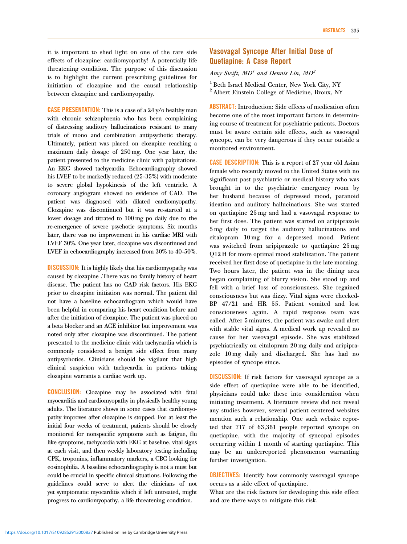it is important to shed light on one of the rare side effects of clozapine: cardiomyopathy! A potentially life threatening condition. The purpose of this discussion is to highlight the current prescribing guidelines for initiation of clozapine and the causal relationship between clozapine and cardiomyopathy.

CASE PRESENTATION: This is a case of a 24 y/o healthy man with chronic schizophrenia who has been complaining of distressing auditory hallucinations resistant to many trials of mono and combination antipsychotic therapy. Ultimately, patient was placed on clozapine reaching a maximum daily dosage of 250 mg. One year later, the patient presented to the medicine clinic with palpitations. An EKG showed tachycardia. Echocardiography showed his LVEF to be markedly reduced (25–35%) with moderate to severe global hypokinesis of the left ventricle. A coronary angiogram showed no evidence of CAD. The patient was diagnosed with dilated cardiomyopathy. Clozapine was discontinued but it was re-started at a lower dosage and titrated to 100 mg po daily due to the re-emergence of severe psychotic symptoms. Six months later, there was no improvement in his cardiac MRI with LVEF 30%. One year later, clozapine was discontinued and LVEF in echocardiography increased from 30% to 40–50%.

**DISCUSSION:** It is highly likely that his cardiomyopathy was caused by clozapine .There was no family history of heart disease. The patient has no CAD risk factors. His EKG prior to clozapine initiation was normal. The patient did not have a baseline echocardiogram which would have been helpful in comparing his heart condition before and after the initiation of clozapine. The patient was placed on a beta blocker and an ACE inhibitor but improvement was noted only after clozapine was discontinued. The patient presented to the medicine clinic with tachycardia which is commonly considered a benign side effect from many antipsychotics. Clinicians should be vigilant that high clinical suspicion with tachycardia in patients taking clozapine warrants a cardiac work up.

CONCLUSION: Clozapine may be associated with fatal myocarditis and cardiomyopathy in physically healthy young adults. The literature shows in some cases that cardiomyopathy improves after clozapine is stopped. For at least the initial four weeks of treatment, patients should be closely monitored for nonspecific symptoms such as fatigue, flu like symptoms, tachycardia with EKG at baseline, vital signs at each visit, and then weekly laboratory testing including CPK, troponins, inflammatory markers, a CBC looking for eosinophilia. A baseline echocardiography is not a must but could be crucial in specific clinical situations. Following the guidelines could serve to alert the clinicians of not yet symptomatic myocarditis which if left untreated, might progress to cardiomyopathy, a life threatening condition.

## Vasovagal Syncope After Initial Dose of Quetiapine: A Case Report

Amy Swift,  $MD<sup>1</sup>$  and Dennis Lin,  $MD<sup>2</sup>$ 

<sup>1</sup> Beth Israel Medical Center, New York City, NY

<sup>2</sup> Albert Einstein College of Medicine, Bronx, NY

ABSTRACT: Introduction: Side effects of medication often become one of the most important factors in determining course of treatment for psychiatric patients. Doctors must be aware certain side effects, such as vasovagal syncope, can be very dangerous if they occur outside a monitored environment.

CASE DESCRIPTION: This is a report of 27 year old Asian female who recently moved to the United States with no significant past psychiatric or medical history who was brought in to the psychiatric emergency room by her husband because of depressed mood, paranoid ideation and auditory hallucinations. She was started on quetiapine 25 mg and had a vasovagal response to her first dose. The patient was started on aripiprazole 5 mg daily to target the auditory hallucinations and citalopram 10 mg for a depressed mood. Patient was switched from aripiprazole to quetiapine 25 mg Q12 H for more optimal mood stabilization. The patient received her first dose of quetiapine in the late morning. Two hours later, the patient was in the dining area began complaining of blurry vision. She stood up and fell with a brief loss of consciousness. She regained consciousness but was dizzy. Vital signs were checked-BP 47/21 and HR 55. Patient vomited and lost consciousness again. A rapid response team was called. After 5 minutes, the patient was awake and alert with stable vital signs. A medical work up revealed no cause for her vasovagal episode. She was stabilized psychiatrically on citalopram 20 mg daily and aripiprazole 10 mg daily and discharged. She has had no episodes of syncope since.

DISCUSSION: If risk factors for vasovagal syncope as a side effect of quetiapine were able to be identified, physicians could take these into consideration when initiating treatment. A literature review did not reveal any studies however, several patient centered websites mention such a relationship. One such website reported that 717 of 63,381 people reported syncope on quetiapine, with the majority of syncopal episodes occurring within 1 month of starting quetiapine. This may be an underreported phenomenon warranting further investigation.

**OBJECTIVES:** Identify how commonly vasovagal syncope occurs as a side effect of quetiapine.

What are the risk factors for developing this side effect and are there ways to mitigate this risk.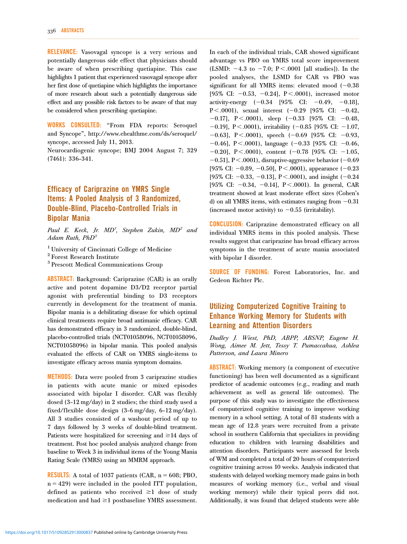RELEVANCE: Vasovagal syncope is a very serious and potentially dangerous side effect that physicians should be aware of when prescribing quetiapine. This case highlights 1 patient that experienced vasovagal syncope after her first dose of quetiapine which highlights the importance of more research about such a potentially dangerous side effect and any possible risk factors to be aware of that may be considered when prescribing quetiapine.

WORKS CONSULTED: "From FDA reports: Seroquel and Syncope'', http://www.ehealthme.com/ds/seroquel/ syncope, accessed July 11, 2013.

Neurocardiogenic syncope; BMJ 2004 August 7; 329 (7461): 336–341.

## Efficacy of Cariprazine on YMRS Single Items: A Pooled Analysis of 3 Randomized, Double-Blind, Placebo-Controlled Trials in Bipolar Mania

Paul E. Keck, Jr. MD<sup>1</sup>, Stephen Zukin, MD<sup>2</sup> and  $Adam$  Ruth,  $PhD<sup>3</sup>$ 

<sup>1</sup> University of Cincinnati College of Medicine

 $^2$  Forest Research Institute  $\,$ 

<sup>3</sup> Prescott Medical Communications Group

**ABSTRACT:** Background: Cariprazine (CAR) is an orally active and potent dopamine D3/D2 receptor partial agonist with preferential binding to D3 receptors currently in development for the treatment of mania. Bipolar mania is a debilitating disease for which optimal clinical treatments require broad antimanic efficacy. CAR has demonstrated efficacy in 3 randomized, double-blind, placebo-controlled trials (NCT01058096, NCT01058096, NCT01058096) in bipolar mania. This pooled analysis evaluated the effects of CAR on YMRS single-items to investigate efficacy across mania symptom domains.

METHODS: Data were pooled from 3 cariprazine studies in patients with acute manic or mixed episodes associated with bipolar I disorder. CAR was flexibly dosed (3–12 mg/day) in 2 studies; the third study used a fixed/flexible dose design (3–6 mg/day, 6–12 mg/day). All 3 studies consisted of a washout period of up to 7 days followed by 3 weeks of double-blind treatment. Patients were hospitalized for screening and  $\geq 14$  days of treatment. Post hoc pooled analysis analyzed change from baseline to Week 3 in individual items of the Young Mania Rating Scale (YMRS) using an MMRM approach.

**RESULTS:** A total of 1037 patients (CAR,  $n = 608$ ; PBO,  $n = 429$ ) were included in the pooled ITT population, defined as patients who received  $\geq 1$  dose of study medication and had  $\geq$ 1 postbaseline YMRS assessment.

In each of the individual trials, CAR showed significant advantage vs PBO on YMRS total score improvement (LSMD:  $-4.3$  to  $-7.0$ ; P <.0001 [all studies]). In the pooled analyses, the LSMD for CAR vs PBO was significant for all YMRS items: elevated mood  $(-0.38$ [95% CI:  $-0.53$ ,  $-0.24$ ], P <.0001), increased motor activity-energy  $(-0.34 \quad [95\% \quad \text{CI:} \quad -0.49, \quad -0.18],$ P <.0001), sexual interest  $(-0.29)$  [95% CI:  $-0.42$ ,  $-0.17$ ], P < 0.001), sleep  $(-0.33 \, 195\% \, \text{CI:} \, -0.48,$  $-0.19$ ], P <.0001), irritability ( $-0.85$  [95% CI:  $-1.07$ ,  $-0.63$ ], P < 0.001), speech (-0.69 [95% CI: -0.93,  $-0.46$ ], P <.0001), language  $(-0.33 \, [95\% \, CI: \, -0.46,$  $-0.20$ ], P < 0.001), content (-0.78 [95% CI: -1.05,  $-0.51$ ], P <.0001), disruptive-aggressive behavior (-0.69 [95% CI:  $-0.89, -0.50$ ], P <.0001), appearance (-0.23 [95% CI:  $-0.33$ ,  $-0.13$ ], P <.0001), and insight (-0.24 [95% CI:  $-0.34$ ,  $-0.14$ ], P <.0001). In general, CAR treatment showed at least moderate effect sizes (Cohen's d) on all YMRS items, with estimates ranging from  $-0.31$ (increased motor activity) to  $-0.55$  (irritability).

CONCLUSION: Cariprazine demonstrated efficacy on all individual YMRS items in this pooled analysis. These results suggest that cariprazine has broad efficacy across symptoms in the treatment of acute mania associated with bipolar I disorder.

SOURCE OF FUNDING: Forest Laboratories, Inc. and Gedeon Richter Plc.

## Utilizing Computerized Cognitive Training to Enhance Working Memory for Students with Learning and Attention Disorders

Dudley J. Wiest, PhD, ABPP, ABSNP, Eugene H. Wong, Aimee M. Jett, Tessy T. Pumaccahua, Ashlea Patterson, and Laura Minero

ABSTRACT: Working memory (a component of executive functioning) has been well documented as a significant predictor of academic outcomes (e.g., reading and math achievement as well as general life outcomes). The purpose of this study was to investigate the effectiveness of computerized cognitive training to improve working memory in a school setting. A total of 81 students with a mean age of 12.8 years were recruited from a private school in southern California that specializes in providing education to children with learning disabilities and attention disorders. Participants were assessed for levels of WM and completed a total of 20 hours of computerized cognitive training across 10 weeks. Analysis indicated that students with delayed working memory made gains in both measures of working memory (i.e., verbal and visual working memory) while their typical peers did not. Additionally, it was found that delayed students were able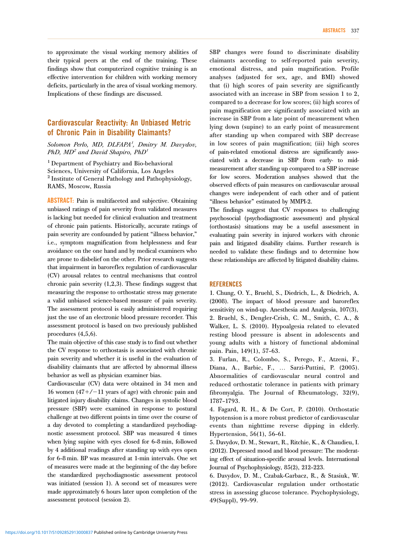to approximate the visual working memory abilities of their typical peers at the end of the training. These findings show that computerized cognitive training is an effective intervention for children with working memory deficits, particularly in the area of visual working memory. Implications of these findings are discussed.

## Cardiovascular Reactivity: An Unbiased Metric of Chronic Pain in Disability Claimants?

#### Solomon Perlo, MD, DLFAPA<sup>1</sup>, Dmitry M. Davydov, PhD, MD<sup>2</sup> and David Shapiro, PhD<sup>1</sup>

<sup>1</sup> Department of Psychiatry and Bio-behavioral Sciences, University of California, Los Angeles <sup>2</sup> Institute of General Pathology and Pathophysiology, RAMS, Moscow, Russia

**ABSTRACT:** Pain is multifaceted and subjective. Obtaining unbiased ratings of pain severity from validated measures is lacking but needed for clinical evaluation and treatment of chronic pain patients. Historically, accurate ratings of pain severity are confounded by patient "illness behavior," i.e., symptom magnification from helplessness and fear avoidance on the one hand and by medical examiners who are prone to disbelief on the other. Prior research suggests that impairment in baroreflex regulation of cardiovascular (CV) arousal relates to central mechanisms that control chronic pain severity (1,2,3). These findings suggest that measuring the response to orthostatic stress may generate a valid unbiased science-based measure of pain severity. The assessment protocol is easily administered requiring just the use of an electronic blood pressure recorder. This assessment protocol is based on two previously published procedures (4,5,6).

The main objective of this case study is to find out whether the CV response to orthostasis is associated with chronic pain severity and whether it is useful in the evaluation of disability claimants that are affected by abnormal illness behavior as well as physician examiner bias.

Cardiovascular (CV) data were obtained in 34 men and 16 women  $(47+/-11)$  years of age) with chronic pain and litigated injury disability claims. Changes in systolic blood pressure (SBP) were examined in response to postural challenge at two different points in time over the course of a day devoted to completing a standardized psychodiagnostic assessment protocol. SBP was measured 4 times when lying supine with eyes closed for 6–8 min, followed by 4 additional readings after standing up with eyes open for 6–8 min. BP was measured at 1-min intervals. One set of measures were made at the beginning of the day before the standardized psychodiagnostic assessment protocol was initiated (session 1). A second set of measures were made approximately 6 hours later upon completion of the assessment protocol (session 2).

SBP changes were found to discriminate disability claimants according to self-reported pain severity, emotional distress, and pain magnification. Profile analyses (adjusted for sex, age, and BMI) showed that (i) high scores of pain severity are significantly associated with an increase in SBP from session 1 to 2, compared to a decrease for low scores; (ii) high scores of pain magnification are significantly associated with an increase in SBP from a late point of measurement when lying down (supine) to an early point of measurement after standing up when compared with SBP decrease in low scores of pain magnification; (iii) high scores of pain-related emotional distress are significantly associated with a decrease in SBP from early- to midmeasurement after standing up compared to a SBP increase for low scores. Moderation analyses showed that the observed effects of pain measures on cardiovascular arousal changes were independent of each other and of patient ''illness behavior'' estimated by MMPI-2.

The findings suggest that CV responses to challenging psychosocial (psychodiagnostic assessment) and physical (orthostasis) situations may be a useful assessment in evaluating pain severity in injured workers with chronic pain and litigated disability claims. Further research is needed to validate these findings and to determine how these relationships are affected by litigated disability claims.

#### **REFERENCES**

1. Chung, O. Y., Bruehl, S., Diedrich, L., & Diedrich, A. (2008). The impact of blood pressure and baroreflex sensitivity on wind-up. Anesthesia and Analgesia, 107(3), 2. Bruehl, S., Dengler-Crish, C. M., Smith, C. A., & Walker, L. S. (2010). Hypoalgesia related to elevated resting blood pressure is absent in adolescents and young adults with a history of functional abdominal pain. Pain, 149(1), 57–63.

3. Furlan, R., Colombo, S., Perego, F., Atzeni, F., Diana, A., Barbic, F., ... Sarzi-Puttini, P. (2005). Abnormalities of cardiovascular neural control and reduced orthostatic tolerance in patients with primary fibromyalgia. The Journal of Rheumatology, 32(9), 1787–1793.

4. Fagard, R. H., & De Cort, P. (2010). Orthostatic hypotension is a more robust predictor of cardiovascular events than nighttime reverse dipping in elderly. Hypertension, 56(1), 56–61.

5. Davydov, D. M., Stewart, R., Ritchie, K., & Chaudieu, I. (2012). Depressed mood and blood pressure: The moderating effect of situation-specific arousal levels. International Journal of Psychophysiology, 85(2), 212–223.

6. Davydov, D. M., Czabak-Garbacz, R., & Stasiuk, W. (2012). Cardiovascular regulation under orthostatic stress in assessing glucose tolerance. Psychophysiology, 49(Suppl), 99–99.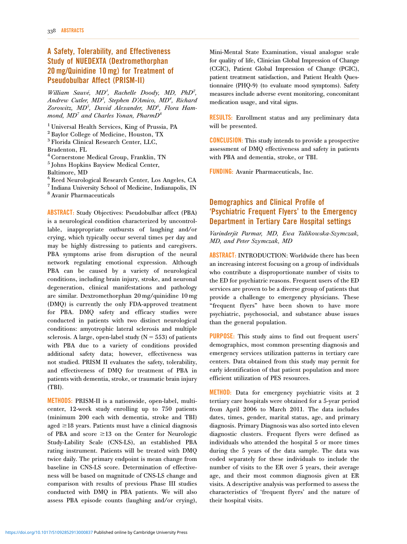## A Safety, Tolerability, and Effectiveness Study of NUEDEXTA (Dextromethorphan 20 mg/Quinidine 10 mg) for Treatment of Pseudobulbar Affect (PRISM-II)

William Sauvé, MD<sup>1</sup>, Rachelle Doody, MD, PhD<sup>2</sup>, Andrew Cutler, MD<sup>3</sup>, Stephen D'Amico, MD<sup>4</sup>, Richard Zorowitz, MD<sup>5</sup>, David Alexander, MD<sup>6</sup>, Flora Hammond,  $MD<sup>7</sup>$  and Charles Yonan, Pharm $D<sup>8</sup>$ 

<sup>1</sup> Universal Health Services, King of Prussia, PA

<sup>2</sup> Baylor College of Medicine, Houston, TX

<sup>3</sup> Florida Clinical Research Center, LLC,

Bradenton, FL

<sup>4</sup> Cornerstone Medical Group, Franklin, TN

<sup>5</sup> Johns Hopkins Bayview Medical Center,

Baltimore, MD

<sup>6</sup> Reed Neurological Research Center, Los Angeles, CA

<sup>7</sup> Indiana University School of Medicine, Indianapolis, IN

<sup>8</sup> Avanir Pharmaceuticals

ABSTRACT: Study Objectives: Pseudobulbar affect (PBA) is a neurological condition characterized by uncontrollable, inappropriate outbursts of laughing and/or crying, which typically occur several times per day and may be highly distressing to patients and caregivers. PBA symptoms arise from disruption of the neural network regulating emotional expression. Although PBA can be caused by a variety of neurological conditions, including brain injury, stroke, and neuronal degeneration, clinical manifestations and pathology are similar. Dextromethorphan 20 mg/quinidine 10 mg (DMQ) is currently the only FDA-approved treatment for PBA. DMQ safety and efficacy studies were conducted in patients with two distinct neurological conditions: amyotrophic lateral sclerosis and multiple sclerosis. A large, open-label study  $(N = 553)$  of patients with PBA due to a variety of conditions provided additional safety data; however, effectiveness was not studied. PRISM II evaluates the safety, tolerability, and effectiveness of DMQ for treatment of PBA in patients with dementia, stroke, or traumatic brain injury (TBI).

METHODS: PRISM-II is a nationwide, open-label, multicenter, 12-week study enrolling up to 750 patients (minimum 200 each with dementia, stroke and TBI) aged  $\geq$ 18 years. Patients must have a clinical diagnosis of PBA and score  $\geq 13$  on the Center for Neurologic Study-Lability Scale (CNS-LS), an established PBA rating instrument. Patients will be treated with DMQ twice daily. The primary endpoint is mean change from baseline in CNS-LS score. Determination of effectiveness will be based on magnitude of CNS-LS change and comparison with results of previous Phase III studies conducted with DMQ in PBA patients. We will also assess PBA episode counts (laughing and/or crying),

Mini-Mental State Examination, visual analogue scale for quality of life, Clinician Global Impression of Change (CGIC), Patient Global Impression of Change (PGIC), patient treatment satisfaction, and Patient Health Questionnaire (PHQ-9) (to evaluate mood symptoms). Safety measures include adverse event monitoring, concomitant medication usage, and vital signs.

**RESULTS:** Enrollment status and any preliminary data will be presented.

CONCLUSION: This study intends to provide a prospective assessment of DMQ effectiveness and safety in patients with PBA and dementia, stroke, or TBI.

FUNDING: Avanir Pharmaceuticals, Inc.

## Demographics and Clinical Profile of 'Psychiatric Frequent Flyers' to the Emergency Department in Tertiary Care Hospital settings

Varinderjit Parmar, MD, Ewa Talikowska-Szymczak, MD, and Peter Szymczak, MD

ABSTRACT: INTRODUCTION: Worldwide there has been an increasing interest focusing on a group of individuals who contribute a disproportionate number of visits to the ED for psychiatric reasons. Frequent users of the ED services are proven to be a diverse group of patients that provide a challenge to emergency physicians. These "frequent flyers" have been shown to have more psychiatric, psychosocial, and substance abuse issues than the general population.

PURPOSE: This study aims to find out frequent users' demographics, most common presenting diagnosis and emergency services utilization patterns in tertiary care centers. Data obtained from this study may permit for early identification of that patient population and more efficient utilization of PES resources.

METHOD: Data for emergency psychiatric visits at 2 tertiary care hospitals were obtained for a 5-year period from April 2006 to March 2011. The data includes dates, times, gender, marital status, age, and primary diagnosis. Primary Diagnosis was also sorted into eleven diagnostic clusters. Frequent flyers were defined as individuals who attended the hospital 5 or more times during the 5 years of the data sample. The data was coded separately for these individuals to include the number of visits to the ER over 5 years, their average age, and their most common diagnosis given at ER visits. A descriptive analysis was performed to assess the characteristics of 'frequent flyers' and the nature of their hospital visits.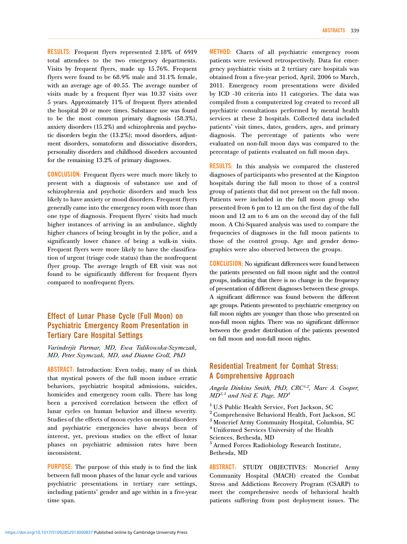RESULTS: Frequent flyers represented 2.18% of 6919 total attendees to the two emergency departments. Visits by frequent flyers, made up 15.76%. Frequent flyers were found to be 68.9% male and 31.1% female, with an average age of 40.55. The average number of visits made by a frequent flyer was 10.37 visits over 5 years. Approximately 11% of frequent flyers attended the hospital 20 or more times. Substance use was found to be the most common primary diagnosis (58.3%), anxiety disorders (15.2%) and schizophrenia and psychotic disorders begin the (13.2%); mood disorders, adjustment disorders, somatoform and dissociative disorders, personality disorders and childhood disorders accounted for the remaining 13.2% of primary diagnoses.

CONCLUSION: Frequent flyers were much more likely to present with a diagnosis of substance use and of schizophrenia and psychotic disorders and much less likely to have anxiety or mood disorders. Frequent flyers generally came into the emergency room with more than one type of diagnosis. Frequent flyers' visits had much higher instances of arriving in an ambulance, slightly higher chances of being brought in by the police, and a significantly lower chance of being a walk-in visits. Frequent flyers were more likely to have the classification of urgent (triage code status) than the nonfrequent flyer group. The average length of ER visit was not found to be significantly different for frequent flyers compared to nonfrequent flyers.

## Effect of Lunar Phase Cycle (Full Moon) on Psychiatric Emergency Room Presentation in Tertiary Care Hospital Settings

Varinderjit Parmar, MD, Ewa Talikowska-Szymczak, MD, Peter Szymczak, MD, and Dianne Groll, PhD

ABSTRACT: Introduction: Even today, many of us think that mystical powers of the full moon induce erratic behaviors, psychiatric hospital admissions, suicides, homicides and emergency room calls. There has long been a perceived correlation between the effect of lunar cycles on human behavior and illness severity. Studies of the effects of moon cycles on mental disorders and psychiatric emergencies have always been of interest, yet, previous studies on the effect of lunar phases on psychiatric admission rates have been inconsistent.

PURPOSE: The purpose of this study is to find the link between full moon phases of the lunar cycle and various psychiatric presentations in tertiary care settings, including patients' gender and age within in a five-year time span.

METHOD: Charts of all psychiatric emergency room patients were reviewed retrospectively. Data for emergency psychiatric visits at 2 tertiary care hospitals was obtained from a five-year period, April, 2006 to March, 2011. Emergency room presentations were divided by ICD -10 criteria into 11 categories. The data was compiled from a computerized log created to record all psychiatric consultations performed by mental health services at these 2 hospitals. Collected data included patients' visit times, dates, genders, ages, and primary diagnosis. The percentage of patients who were evaluated on non-full moon days was compared to the percentage of patients evaluated on full moon days.

RESULTS: In this analysis we compared the clustered diagnoses of participants who presented at the Kingston hospitals during the full moon to those of a control group of patients that did not present on the full moon. Patients were included in the full moon group who presented from 6 pm to 12 am on the first day of the full moon and 12 am to 6 am on the second day of the full moon. A Chi-Squared analysis was used to compare the frequencies of diagnoses in the full moon patients to those of the control group. Age and gender demographics were also observed between the groups.

CONCLUSION: No significant differences were found between the patients presented on full moon night and the control groups, indicating that there is no change in the frequency of presentation of different diagnoses between these groups. A significant difference was found between the different age groups. Patients presented to psychiatric emergency on full moon nights are younger than those who presented on non-full moon nights. There was no significant difference between the gender distribution of the patients presented on full moon and non-full moon nights.

## Residential Treatment for Combat Stress: A Comprehensive Approach

Angela Dinkins Smith, PhD, CRC<sup>1,2</sup>, Marc A. Cooper,  $MD^{2,3}$  and Neil E. Page,  $MD^{4}$ 

- <sup>1</sup> U.S Public Health Service, Fort Jackson, SC
- <sup>2</sup> Comprehensive Behavioral Health, Fort Jackson, SC
- <sup>3</sup> Moncrief Army Community Hospital, Columbia, SC
- <sup>4</sup> Uniformed Services University of the Health
- Sciences, Bethesda, MD
- <sup>5</sup> Armed Forces Radiobiology Research Institute, Bethesda, MD

ABSTRACT: STUDY OBJECTIVES: Moncrief Army Community Hospital (MACH) created the Combat Stress and Addictions Recovery Program (CSARP) to meet the comprehensive needs of behavioral health patients suffering from post deployment issues. The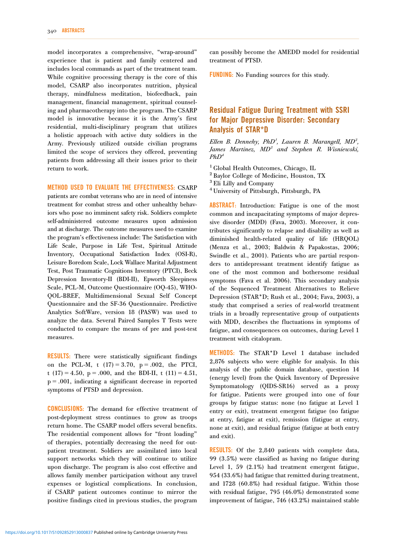model incorporates a comprehensive, "wrap-around" experience that is patient and family centered and includes local commands as part of the treatment team. While cognitive processing therapy is the core of this model, CSARP also incorporates nutrition, physical therapy, mindfulness meditation, biofeedback, pain management, financial management, spiritual counseling and pharmacotherapy into the program. The CSARP model is innovative because it is the Army's first residential, multi-disciplinary program that utilizes a holistic approach with active duty soldiers in the Army. Previously utilized outside civilian programs limited the scope of services they offered, preventing patients from addressing all their issues prior to their return to work.

METHOD USED TO EVALUATE THE EFFECTIVENESS: CSARP

patients are combat veterans who are in need of intensive treatment for combat stress and other unhealthy behaviors who pose no imminent safety risk. Soldiers complete self-administered outcome measures upon admission and at discharge. The outcome measures used to examine the program's effectiveness include: The Satisfaction with Life Scale, Purpose in Life Test, Spiritual Attitude Inventory, Occupational Satisfaction Index (OSI-R), Leisure Boredom Scale, Lock Wallace Marital Adjustment Test, Post Traumatic Cognitions Inventory (PTCI), Beck Depression Inventory-II (BDI-II), Epworth Sleepiness Scale, PCL-M, Outcome Questionnaire (OQ-45), WHO-QOL-BREF, Multidimensional Sexual Self Concept Questionnaire and the SF-36 Questionnaire. Predictive Analytics SoftWare, version 18 (PASW) was used to analyze the data. Several Paired Samples T Tests were conducted to compare the means of pre and post-test measures.

**RESULTS:** There were statistically significant findings on the PCL-M, t  $(17) = 3.70$ ,  $p = .002$ , the PTCI, t (17) = 4.50, p = .000, and the BDI-II, t (11) = 4.51,  $p = .001$ , indicating a significant decrease in reported symptoms of PTSD and depression.

CONCLUSIONS: The demand for effective treatment of post-deployment stress continues to grow as troops return home. The CSARP model offers several benefits. The residential component allows for "front loading" of therapies, potentially decreasing the need for outpatient treatment. Soldiers are assimilated into local support networks which they will continue to utilize upon discharge. The program is also cost effective and allows family member participation without any travel expenses or logistical complications. In conclusion, if CSARP patient outcomes continue to mirror the positive findings cited in previous studies, the program

can possibly become the AMEDD model for residential treatment of PTSD.

FUNDING: No Funding sources for this study.

### Residual Fatigue During Treatment with SSRI for Major Depressive Disorder: Secondary Analysis of STAR\*D

Ellen B. Dennehy, PhD<sup>1</sup>, Lauren B. Marangell, MD<sup>3</sup>, James Martinez,  $MD^3$  and Stephen R. Wisniewski,  $PhD<sup>4</sup>$ 

- <sup>1</sup> Global Health Outcomes, Chicago, IL
- <sup>2</sup> Baylor College of Medicine, Houston, TX
- <sup>3</sup> Eli Lilly and Company
- <sup>4</sup> University of Pittsburgh, Pittsburgh, PA

ABSTRACT: Introduction: Fatigue is one of the most common and incapacitating symptoms of major depressive disorder (MDD) (Fava, 2003). Moreover, it contributes significantly to relapse and disability as well as diminished health-related quality of life (HRQOL) (Menza et al., 2003; Baldwin & Papakostas, 2006; Swindle et al., 2001). Patients who are partial responders to antidepressant treatment identify fatigue as one of the most common and bothersome residual symptoms (Fava et al. 2006). This secondary analysis of the Sequenced Treatment Alternatives to Relieve Depression (STAR\*D; Rush et al., 2004; Fava, 2003), a study that comprised a series of real-world treatment trials in a broadly representative group of outpatients with MDD, describes the fluctuations in symptoms of fatigue, and consequences on outcomes, during Level 1 treatment with citalopram.

METHODS: The STAR\*D Level 1 database included 2,876 subjects who were eligible for analysis. In this analysis of the public domain database, question 14 (energy level) from the Quick Inventory of Depressive Symptomatology (QIDS-SR16) served as a proxy for fatigue. Patients were grouped into one of four groups by fatigue status: none (no fatigue at Level 1 entry or exit), treatment emergent fatigue (no fatigue at entry, fatigue at exit), remission (fatigue at entry, none at exit), and residual fatigue (fatigue at both entry and exit).

RESULTS: Of the 2,840 patients with complete data, 99 (3.5%) were classified as having no fatigue during Level 1, 59 (2.1%) had treatment emergent fatigue, 954 (33.6%) had fatigue that remitted during treatment, and 1728 (60.8%) had residual fatigue. Within those with residual fatigue, 795 (46.0%) demonstrated some improvement of fatigue, 746 (43.2%) maintained stable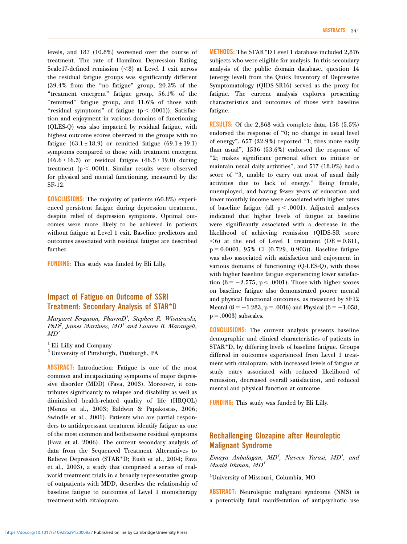levels, and 187 (10.8%) worsened over the course of treatment. The rate of Hamilton Depression Rating Scale17-defined remission  $( $8$ )$  at Level 1 exit across the residual fatigue groups was significantly different (39.4% from the ''no fatigue'' group, 20.3% of the "treatment emergent" fatigue group, 56.1% of the "remitted" fatigue group, and 11.6% of those with "residual symptoms" of fatigue  $(p < .0001)$ ). Satisfaction and enjoyment in various domains of functioning (QLES-Q) was also impacted by residual fatigue, with highest outcome scores observed in the groups with no fatigue  $(63.1 \pm 18.9)$  or remitted fatigue  $(69.1 \pm 19.1)$ symptoms compared to those with treatment emergent  $(46.6 \pm 16.3)$  or residual fatigue  $(46.5 \pm 19.0)$  during treatment ( $p < .0001$ ). Similar results were observed for physical and mental functioning, measured by the SF-12.

CONCLUSIONS: The majority of patients (60.8%) experienced persistent fatigue during depression treatment, despite relief of depression symptoms. Optimal outcomes were more likely to be achieved in patients without fatigue at Level 1 exit. Baseline predictors and outcomes associated with residual fatigue are described further.

**FUNDING:** This study was funded by Eli Lilly.

#### Impact of Fatigue on Outcome of SSRI Treatment: Secondary Analysis of STAR\*D

Margaret Ferguson, PharmD<sup>1</sup>, Stephen R. Wisniewski, PhD<sup>2</sup>, James Martinez, MD<sup>1</sup> and Lauren B. Marangell,  $MD<sup>1</sup>$ 

<sup>1</sup> Eli Lilly and Company

<sup>2</sup> University of Pittsburgh, Pittsburgh, PA

**ABSTRACT:** Introduction: Fatigue is one of the most common and incapacitating symptoms of major depressive disorder (MDD) (Fava, 2003). Moreover, it contributes significantly to relapse and disability as well as diminished health-related quality of life (HRQOL) (Menza et al., 2003; Baldwin & Papakostas, 2006; Swindle et al., 2001). Patients who are partial responders to antidepressant treatment identify fatigue as one of the most common and bothersome residual symptoms (Fava et al. 2006). The current secondary analysis of data from the Sequenced Treatment Alternatives to Relieve Depression (STAR\*D; Rush et al., 2004; Fava et al., 2003), a study that comprised a series of realworld treatment trials in a broadly representative group of outpatients with MDD, describes the relationship of baseline fatigue to outcomes of Level 1 monotherapy treatment with citalopram.

METHODS: The STAR\*D Level 1 database included 2,876 subjects who were eligible for analysis. In this secondary analysis of the public domain database, question 14 (energy level) from the Quick Inventory of Depressive Symptomatology (QIDS-SR16) served as the proxy for fatigue. The current analysis explores presenting characteristics and outcomes of those with baseline fatigue.

RESULTS: Of the 2,868 with complete data, 158 (5.5%) endorsed the response of "0; no change in usual level of energy",  $657$   $(22.9\%)$  reported "1; tires more easily than usual'', 1536 (53.6%) endorsed the response of ''2; makes significant personal effort to initiate or maintain usual daily activities'', and 517 (18.0%) had a score of "3, unable to carry out most of usual daily activities due to lack of energy.'' Being female, unemployed, and having fewer years of education and lower monthly income were associated with higher rates of baseline fatigue (all  $p < .0001$ ). Adjusted analyses indicated that higher levels of fatigue at baseline were significantly associated with a decrease in the likelihood of achieving remission (QIDS-SR score  $\leq 6$ ) at the end of Level 1 treatment (OR = 0.811,  $p = 0.0001$ , 95% CI (0.729, 0.903)). Baseline fatigue was also associated with satisfaction and enjoyment in various domains of functioning (Q-LES-Q), with those with higher baseline fatigue experiencing lower satisfaction ( $\beta = -2.575$ , p < .0001). Those with higher scores on baseline fatigue also demonstrated poorer mental and physical functional outcomes, as measured by SF12 Mental ( $\beta = -1.283$ ,  $p = .0016$ ) and Physical ( $\beta = -1.058$ ,  $p = .0003$ ) subscales.

CONCLUSIONS: The current analysis presents baseline demographic and clinical characteristics of patients in STAR\*D, by differing levels of baseline fatigue. Groups differed in outcomes experienced from Level 1 treatment with citalopram, with increased levels of fatigue at study entry associated with reduced likelihood of remission, decreased overall satisfaction, and reduced mental and physical function at outcome.

FUNDING: This study was funded by Eli Lilly.

## Rechallenging Clozapine after Neuroleptic Malignant Syndrome

Emaya Anbalagan, MD<sup>1</sup>, Naveen Yarasi, MD<sup>1</sup>, and Muaid Ithman,  $MD<sup>1</sup>$ 

1 University of Missouri, Columbia, MO

ABSTRACT: Neuroleptic malignant syndrome (NMS) is a potentially fatal manifestation of antipsychotic use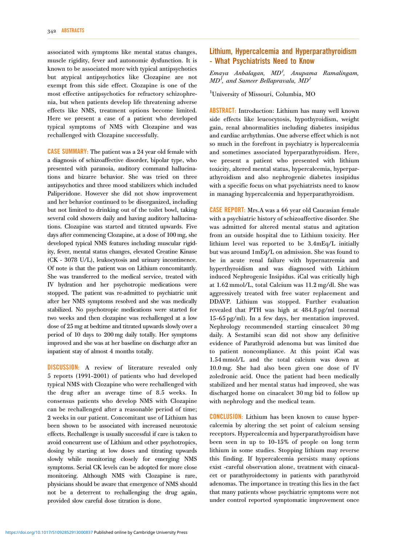associated with symptoms like mental status changes, muscle rigidity, fever and autonomic dysfunction. It is known to be associated more with typical antipsychotics but atypical antipsychotics like Clozapine are not exempt from this side effect. Clozapine is one of the most effective antipsychotics for refractory schizophrenia, but when patients develop life threatening adverse effects like NMS, treatment options become limited. Here we present a case of a patient who developed typical symptoms of NMS with Clozapine and was rechallenged with Clozapine successfully.

CASE SUMMARY: The patient was a 24 year old female with a diagnosis of schizoaffective disorder, bipolar type, who presented with paranoia, auditory command hallucinations and bizarre behavior. She was tried on three antipsychotics and three mood stabilizers which included Paliperidone. However she did not show improvement and her behavior continued to be disorganized, including but not limited to drinking out of the toilet bowl, taking several cold showers daily and having auditory hallucinations. Clozapine was started and titrated upwards. Five days after commencing Clozapine, at a dose of 100 mg, she developed typical NMS features including muscular rigidity, fever, mental status changes, elevated Creatine Kinase (CK - 3078 U/L), leukocytosis and urinary incontinence. Of note is that the patient was on Lithium concomitantly. She was transferred to the medical service, treated with IV hydration and her psychotropic medications were stopped. The patient was re-admitted to psychiatric unit after her NMS symptoms resolved and she was medically stabilized. No psychotropic medications were started for two weeks and then clozapine was rechallenged at a low dose of 25 mg at bedtime and titrated upwards slowly over a period of 10 days to 200 mg daily totally. Her symptoms improved and she was at her baseline on discharge after an inpatient stay of almost 4 months totally.

DISCUSSION: A review of literature revealed only 5 reports (1991–2001) of patients who had developed typical NMS with Clozapine who were rechallenged with the drug after an average time of 8.5 weeks. In consensus patients who develop NMS with Clozapine can be rechallenged after a reasonable period of time; 2 weeks in our patient. Concomitant use of Lithium has been shown to be associated with increased neurotoxic effects. Rechallenge is usually successful if care is taken to avoid concurrent use of Lithium and other psychotropics, dosing by starting at low doses and titrating upwards slowly while monitoring closely for emerging NMS symptoms. Serial CK levels can be adopted for more close monitoring. Although NMS with Clozapine is rare, physicians should be aware that emergence of NMS should not be a deterrent to rechallenging the drug again, provided slow careful dose titration is done.

### Lithium, Hypercalcemia and Hyperparathyroidism - What Psychiatrists Need to Know

 $E$ maya Anbalagan, MD<sup>1</sup>, Anupama Ramalingam,  $\emph{MD}^{\, \prime}, \emph{ and Sameer Bellapravalu, } \emph{MD}^{\, \prime}$ 

1 University of Missouri, Columbia, MO

ABSTRACT: Introduction: Lithium has many well known side effects like leucocytosis, hypothyroidism, weight gain, renal abnormalities including diabetes insipidus and cardiac arrhythmias. One adverse effect which is not so much in the forefront in psychiatry is hypercalcemia and sometimes associated hyperparathyroidism. Here, we present a patient who presented with lithium toxicity, altered mental status, hypercalcemia, hyperparathyroidism and also nephrogenic diabetes insipidus with a specific focus on what psychiatrists need to know in managing hypercalcemia and hyperparathyroidism.

CASE REPORT: Mrs.A was a 66 year old Caucasian female with a psychiatric history of schizoaffective disorder. She was admitted for altered mental status and agitation from an outside hospital due to Lithium toxicity. Her lithium level was reported to be 3.4mEq/L initially but was around 1mEq/L on admission. She was found to be in acute renal failure with hypernatremia and hyperthyroidism and was diagnosed with Lithium induced Nephrogenic Insipidus. iCal was critically high at 1.62 mmol/L, total Calcium was 11.2 mg/dl. She was aggressively treated with free water replacement and DDAVP. Lithium was stopped. Further evaluation revealed that PTH was high at 484.8 pg/ml (normal 15–65 pg/ml). In a few days, her mentation improved. Nephrology recommended starting cinacalcet 30 mg daily. A Sestamibi scan did not show any definitive evidence of Parathyroid adenoma but was limited due to patient noncompliance. At this point iCal was 1.54 mmol/L and the total calcium was down at 10.0 mg. She had also been given one dose of IV zoledronic acid. Once the patient had been medically stabilized and her mental status had improved, she was discharged home on cinacalcet 30 mg bid to follow up with nephrology and the medical team.

CONCLUSION: Lithium has been known to cause hypercalcemia by altering the set point of calcium sensing receptors. Hypercalcemia and hyperparathyroidism have been seen in up to 10–15% of people on long term lithium in some studies. Stopping lithium may reverse this finding. If hypercalcemia persists many options exist -careful observation alone, treatment with cinacalcet or parathyroidectomy in patients with parathyroid adenomas. The importance in treating this lies in the fact that many patients whose psychiatric symptoms were not under control reported symptomatic improvement once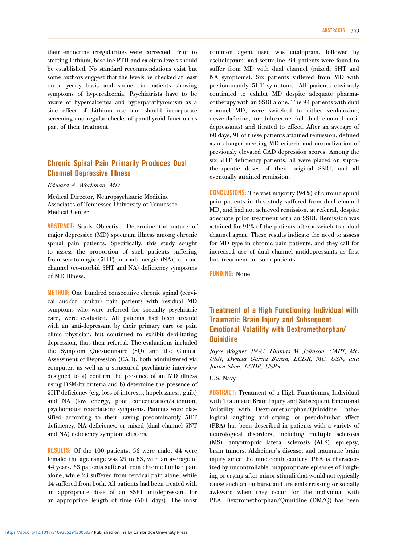their endocrine irregularities were corrected. Prior to starting Lithium, baseline PTH and calcium levels should be established. No standard recommendations exist but some authors suggest that the levels be checked at least on a yearly basis and sooner in patients showing symptoms of hypercalcemia. Psychiatrists have to be aware of hypercalcemia and hyperparathyroidism as a side effect of Lithium use and should incorporate screening and regular checks of parathyroid function as part of their treatment.

### Chronic Spinal Pain Primarily Produces Dual Channel Depressive Illness

Edward A. Workman, MD

Medical Director, Neuropsychiatric Medicine Associates of Tennessee University of Tennessee Medical Center

**ABSTRACT:** Study Objective: Determine the nature of major depressive (MD) spectrum illness among chronic spinal pain patients. Specifically, this study sought to assess the proportion of such patients suffering from serotonergic (5HT), nor-adrenergic (NA), or dual channel (co-morbid 5HT and NA) deficiency symptoms of MD illness.

METHOD: One hundred consecutive chronic spinal (cervical and/or lumbar) pain patients with residual MD symptoms who were referred for specialty psychiatric care, were evaluated. All patients had been treated with an anti-depressant by their primary care or pain clinic physician, but continued to exhibit debilitating depression, thus their referral. The evaluations included the Symptom Questionnaire (SQ) and the Clinical Assessment of Depression (CAD), both administered via computer, as well as a structured psychiatric interview designed to a) confirm the presence of an MD illness using DSM4tr criteria and b) determine the presence of 5HT deficiency (e.g. loss of interests, hopelessness, guilt) and NA (low energy, poor concentration/attention, psychomotor retardation) symptoms. Patients were classified according to their having predominantly 5HT deficiency, NA deficiency, or mixed (dual channel 5NT and NA) deficiency symptom clusters.

**RESULTS:** Of the 100 patients, 56 were male, 44 were female; the age range was 29 to 63, with an average of 44 years. 63 patients suffered from chronic lumbar pain alone, while 23 suffered from cervical pain alone, while 14 suffered from both. All patients had been treated with an appropriate dose of an SSRI antidepressant for an appropriate length of time  $(60 + \text{ days})$ . The most

common agent used was citalopram, followed by escitalopram, and sertraline. 94 patients were found to suffer from MD with dual channel (mixed, 5HT and NA symptoms). Six patients suffered from MD with predominantly 5HT symptoms. All patients obviously continued to exhibit MD despite adequate pharmacotherapy with an SSRI alone. The 94 patients with dual channel MD, were switched to either venlafaxine, desvenlafaxine, or duloxetine (all dual channel antidepressants) and titrated to effect. After an average of 60 days, 91 of these patients attained remission, defined as no longer meeting MD criteria and normalization of previously elevated CAD depression scores. Among the six 5HT deficiency patients, all were placed on supratherapeutic doses of their original SSRI, and all eventually attained remission.

CONCLUSIONS: The vast majority (94%) of chronic spinal pain patients in this study suffered from dual channel MD, and had not achieved remission, at referral, despite adequate prior treatment with an SSRI. Remission was attained for 91% of the patients after a switch to a dual channel agent. These results indicate the need to assess for MD type in chronic pain patients, and they call for increased use of dual channel antidepressants as first line treatment for such patients.

FUNDING: None.

## Treatment of a High Functioning Individual with Traumatic Brain Injury and Subsequent Emotional Volatility with Dextromethorphan/ Quinidine

Joyce Wagner, PA-C, Thomas M. Johnson, CAPT, MC USN, Dynela Garcia Baran, LCDR, MC, USN, and Joann Shen, LCDR, USPS

#### U.S. Navy

ABSTRACT: Treatment of a High Functioning Individual with Traumatic Brain Injury and Subsequent Emotional Volatility with Dextromethorphan/Quinidine Pathological laughing and crying, or pseudobulbar affect (PBA) has been described in patients with a variety of neurological disorders, including multiple sclerosis (MS), amyotrophic lateral sclerosis (ALS), epilepsy, brain tumors, Alzheimer's disease, and traumatic brain injury since the nineteenth century. PBA is characterized by uncontrollable, inappropriate episodes of laughing or crying after minor stimuli that would not typically cause such an outburst and are embarrassing or socially awkward when they occur for the individual with PBA. Dextromethorphan/Quinidine (DM/Q) has been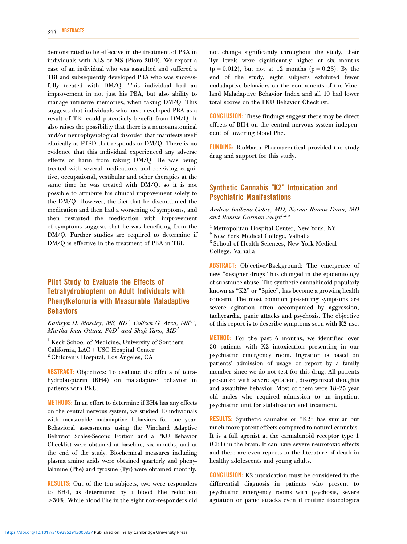demonstrated to be effective in the treatment of PBA in individuals with ALS or MS (Pioro 2010). We report a case of an individual who was assaulted and suffered a TBI and subsequently developed PBA who was successfully treated with DM/Q. This individual had an improvement in not just his PBA, but also ability to manage intrusive memories, when taking DM/Q. This suggests that individuals who have developed PBA as a result of TBI could potentially benefit from DM/Q. It also raises the possibility that there is a neuroanatomical and/or neurophysiological disorder that manifests itself clinically as PTSD that responds to DM/Q. There is no evidence that this individual experienced any adverse effects or harm from taking DM/Q. He was being treated with several medications and receiving cognitive, occupational, vestibular and other therapies at the same time he was treated with DM/Q, so it is not possible to attribute his clinical improvement solely to the DM/Q. However, the fact that he discontinued the medication and then had a worsening of symptoms, and then restarted the medication with improvement of symptoms suggests that he was benefiting from the DM/Q. Further studies are required to determine if DM/Q is effective in the treatment of PBA in TBI.

## Pilot Study to Evaluate the Effects of Tetrahydrobioptern on Adult Individuals with Phenylketonuria with Measurable Maladaptive **Behaviors**

Kathryn D. Moseley, MS, RD<sup>1</sup>, Colleen G. Azen, MS<sup>1,2</sup>, Martha Jean Ottina,  $PhD<sup>1</sup>$  and Shoji Yano,  $MD<sup>1</sup>$ 

<sup>1</sup> Keck School of Medicine, University of Southern California, LAC + USC Hospital Center<br><sup>2</sup> Children's Hospital, Los Angeles, CA

ABSTRACT: Objectives: To evaluate the effects of tetrahydrobiopterin (BH4) on maladaptive behavior in patients with PKU.

METHODS: In an effort to determine if BH4 has any effects on the central nervous system, we studied 10 individuals with measurable maladaptive behaviors for one year. Behavioral assessments using the Vineland Adaptive Behavior Scales-Second Edition and a PKU Behavior Checklist were obtained at baseline, six months, and at the end of the study. Biochemical measures including plasma amino acids were obtained quarterly and phenylalanine (Phe) and tyrosine (Tyr) were obtained monthly.

**RESULTS:** Out of the ten subjects, two were responders to BH4, as determined by a blood Phe reduction .30%. While blood Phe in the eight non-responders did

not change significantly throughout the study, their Tyr levels were significantly higher at six months  $(p = 0.012)$ , but not at 12 months  $(p = 0.23)$ . By the end of the study, eight subjects exhibited fewer maladaptive behaviors on the components of the Vineland Maladaptive Behavior Index and all 10 had lower total scores on the PKU Behavior Checklist.

CONCLUSION: These findings suggest there may be direct effects of BH4 on the central nervous system independent of lowering blood Phe.

FUNDING: BioMarin Pharmaceutical provided the study drug and support for this study.

## Synthetic Cannabis "K2" Intoxication and Psychiatric Manifestations

Andrea Bulbena-Cabre, MD, Norma Ramos Dunn, MD and Ronnie Gorman Swift $^{1,2,3}$ 

<sup>1</sup> Metropolitan Hospital Center, New York, NY

<sup>2</sup> New York Medical College, Valhalla

<sup>3</sup> School of Health Sciences, New York Medical College, Valhalla

ABSTRACT: Objective/Background: The emergence of new "designer drugs" has changed in the epidemiology of substance abuse. The synthetic cannabinoid popularly known as "K2" or "Spice", has become a growing health concern. The most common presenting symptoms are severe agitation often accompanied by aggression, tachycardia, panic attacks and psychosis. The objective of this report is to describe symptoms seen with K2 use.

METHOD: For the past 6 months, we identified over 50 patients with K2 intoxication presenting in our psychiatric emergency room. Ingestion is based on patients' admission of usage or report by a family member since we do not test for this drug. All patients presented with severe agitation, disorganized thoughts and assaultive behavior. Most of them were 18–25 year old males who required admission to an inpatient psychiatric unit for stabilization and treatment.

RESULTS: Synthetic cannabis or "K2" has similar but much more potent effects compared to natural cannabis. It is a full agonist at the cannabinoid receptor type 1 (CB1) in the brain. It can have severe neurotoxic effects and there are even reports in the literature of death in healthy adolescents and young adults.

CONCLUSION: K2 intoxication must be considered in the differential diagnosis in patients who present to psychiatric emergency rooms with psychosis, severe agitation or panic attacks even if routine toxicologies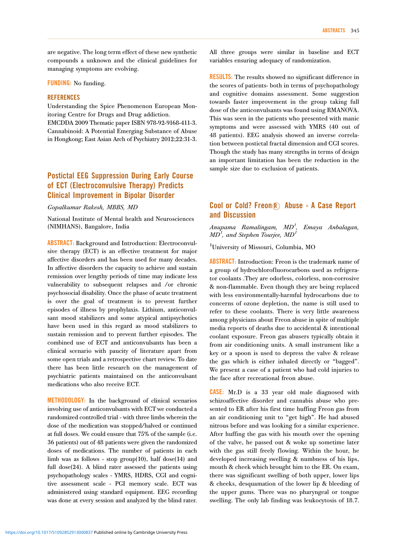are negative. The long term effect of these new synthetic compounds a unknown and the clinical guidelines for managing symptoms are evolving.

#### FUNDING: No funding.

#### **REFERENCES**

Understanding the Spice Phenomenon European Monitoring Centre for Drugs and Drug addiction.

EMCDDA 2009 Thematic paper ISBN 978-92-9168-411-3. Cannabinoid: A Potential Emerging Substance of Abuse in Hongkong; East Asian Arch of Psychiatry 2012;22:31-3.

## Postictal EEG Suppression During Early Course of ECT (Electroconvulsive Therapy) Predicts Clinical Improvement in Bipolar Disorder

Gopalkumar Rakesh, MBBS, MD

National Institute of Mental health and Neurosciences (NIMHANS), Bangalore, India

**ABSTRACT:** Background and Introduction: Electroconvulsive therapy (ECT) is an effective treatment for major affective disorders and has been used for many decades. In affective disorders the capacity to achieve and sustain remission over lengthy periods of time may indicate less vulnerability to subsequent relapses and /or chronic psychosocial disability. Once the phase of acute treatment is over the goal of treatment is to prevent further episodes of illness by prophylaxis. Lithium, anticonvulsant mood stabilizers and some atypical antipsychotics have been used in this regard as mood stabilizers to sustain remission and to prevent further episodes. The combined use of ECT and anticonvulsants has been a clinical scenario with paucity of literature apart from some open trials and a retrospective chart review. To date there has been little research on the management of psychiatric patients maintained on the anticonvulsant medications who also receive ECT.

METHODOLOGY: In the background of clinical scenarios involving use of anticonvulsants with ECT we conducted a randomized controlled trial - with three limbs wherein the dose of the medication was stopped/halved or continued at full doses. We could ensure that 75% of the sample (i.e. 36 patients) out of 48 patients were given the randomized doses of medications. The number of patients in each limb was as follows - stop group(10), half dose(14) and full dose(24). A blind rater assessed the patients using psychopathology scales - YMRS, HDRS, CGI and cognitive assessment scale - PGI memory scale. ECT was administered using standard equipment. EEG recording was done at every session and analyzed by the blind rater.

All three groups were similar in baseline and ECT variables ensuring adequacy of randomization.

RESULTS: The results showed no significant difference in the scores of patients- both in terms of psychopathology and cognitive domains assessment. Some suggestion towards faster improvement in the group taking full dose of the anticonvulsants was found using RMANOVA. This was seen in the patients who presented with manic symptoms and were assessed with YMRS (40 out of 48 patients). EEG analysis showed an inverse correlation between postictal fractal dimension and CGI scores. Though the study has many strengths in terms of design an important limitation has been the reduction in the sample size due to exclusion of patients.

## Cool or Cold? Freon® Abuse - A Case Report and Discussion

Anupama Ramalingam, MD<sup>1</sup>, Emaya Anbalagan,  $MD^{\prime},$  and Stephen Tourjee,  $MD^{\prime}$ 

1 University of Missouri, Columbia, MO

ABSTRACT: Introduction: Freon is the trademark name of a group of hydrochlorofluorocarbons used as refrigerator coolants .They are odorless, colorless, non-corrosive & non-flammable. Even though they are being replaced with less environmentally-harmful hydrocarbons due to concerns of ozone depletion, the name is still used to refer to these coolants. There is very little awareness among physicians about Freon abuse in spite of multiple media reports of deaths due to accidental & intentional coolant exposure. Freon gas abusers typically obtain it from air conditioning units. A small instrument like a key or a spoon is used to depress the valve & release the gas which is either inhaled directly or ''bagged''. We present a case of a patient who had cold injuries to the face after recreational freon abuse.

CASE: Mr.D is a 33 year old male diagnosed with schizoaffective disorder and cannabis abuse who presented to ER after his first time huffing Freon gas from an air conditioning unit to "get high". He had abused nitrous before and was looking for a similar experience. After huffing the gas with his mouth over the opening of the valve, he passed out & woke up sometime later with the gas still freely flowing. Within the hour, he developed increasing swelling & numbness of his lips, mouth & cheek which brought him to the ER. On exam, there was significant swelling of both upper, lower lips & cheeks, desquamation of the lower lip & bleeding of the upper gums. There was no pharyngeal or tongue swelling. The only lab finding was leukocytosis of 18.7.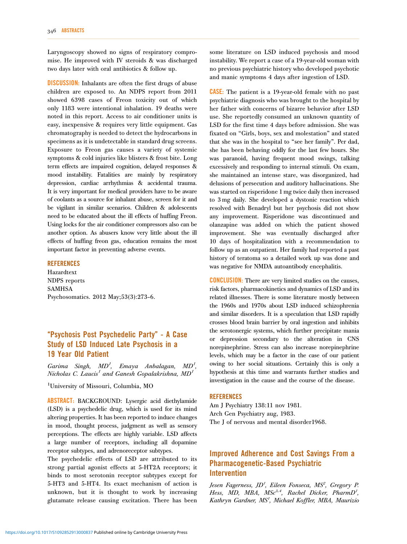Laryngoscopy showed no signs of respiratory compromise. He improved with IV steroids & was discharged two days later with oral antibiotics & follow up.

DISCUSSION: Inhalants are often the first drugs of abuse children are exposed to. An NDPS report from 2011 showed 6398 cases of Freon toxicity out of which only 1183 were intentional inhalation. 19 deaths were noted in this report. Access to air conditioner units is easy, inexpensive & requires very little equipment. Gas chromatography is needed to detect the hydrocarbons in specimens as it is undetectable in standard drug screens. Exposure to Freon gas causes a variety of systemic symptoms & cold injuries like blisters & frost bite. Long term effects are impaired cognition, delayed responses & mood instability. Fatalities are mainly by respiratory depression, cardiac arrhythmias & accidental trauma. It is very important for medical providers have to be aware of coolants as a source for inhalant abuse, screen for it and be vigilant in similar scenarios. Children & adolescents need to be educated about the ill effects of huffing Freon. Using locks for the air conditioner compressors also can be another option. As abusers know very little about the ill effects of huffing freon gas, education remains the most important factor in preventing adverse events.

#### **REFERENCES**

Hazardtext NDPS reports SAMHSA Psychosomatics. 2012 May;53(3):273–6.

## ''Psychosis Post Psychedelic Party'' - A Case Study of LSD Induced Late Psychosis in a 19 Year Old Patient

Garima Singh, MD<sup>1</sup>, Emaya Anbalagan, MD<sup>1</sup>  $MD<sup>1</sup>$ . Nicholas C. Laucis<sup>1</sup> and Ganesh Gopalakrishna,  $MD<sup>1</sup>$ 

1 University of Missouri, Columbia, MO

ABSTRACT: BACKGROUND: Lysergic acid diethylamide (LSD) is a psychedelic drug, which is used for its mind altering properties. It has been reported to induce changes in mood, thought process, judgment as well as sensory perceptions. The effects are highly variable. LSD affects a large number of receptors, including all dopamine receptor subtypes, and adrenoreceptor subtypes.

The psychedelic effects of LSD are attributed to its strong partial agonist effects at 5-HT2A receptors; it binds to most serotonin receptor subtypes except for 5-HT3 and 5-HT4. Its exact mechanism of action is unknown, but it is thought to work by increasing glutamate release causing excitation. There has been

some literature on LSD induced psychosis and mood instability. We report a case of a 19-year-old woman with no previous psychiatric history who developed psychotic and manic symptoms 4 days after ingestion of LSD.

CASE: The patient is a 19-year-old female with no past psychiatric diagnosis who was brought to the hospital by her father with concerns of bizarre behavior after LSD use. She reportedly consumed an unknown quantity of LSD for the first time 4 days before admission. She was fixated on ''Girls, boys, sex and molestation'' and stated that she was in the hospital to "see her family". Per dad, she has been behaving oddly for the last few hours. She was paranoid, having frequent mood swings, talking excessively and responding to internal stimuli. On exam, she maintained an intense stare, was disorganized, had delusions of persecution and auditory hallucinations. She was started on risperidone 1 mg twice daily then increased to 3 mg daily. She developed a dystonic reaction which resolved with Benadryl but her psychosis did not show any improvement. Risperidone was discontinued and olanzapine was added on which the patient showed improvement. She was eventually discharged after 10 days of hospitalization with a recommendation to follow up as an outpatient. Her family had reported a past history of teratoma so a detailed work up was done and was negative for NMDA autoantibody encephalitis.

CONCLUSION: There are very limited studies on the causes, risk factors, pharmacokinetics and dynamics of LSD and its related illnesses. There is some literature mostly between the 1960s and 1970s about LSD induced schizophrenia and similar disorders. It is a speculation that LSD rapidly crosses blood brain barrier by oral ingestion and inhibits the serotonergic systems, which further precipitate mania or depression secondary to the alteration in CNS norepinephrine. Stress can also increase norepinephrine levels, which may be a factor in the case of our patient owing to her social situations. Certainly this is only a hypothesis at this time and warrants further studies and investigation in the cause and the course of the disease.

#### **REFERENCES**

Am J Psychiatry 138:11 nov 1981. Arch Gen Psychiatry aug, 1983. The J of nervous and mental disorder1968.

## Improved Adherence and Cost Savings From a Pharmacogenetic-Based Psychiatric **Intervention**

Jesen Fagerness, JD<sup>1</sup>, Eileen Fonseca, MS<sup>2</sup>, Gregory P. Hess, MD, MBA, MSc<sup>3,4</sup>, Rachel Dicker, PharmD<sup>1</sup>, Kathryn Gardner, MS<sup>1</sup>, Michael Koffler, MBA, Maurizio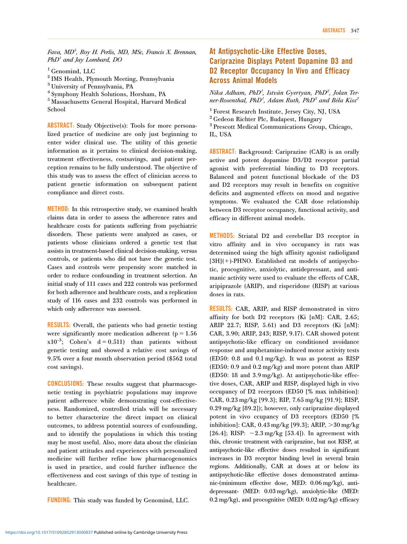Fava, MD5 , Roy H. Perlis, MD, MSc, Francis X. Brennan, PhD<sup>1</sup> and Jay Lombard, DO

<sup>1</sup> Genomind, LLC

- <sup>2</sup> IMS Health, Plymouth Meeting, Pennsylvania
- <sup>3</sup> University of Pennsylvania, PA

<sup>4</sup> Symphony Health Solutions, Horsham, PA

<sup>5</sup> Massachusetts General Hospital, Harvard Medical School

ABSTRACT: Study Objective(s): Tools for more personalized practice of medicine are only just beginning to enter wider clinical use. The utility of this genetic information as it pertains to clinical decision-making, treatment effectiveness, costsavings, and patient perception remains to be fully understood. The objective of this study was to assess the effect of clinician access to patient genetic information on subsequent patient compliance and direct costs.

**METHOD:** In this retrospective study, we examined health claims data in order to assess the adherence rates and healthcare costs for patients suffering from psychiatric disorders. These patients were analyzed as cases, or patients whose clinicians ordered a genetic test that assists in treatment-based clinical decision-making, versus controls, or patients who did not have the genetic test. Cases and controls were propensity score matched in order to reduce confounding in treatment selection. An initial study of 111 cases and 222 controls was performed for both adherence and healthcare costs, and a replication study of 116 cases and 232 controls was performed in which only adherence was assessed.

**RESULTS:** Overall, the patients who had genetic testing were significantly more medication adherent ( $p = 1.56$  $x10^{-3}$ ; Cohen's  $d = 0.511$ ) than patients without genetic testing and showed a relative cost savings of 9.5% over a four month observation period (\$562 total cost savings).

CONCLUSIONS: These results suggest that pharmacogenetic testing in psychiatric populations may improve patient adherence while demonstrating cost-effectiveness. Randomized, controlled trials will be necessary to better characterize the direct impact on clinical outcomes, to address potential sources of confounding, and to identify the populations in which this testing may be most useful. Also, more data about the clinician and patient attitudes and experiences with personalized medicine will further refine how pharmacogenomics is used in practice, and could further influence the effectiveness and cost savings of this type of testing in healthcare.

**FUNDING:** This study was funded by Genomind, LLC.

## At Antipsychotic-Like Effective Doses, Cariprazine Displays Potent Dopamine D3 and D2 Receptor Occupancy In Vivo and Efficacy Across Animal Models

Nika Adham, PhD<sup>1</sup>, István Gyertyan, PhD<sup>2</sup>, Jolan Terner-Rosenthal,  $PhD',$  Adam Ruth,  $PhD^3$  and Béla Kiss $^2$ 

<sup>1</sup> Forest Research Institute, Jersey City, NJ, USA

<sup>2</sup> Gedeon Richter Plc, Budapest, Hungary

<sup>3</sup> Prescott Medical Communications Group, Chicago, IL, USA

ABSTRACT: Background: Cariprazine (CAR) is an orally active and potent dopamine D3/D2 receptor partial agonist with preferential binding to D3 receptors. Balanced and potent functional blockade of the D3 and D2 receptors may result in benefits on cognitive deficits and augmented effects on mood and negative symptoms. We evaluated the CAR dose relationship between D3 receptor occupancy, functional activity, and efficacy in different animal models.

METHODS: Striatal D2 and cerebellar D3 receptor in vitro affinity and in vivo occupancy in rats was determined using the high affinity agonist radioligand  $[3H]$ (+)-PHNO. Established rat models of antipsychotic, procognitive, anxiolytic, antidepressant, and antimanic activity were used to evaluate the effects of CAR, aripiprazole (ARIP), and risperidone (RISP) at various doses in rats.

RESULTS: CAR, ARIP, and RISP demonstrated in vitro affinity for both D2 receptors (Ki [nM]: CAR, 2.65; ARIP 22.7; RISP, 5.61) and D3 receptors (Ki [nM]: CAR, 3.90; ARIP, 243; RISP, 9.17). CAR showed potent antipsychotic-like efficacy on conditioned avoidance response and amphetamine-induced motor activity tests (ED50: 0.8 and 0.1 mg/kg). It was as potent as RISP (ED50: 0.9 and 0.2 mg/kg) and more potent than ARIP (ED50: 18 and 3.9 mg/kg). At antipsychotic-like effective doses, CAR, ARIP and RISP, displayed high in vivo occupancy of D2 receptors (ED50 [% max inhibition]: CAR, 0.23 mg/kg [99.3]; RIP, 7.65 mg/kg [91.9]; RISP, 0.29 mg/kg [89.2]); however, only cariprazine displayed potent in vivo ccupancy of D3 receptors (ED50 [% inhibition]: CAR,  $0.43 \text{ mg/kg}$  [99.3]; ARIP,  $>30 \text{ mg/kg}$ [26.4]; RISP:  $\sim$  2.3 mg/kg [53.4]). In agreement with this, chronic treatment with cariprazine, but not RISP, at antipsychotic-like effective doses resulted in significant increases in D3 receptor binding level in several brain regions. Additionally, CAR at doses at or below its antipsychotic-like effective doses demonstrated antimanic-(minimum effective dose, MED: 0.06 mg/kg), antidepressant- (MED: 0.03 mg/kg), anxiolytic-like (MED: 0.2 mg/kg), and procognitive (MED: 0.02 mg/kg) efficacy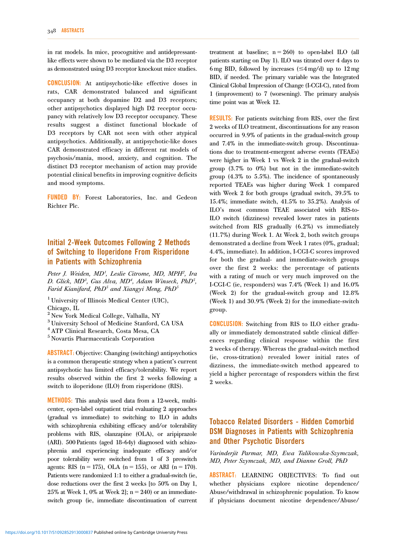in rat models. In mice, procognitive and antidepressantlike effects were shown to be mediated via the D3 receptor as demonstrated using D3 receptor knockout mice studies.

CONCLUSION: At antipsychotic-like effective doses in rats, CAR demonstrated balanced and significant occupancy at both dopamine D2 and D3 receptors; other antipsychotics displayed high D2 receptor occupancy with relatively low D3 receptor occupancy. These results suggest a distinct functional blockade of D3 receptors by CAR not seen with other atypical antipsychotics. Additionally, at antipsychotic-like doses CAR demonstrated efficacy in different rat models of psychosis/mania, mood, anxiety, and cognition. The distinct D3 receptor mechanism of action may provide potential clinical benefits in improving cognitive deficits and mood symptoms.

FUNDED BY: Forest Laboratories, Inc. and Gedeon Richter Plc.

## Initial 2-Week Outcomes Following 2 Methods of Switching to Iloperidone From Risperidone in Patients with Schizophrenia

Peter J. Weiden, MD<sup>1</sup>, Leslie Citrome, MD, MPH<sup>2</sup>, Ira D. Glick,  $MD^3$ , Gus Alva,  $MD^4$ , Adam Winseck,  $PhD^5$ , Farid Kianifard,  $PhD<sup>5</sup>$  and Xiangyi Meng,  $PhD<sup>5</sup>$ 

<sup>1</sup> University of Illinois Medical Center (UIC), Chicago, IL

<sup>2</sup> New York Medical College, Valhalla, NY

- <sup>3</sup> University School of Medicine Stanford, CA USA
- <sup>4</sup> ATP Clinical Research, Costa Mesa, CA

<sup>5</sup> Novartis Pharmaceuticals Corporation

ABSTRACT: Objective: Changing (switching) antipsychotics is a common therapeutic strategy when a patient's current antipsychotic has limited efficacy/tolerability. We report results observed within the first 2 weeks following a switch to iloperidone (ILO) from risperidone (RIS).

METHODS: This analysis used data from a 12-week, multicenter, open-label outpatient trial evaluating 2 approaches (gradual vs immediate) to switching to ILO in adults with schizophrenia exhibiting efficacy and/or tolerability problems with RIS, olanzapine (OLA), or aripiprazole (ARI). 500 Patients (aged 18–64y) diagnosed with schizophrenia and experiencing inadequate efficacy and/or poor tolerability were switched from 1 of 3 preswitch agents: RIS (n = 175), OLA (n = 155), or ARI (n = 170). Patients were randomized 1:1 to either a gradual-switch (ie, dose reductions over the first 2 weeks [to 50% on Day 1, 25% at Week 1, 0% at Week 2:  $n = 240$  or an immediateswitch group (ie, immediate discontinuation of current treatment at baseline;  $n = 260$ ) to open-label ILO (all patients starting on Day 1). ILO was titrated over 4 days to 6 mg BID, followed by increases  $(\leq 4 \text{ mg/d})$  up to  $12 \text{ mg}$ BID, if needed. The primary variable was the Integrated Clinical Global Impression of Change (I-CGI-C), rated from 1 (improvement) to 7 (worsening). The primary analysis time point was at Week 12.

RESULTS: For patients switching from RIS, over the first 2 weeks of ILO treatment, discontinuations for any reason occurred in 9.9% of patients in the gradual-switch group and 7.4% in the immediate-switch group. Discontinuations due to treatment-emergent adverse events (TEAEs) were higher in Week 1 vs Week 2 in the gradual-switch group (3.7% to 0%) but not in the immediate-switch group (4.3% to 5.5%). The incidence of spontaneously reported TEAEs was higher during Week 1 compared with Week 2 for both groups (gradual switch, 39.5% to 15.4%; immediate switch, 41.5% to 35.2%). Analysis of ILO's most common TEAE associated with RIS-to-ILO switch (dizziness) revealed lower rates in patients switched from RIS gradually (6.2%) vs immediately (11.7%) during Week 1. At Week 2, both switch groups demonstrated a decline from Week 1 rates (0%, gradual; 4.4%, immediate). In addition, I-CGI-C scores improved for both the gradual- and immediate-switch groups over the first 2 weeks: the percentage of patients with a rating of much or very much improved on the I-CGI-C (ie, responders) was 7.4% (Week 1) and 16.0% (Week 2) for the gradual-switch group and 12.8% (Week 1) and 30.9% (Week 2) for the immediate-switch group.

CONCLUSION: Switching from RIS to ILO either gradually or immediately demonstrated subtle clinical differences regarding clinical response within the first 2 weeks of therapy. Whereas the gradual-switch method (ie, cross-titration) revealed lower initial rates of dizziness, the immediate-switch method appeared to yield a higher percentage of responders within the first 2 weeks.

## Tobacco Related Disorders - Hidden Comorbid DSM Diagnoses in Patients with Schizophrenia and Other Psychotic Disorders

Varinderjit Parmar, MD, Ewa Talikowska-Szymczak, MD, Peter Szymczak, MD, and Dianne Groll, PhD

ABSTRACT: LEARNING OBJECTIVES: To find out whether physicians explore nicotine dependence/ Abuse/withdrawal in schizophrenic population. To know if physicians document nicotine dependence/Abuse/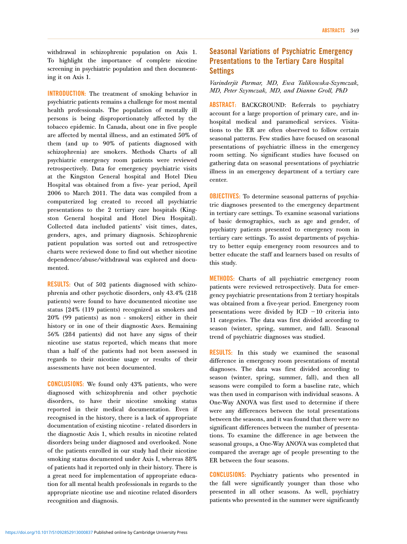withdrawal in schizophrenic population on Axis 1. To highlight the importance of complete nicotine screening in psychiatric population and then documenting it on Axis 1.

INTRODUCTION: The treatment of smoking behavior in psychiatric patients remains a challenge for most mental health professionals. The population of mentally ill persons is being disproportionately affected by the tobacco epidemic. In Canada, about one in five people are affected by mental illness, and an estimated 50% of them (and up to 90% of patients diagnosed with schizophrenia) are smokers. Methods Charts of all psychiatric emergency room patients were reviewed retrospectively. Data for emergency psychiatric visits at the Kingston General hospital and Hotel Dieu Hospital was obtained from a five- year period, April 2006 to March 2011. The data was compiled from a computerized log created to record all psychiatric presentations to the 2 tertiary care hospitals (Kingston General hospital and Hotel Dieu Hospital). Collected data included patients' visit times, dates, genders, ages, and primary diagnosis. Schizophrenic patient population was sorted out and retrospective charts were reviewed done to find out whether nicotine dependence/abuse/withdrawal was explored and documented.

RESULTS: Out of 502 patients diagnosed with schizophrenia and other psychotic disorders, only 43.4% (218 patients) were found to have documented nicotine use status [24% (119 patients) recognized as smokers and 20% (99 patients) as non - smokers] either in their history or in one of their diagnostic Axes. Remaining 56% (284 patients) did not have any signs of their nicotine use status reported, which means that more than a half of the patients had not been assessed in regards to their nicotine usage or results of their assessments have not been documented.

CONCLUSIONS: We found only 43% patients, who were diagnosed with schizophrenia and other psychotic disorders, to have their nicotine smoking status reported in their medical documentation. Even if recognised in the history, there is a lack of appropriate documentation of existing nicotine - related disorders in the diagnostic Axis 1, which results in nicotine related disorders being under diagnosed and overlooked. None of the patients enrolled in our study had their nicotine smoking status documented under Axis I, whereas 88% of patients had it reported only in their history. There is a great need for implementation of appropriate education for all mental health professionals in regards to the appropriate nicotine use and nicotine related disorders recognition and diagnosis.

## Seasonal Variations of Psychiatric Emergency Presentations to the Tertiary Care Hospital **Settings**

#### Varinderjit Parmar, MD, Ewa Talikowska-Szymczak, MD, Peter Szymczak, MD, and Dianne Groll, PhD

ABSTRACT: BACKGROUND: Referrals to psychiatry account for a large proportion of primary care, and inhospital medical and paramedical services. Visitations to the ER are often observed to follow certain seasonal patterns. Few studies have focused on seasonal presentations of psychiatric illness in the emergency room setting. No significant studies have focused on gathering data on seasonal presentations of psychiatric illness in an emergency department of a tertiary care center.

**OBJECTIVES:** To determine seasonal patterns of psychiatric diagnoses presented to the emergency department in tertiary care settings. To examine seasonal variations of basic demographics, such as age and gender, of psychiatry patients presented to emergency room in tertiary care settings. To assist departments of psychiatry to better equip emergency room resources and to better educate the staff and learners based on results of this study.

METHODS: Charts of all psychiatric emergency room patients were reviewed retrospectively. Data for emergency psychiatric presentations from 2 tertiary hospitals was obtained from a five-year period. Emergency room presentations were divided by ICD  $-10$  criteria into 11 categories. The data was first divided according to season (winter, spring, summer, and fall). Seasonal trend of psychiatric diagnoses was studied.

RESULTS: In this study we examined the seasonal difference in emergency room presentations of mental diagnoses. The data was first divided according to season (winter, spring, summer, fall), and then all seasons were compiled to form a baseline rate, which was then used in comparison with individual seasons. A One-Way ANOVA was first used to determine if there were any differences between the total presentations between the seasons, and it was found that there were no significant differences between the number of presentations. To examine the difference in age between the seasonal groups, a One-Way ANOVA was completed that compared the average age of people presenting to the ER between the four seasons.

CONCLUSIONS: Psychiatry patients who presented in the fall were significantly younger than those who presented in all other seasons. As well, psychiatry patients who presented in the summer were significantly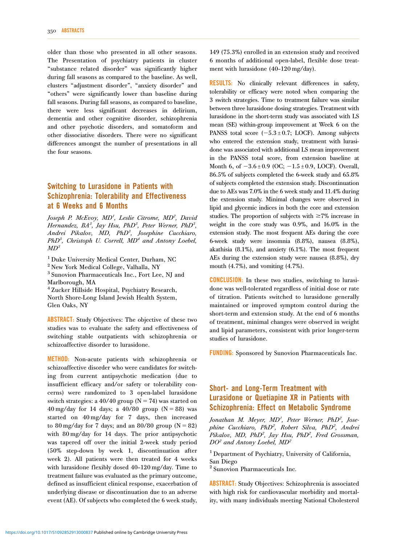older than those who presented in all other seasons. The Presentation of psychiatry patients in cluster "substance related disorder" was significantly higher during fall seasons as compared to the baseline. As well, clusters ''adjustment disorder'', ''anxiety disorder'' and ''others'' were significantly lower than baseline during fall seasons. During fall seasons, as compared to baseline, there were less significant decreases in delirium, dementia and other cognitive disorder, schizophrenia and other psychotic disorders, and somatoform and other dissociative disorders. There were no significant differences amongst the number of presentations in all the four seasons.

## Switching to Lurasidone in Patients with Schizophrenia: Tolerability and Effectiveness at 6 Weeks and 6 Months

Joseph P. McEvoy, MD<sup>1</sup>, Leslie Citrome, MD<sup>2</sup>, David Hernandez, BA $^3$ , Jay Hsu, PhD $^3$ , Peter Werner, PhD $^3$ , Andrei Pikalov, MD, PhD<sup>3</sup>, Josephine Cucchiaro, PhD<sup>3</sup>, Christoph U. Correll, MD<sup>4</sup> and Antony Loebel,  $MD^3$ 

<sup>1</sup> Duke University Medical Center, Durham, NC <sup>2</sup> New York Medical College, Valhalla, NY <sup>3</sup> Sunovion Pharmaceuticals Inc., Fort Lee, NJ and Marlborough, MA

<sup>4</sup> Zucker Hillside Hospital, Psychiatry Research, North Shore-Long Island Jewish Health System, Glen Oaks, NY

**ABSTRACT:** Study Objectives: The objective of these two studies was to evaluate the safety and effectiveness of switching stable outpatients with schizophrenia or schizoaffective disorder to lurasidone.

METHOD: Non-acute patients with schizophrenia or schizoaffective disorder who were candidates for switching from current antipsychotic medication (due to insufficient efficacy and/or safety or tolerability concerns) were randomized to 3 open-label lurasidone switch strategies: a  $40/40$  group (N = 74) was started on  $40 \text{ mg/day}$  for 14 days; a  $40/80 \text{ group}$  (N = 88) was started on 40 mg/day for 7 days, then increased to 80 mg/day for 7 days; and an 80/80 group  $(N = 82)$ with 80 mg/day for 14 days. The prior antipsychotic was tapered off over the initial 2-week study period (50% step-down by week 1, discontinuation after week 2). All patients were then treated for 4 weeks with lurasidone flexibly dosed 40–120 mg/day. Time to treatment failure was evaluated as the primary outcome, defined as insufficient clinical response, exacerbation of underlying disease or discontinuation due to an adverse event (AE). Of subjects who completed the 6 week study,

149 (75.3%) enrolled in an extension study and received 6 months of additional open-label, flexible dose treatment with lurasidone (40–120 mg/day).

RESULTS: No clinically relevant differences in safety, tolerability or efficacy were noted when comparing the 3 switch strategies. Time to treatment failure was similar between three lurasidone dosing strategies. Treatment with lurasidone in the short-term study was associated with LS mean (SE) within-group improvement at Week 6 on the PANSS total score  $(-5.3 \pm 0.7;$  LOCF). Among subjects who entered the extension study, treatment with lurasidone was associated with additional LS mean improvement in the PANSS total score, from extension baseline at Month 6, of  $-3.6 \pm 0.9$  (OC;  $-1.5 \pm 0.9$ , LOCF). Overall, 86.5% of subjects completed the 6-week study and 65.8% of subjects completed the extension study. Discontinuation due to AEs was 7.0% in the 6 week study and 11.4% during the extension study. Minimal changes were observed in lipid and glycemic indices in both the core and extension studies. The proportion of subjects with  $\geq 7\%$  increase in weight in the core study was 0.9%, and 16.0% in the extension study. The most frequent AEs during the core 6-week study were insomnia (8.8%), nausea (8.8%), akathisia (8.1%), and anxiety (6.1%). The most frequent AEs during the extension study were nausea (8.8%), dry mouth (4.7%), and vomiting (4.7%).

CONCLUSION: In these two studies, switching to lurasidone was well-tolerated regardless of initial dose or rate of titration. Patients switched to lurasidone generally maintained or improved symptom control during the short-term and extension study. At the end of 6 months of treatment, minimal changes were observed in weight and lipid parameters, consistent with prior longer-term studies of lurasidone.

FUNDING: Sponsored by Sunovion Pharmaceuticals Inc.

## Short- and Long-Term Treatment with Lurasidone or Quetiapine XR in Patients with Schizophrenia: Effect on Metabolic Syndrome

Jonathan M. Meyer, MD<sup>1</sup>, Peter Werner, PhD<sup>2</sup>, Josephine Cucchiaro, PhD<sup>2</sup>, Robert Silva, PhD<sup>2</sup>, Andrei Pikalov, MD, PhD<sup>2</sup>, Jay Hsu, PhD<sup>2</sup>, Fred Grossman, DO<sup>2</sup> and Antony Loebel, MD<sup>2</sup>

<sup>1</sup> Department of Psychiatry, University of California, San Diego

<sup>2</sup> Sunovion Pharmaceuticals Inc.

ABSTRACT: Study Objectives: Schizophrenia is associated with high risk for cardiovascular morbidity and mortality, with many individuals meeting National Cholesterol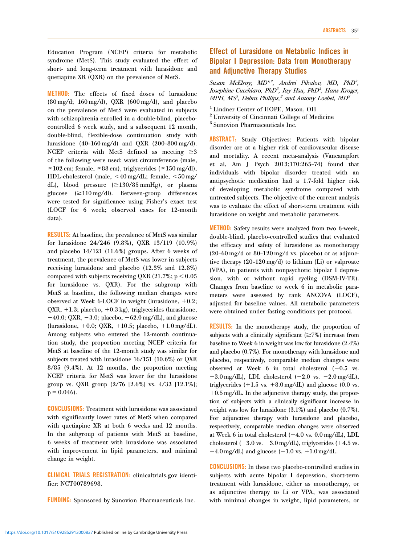Education Program (NCEP) criteria for metabolic syndrome (MetS). This study evaluated the effect of short- and long-term treatment with lurasidone and quetiapine XR (QXR) on the prevalence of MetS.

METHOD: The effects of fixed doses of lurasidone (80 mg/d; 160 mg/d), QXR (600 mg/d), and placebo on the prevalence of MetS were evaluated in subjects with schizophrenia enrolled in a double-blind, placebocontrolled 6 week study, and a subsequent 12 month, double-blind, flexible-dose continuation study with lurasidone (40–160 mg/d) and QXR (200–800 mg/d). NCEP criteria with MetS defined as meeting  $\geq 3$ of the following were used: waist circumference (male,  $\geq$ 102 cm; female,  $\geq$ 88 cm), triglycerides ( $\geq$ 150 mg/dl), HDL-cholesterol (male,  $\langle 40 \text{ mg/dL}$ ; female,  $\langle 50 \text{ mg}/$ dL), blood pressure  $(\geq 130/85 \text{ mmHg})$ , or plasma glucose  $(\geq 110 \text{ mg/dl})$ . Between-group differences were tested for significance using Fisher's exact test (LOCF for 6 week; observed cases for 12-month data).

RESULTS: At baseline, the prevalence of MetS was similar for lurasidone 24/246 (9.8%), QXR 13/119 (10.9%) and placebo 14/121 (11.6%) groups. After 6 weeks of treatment, the prevalence of MetS was lower in subjects receiving lurasidone and placebo (12.3% and 12.8%) compared with subjects receiving QXR (21.7%;  $p < 0.05$ ) for lurasidone vs. QXR). For the subgroup with MetS at baseline, the following median changes were observed at Week 6-LOCF in weight (lurasidone,  $+0.2$ ; QXR,  $+1.3$ ; placebo,  $+0.3$  kg), triglycerides (lurasidone,  $-40.0$ ; QXR,  $-3.0$ ; placebo,  $-62.0$  mg/dL), and glucose (lurasidone,  $+0.0$ ; QXR,  $+10.5$ ; placebo,  $+1.0$  mg/dL). Among subjects who entered the 12-month continuation study, the proportion meeting NCEP criteria for MetS at baseline of the 12-month study was similar for subjects treated with lurasidone 16/151 (10.6%) or QXR 8/85 (9.4%). At 12 months, the proportion meeting NCEP criteria for MetS was lower for the lurasidone group vs. QXR group (2/76 [2.6%] vs. 4/33 [12.1%];  $p = 0.046$ .

CONCLUSIONS: Treatment with lurasidone was associated with significantly lower rates of MetS when compared with quetiapine XR at both 6 weeks and 12 months. In the subgroup of patients with MetS at baseline, 6 weeks of treatment with lurasidone was associated with improvement in lipid parameters, and minimal change in weight.

CLINICAL TRIALS REGISTRATION: clinicaltrials.gov identifier: NCT00789698.

FUNDING: Sponsored by Sunovion Pharmaceuticals Inc.

## Effect of Lurasidone on Metabolic Indices in Bipolar I Depression: Data from Monotherapy and Adjunctive Therapy Studies

Susan McElroy, MD<sup>1,2</sup>, Andrei Pikalov, MD, PhD<sup>3</sup>, Josephine Cucchiaro, PhD<sup>3</sup>, Jay Hsu, PhD<sup>3</sup>, Hans Kroger, MPH, MS $^{\rm 3}$ , Debra Phillips, $^{\rm 3}$  and Antony Loebel, MD $^{\rm 3}$ 

<sup>1</sup> Lindner Center of HOPE, Mason, OH

- <sup>2</sup> University of Cincinnati College of Medicine
- <sup>3</sup> Sunovion Pharmaceuticals Inc.

ABSTRACT: Study Objectives: Patients with bipolar disorder are at a higher risk of cardiovascular disease and mortality. A recent meta-analysis (Vancampfort et al, Am J Psych 2013;170:265–74) found that individuals with bipolar disorder treated with an antipsychotic medication had a 1.7-fold higher risk of developing metabolic syndrome compared with untreated subjects. The objective of the current analysis was to evaluate the effect of short-term treatment with lurasidone on weight and metabolic parameters.

METHOD: Safety results were analyzed from two 6-week, double-blind, placebo-controlled studies that evaluated the efficacy and safety of lurasidone as monotherapy  $(20-60 \text{ mg/d or } 80-120 \text{ mg/d vs. placebo})$  or as adjunctive therapy (20–120 mg/d) to lithium (Li) or valproate (VPA), in patients with nonpsychotic bipolar I depression, with or without rapid cycling (DSM-IV-TR). Changes from baseline to week 6 in metabolic parameters were assessed by rank ANCOVA (LOCF), adjusted for baseline values. All metabolic parameters were obtained under fasting conditions per protocol.

RESULTS: In the monotherapy study, the proportion of subjects with a clinically significant  $(\geq 7\%)$  increase from baseline to Week 6 in weight was low for lurasidone (2.4%) and placebo (0.7%). For monotherapy with lurasidone and placebo, respectively, comparable median changes were observed at Week  $6$  in total cholesterol  $(-0.5 \text{ vs.}$  $-3.0$  mg/dL), LDL cholesterol  $(-2.0 \text{ vs. } -2.0 \text{ mg/dL})$ , triglycerides  $(+1.5 \text{ vs. } +8.0 \text{ mg/dL})$  and glucose  $(0.0 \text{ vs. } +8.0 \text{ mg/dL})$  $+0.5$  mg/dL. In the adjunctive therapy study, the proportion of subjects with a clinically significant increase in weight was low for lurasidone (3.1%) and placebo (0.7%). For adjunctive therapy with lurasidone and placebo, respectively, comparable median changes were observed at Week 6 in total cholesterol  $(-4.0 \text{ vs. } 0.0 \text{ mg/dL})$ , LDL cholesterol  $(-3.0 \text{ vs. } -3.0 \text{ mg/dL})$ , triglycerides  $(+4.5 \text{ vs. } -3.0 \text{ mg/dL})$  $-4.0$  mg/dL) and glucose (+1.0 vs.  $+1.0$  mg/dL.

CONCLUSIONS: In these two placebo-controlled studies in subjects with acute bipolar I depression, short-term treatment with lurasidone, either as monotherapy, or as adjunctive therapy to Li or VPA, was associated with minimal changes in weight, lipid parameters, or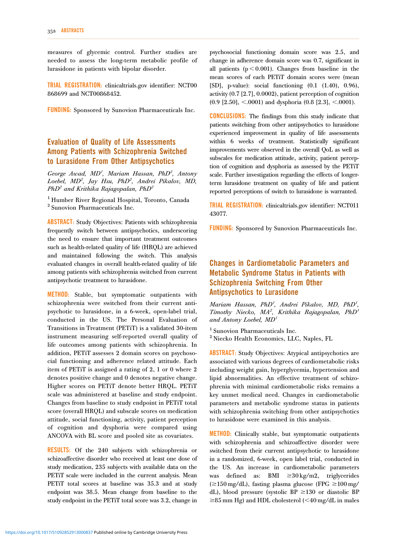measures of glycemic control. Further studies are needed to assess the long-term metabolic profile of lurasidone in patients with bipolar disorder.

TRIAL REGISTRATION: clinicaltrials.gov identifier: NCT00 868699 and NCT00868452.

FUNDING: Sponsored by Sunovion Pharmaceuticals Inc.

## Evaluation of Quality of Life Assessments Among Patients with Schizophrenia Switched to Lurasidone From Other Antipsychotics

George Awad, MD<sup>1</sup>, Mariam Hassan, PhD<sup>2</sup>, Antony Loebel, MD<sup>2</sup>, Jay Hsu, PhD<sup>2</sup>, Andrei Pikalov, MD,  $PhD<sup>2</sup>$  and Krithika Rajagopalan, Ph $D<sup>2</sup>$ 

<sup>1</sup> Humber River Regional Hospital, Toronto, Canada <sup>2</sup> Sunovion Pharmaceuticals Inc.

**ABSTRACT:** Study Objectives: Patients with schizophrenia frequently switch between antipsychotics, underscoring the need to ensure that important treatment outcomes such as health-related quality of life (HRQL) are achieved and maintained following the switch. This analysis evaluated changes in overall health-related quality of life among patients with schizophrenia switched from current antipsychotic treatment to lurasidone.

METHOD: Stable, but symptomatic outpatients with schizophrenia were switched from their current antipsychotic to lurasidone, in a 6-week, open-label trial, conducted in the US. The Personal Evaluation of Transitions in Treatment (PETiT) is a validated 30-item instrument measuring self-reported overall quality of life outcomes among patients with schizophrenia. In addition, PETiT assesses 2 domain scores on psychosocial functioning and adherence related attitude. Each item of PETiT is assigned a rating of 2, 1 or 0 where 2 denotes positive change and 0 denotes negative change. Higher scores on PETiT denote better HRQL. PETiT scale was administered at baseline and study endpoint. Changes from baseline to study endpoint in PETiT total score (overall HRQL) and subscale scores on medication attitude, social functioning, activity, patient perception of cognition and dysphoria were compared using ANCOVA with BL score and pooled site as covariates.

**RESULTS:** Of the 240 subjects with schizophrenia or schizoaffective disorder who received at least one dose of study medication, 235 subjects with available data on the PETiT scale were included in the current analysis. Mean PETiT total scores at baseline was 35.3 and at study endpoint was 38.5. Mean change from baseline to the study endpoint in the PETiT total score was 3.2, change in

psychosocial functioning domain score was 2.5, and change in adherence domain score was 0.7, significant in all patients  $(p < 0.001)$ . Changes from baseline in the mean scores of each PETiT domain scores were (mean [SD], p-value): social functioning (0.1 (1.40), 0.96), activity (0.7 [2.7], 0.0002), patient perception of cognition  $(0.9 \ [2.50], \ <.0001)$  and dysphoria  $(0.8 \ [2.3], \ <.0001)$ .

CONCLUSIONS: The findings from this study indicate that patients switching from other antipsychotics to lurasidone experienced improvement in quality of life assessments within 6 weeks of treatment. Statistically significant improvements were observed in the overall QoL as well as subscales for medication attitude, activity, patient perception of cognition and dysphoria as assessed by the PETiT scale. Further investigation regarding the effects of longerterm lurasidone treatment on quality of life and patient reported perceptions of switch to lurasidone is warranted.

TRIAL REGISTRATION: clinicaltrials.gov identifier: NCT011 43077.

FUNDING: Sponsored by Sunovion Pharmaceuticals Inc.

## Changes in Cardiometabolic Parameters and Metabolic Syndrome Status in Patients with Schizophrenia Switching From Other Antipsychotics to Lurasidone

Mariam Hassan, PhD<sup>1</sup>, Andrei Pikalov, MD, PhD<sup>1</sup>, , Timothy Niecko, MA<sup>2</sup>, Krithika Rajagopalan, PhD<sup>1</sup> and Antony Loebel,  $MD'$ 

<sup>1</sup> Sunovion Pharmaceuticals Inc.

<sup>2</sup> Niecko Health Economics, LLC, Naples, FL

**ABSTRACT:** Study Objectives: Atypical antipsychotics are associated with various degrees of cardiometabolic risks including weight gain, hyperglycemia, hypertension and lipid abnormalities. An effective treatment of schizophrenia with minimal cardiometabolic risks remains a key unmet medical need. Changes in cardiometabolic parameters and metabolic syndrome status in patients with schizophrenia switching from other antipsychotics to lurasidone were examined in this analysis.

METHOD: Clinically stable, but symptomatic outpatients with schizophrenia and schizoaffective disorder were switched from their current antipsychotic to lurasidone in a randomized, 6-week, open label trial, conducted in the US. An increase in cardiometabolic parameters was defined as: BMI  $\geq 30 \text{ kg/m2}$ , triglycerides  $(\geq 150 \text{ mg/dL})$ , fasting plasma glucose (FPG  $\geq 100 \text{ mg/d}$ dL), blood pressure (systolic BP  $\geq$ 130 or diastolic BP  $\geq$ 85 mm Hg) and HDL cholesterol ( $\leq$ 40 mg/dL in males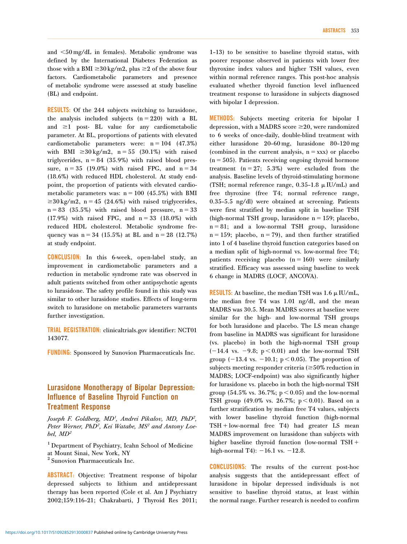and  $\leq 50$  mg/dL in females). Metabolic syndrome was defined by the International Diabetes Federation as those with a BMI  $\geq 30 \text{ kg/m2}$ , plus  $\geq 2$  of the above four factors. Cardiometabolic parameters and presence of metabolic syndrome were assessed at study baseline (BL) and endpoint.

**RESULTS:** Of the 244 subjects switching to lurasidone, the analysis included subjects  $(n = 220)$  with a BL and  $\geq 1$  post- BL value for any cardiometabolic parameter. At BL, proportions of patients with elevated cardiometabolic parameters were:  $n = 104$  (47.3%) with BMI  $\geq 30 \text{ kg/m2}$ , n = 55 (30.1%) with raised triglycerides,  $n = 84$  (35.9%) with raised blood pressure,  $n = 35$  (19.0%) with raised FPG, and  $n = 34$ (18.6%) with reduced HDL cholesterol. At study endpoint, the proportion of patients with elevated cardiometabolic parameters was:  $n = 100$  (45.5%) with BMI  $\geq$ 30 kg/m2, n = 45 (24.6%) with raised triglycerides,  $n = 83$  (35.5%) with raised blood pressure,  $n = 33$  $(17.9\%)$  with raised FPG, and  $n = 33$   $(18.0\%)$  with reduced HDL cholesterol. Metabolic syndrome frequency was  $n = 34$  (15.5%) at BL and  $n = 28$  (12.7%) at study endpoint.

CONCLUSION: In this 6-week, open-label study, an improvement in cardiometabolic parameters and a reduction in metabolic syndrome rate was observed in adult patients switched from other antipsychotic agents to lurasidone. The safety profile found in this study was similar to other lurasidone studies. Effects of long-term switch to lurasidone on metabolic parameters warrants further investigation.

TRIAL REGISTRATION: clinicaltrials.gov identifier: NCT01 143077.

FUNDING: Sponsored by Sunovion Pharmaceuticals Inc.

### Lurasidone Monotherapy of Bipolar Depression: Influence of Baseline Thyroid Function on Treatment Response

Joseph F. Goldberg, MD<sup>1</sup>, Andrei Pikalov, MD, PhD<sup>2</sup>, Peter Werner, PhD<sup>2</sup>, Kei Watabe,  $MS^2$  and Antony Loebel, MD<sup>2</sup>

<sup>1</sup> Department of Psychiatry, Icahn School of Medicine at Mount Sinai, New York, NY <sup>2</sup> Sunovion Pharmaceuticals Inc.

ABSTRACT: Objective: Treatment response of bipolar depressed subjects to lithium and antidepressant therapy has been reported (Cole et al. Am J Psychiatry 2002;159:116–21; Chakrabarti, J Thyroid Res 2011;

1–13) to be sensitive to baseline thyroid status, with poorer response observed in patients with lower free thyroxine index values and higher TSH values, even within normal reference ranges. This post-hoc analysis evaluated whether thyroid function level influenced treatment response to lurasidone in subjects diagnosed with bipolar I depression.

METHODS: Subjects meeting criteria for bipolar I depression, with a MADRS score  $\geq 20$ , were randomized to 6 weeks of once-daily, double-blind treatment with either lurasidone 20–60 mg, lurasidone 80–120 mg (combined in the current analysis,  $n =$ xxx) or placebo  $(n = 505)$ . Patients receiving ongoing thyroid hormone treatment  $(n = 27; 5.3\%)$  were excluded from the analysis. Baseline levels of thyroid-stimulating hormone (TSH; normal reference range,  $0.35$ -1.8  $\mu$ IU/mL) and free thyroxine (free T4; normal reference range, 0.35–5.5 ng/dl) were obtained at screening. Patients were first stratified by median split in baseline TSH (high-normal TSH group, lurasidone  $n = 159$ ; placebo,  $n = 81$ ; and a low-normal TSH group, lurasidone  $n = 159$ ; placebo,  $n = 79$ ), and then further stratified into 1 of 4 baseline thyroid function categories based on a median split of high-normal vs. low-normal free T4; patients receiving placebo  $(n = 160)$  were similarly stratified. Efficacy was assessed using baseline to week 6 change in MADRS (LOCF, ANCOVA).

**RESULTS:** At baseline, the median TSH was  $1.6 \mu$  IU/mL, the median free T4 was 1.01 ng/dl, and the mean MADRS was 30.5. Mean MADRS scores at baseline were similar for the high- and low-normal TSH groups for both lurasidone and placebo. The LS mean change from baseline in MADRS was significant for lurasidone (vs. placebo) in both the high-normal TSH group  $(-14.4 \text{ vs. } -9.8; \text{ p} < 0.01)$  and the low-normal TSH group  $(-13.4 \text{ vs. } -10.1; \text{ p} < 0.05)$ . The proportion of subjects meeting responder criteria  $(\geq 50\%$  reduction in MADRS; LOCF-endpoint) was also significantly higher for lurasidone vs. placebo in both the high-normal TSH group (54.5% vs. 36.7%;  $p < 0.05$ ) and the low-normal TSH group  $(49.0\% \text{ vs. } 26.7\%; \text{ p} < 0.01)$ . Based on a further stratification by median free T4 values, subjects with lower baseline thyroid function (high-normal  $TSH + low-normal$  free T4) had greater LS mean MADRS improvement on lurasidone than subjects with higher baseline thyroid function (low-normal TSH + high-normal T4):  $-16.1$  vs.  $-12.8$ .

CONCLUSIONS: The results of the current post-hoc analysis suggests that the antidepressant effect of lurasidone in bipolar depressed individuals is not sensitive to baseline thyroid status, at least within the normal range. Further research is needed to confirm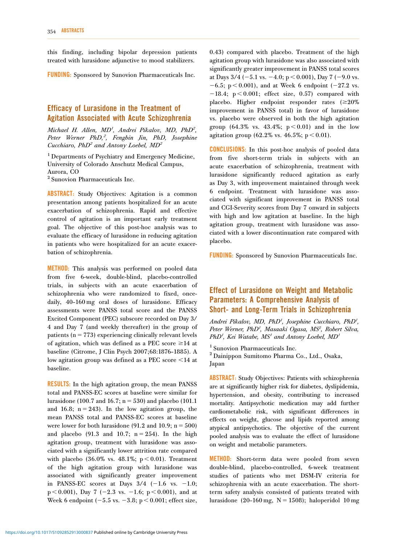this finding, including bipolar depression patients treated with lurasidone adjunctive to mood stabilizers.

FUNDING: Sponsored by Sunovion Pharmaceuticals Inc.

#### Efficacy of Lurasidone in the Treatment of Agitation Associated with Acute Schizophrenia

Michael H. Allen, MD<sup>1</sup>, Andrei Pikalov, MD, PhD<sup>2</sup>, Peter Werner PhD,<sup>2</sup>, Fengbin Jin, PhD, Josephine Cucchiaro,  $PhD<sup>2</sup>$  and Antony Loebel,  $MD<sup>2</sup>$ 

<sup>1</sup> Departments of Psychiatry and Emergency Medicine, University of Colorado Anschutz Medical Campus, Aurora, CO

<sup>2</sup> Sunovion Pharmaceuticals Inc.

ABSTRACT: Study Objectives: Agitation is a common presentation among patients hospitalized for an acute exacerbation of schizophrenia. Rapid and effective control of agitation is an important early treatment goal. The objective of this post-hoc analysis was to evaluate the efficacy of lurasidone in reducing agitation in patients who were hospitalized for an acute exacerbation of schizophrenia.

**METHOD:** This analysis was performed on pooled data from five 6-week, double-blind, placebo-controlled trials, in subjects with an acute exacerbation of schizophrenia who were randomized to fixed, oncedaily, 40–160 mg oral doses of lurasidone. Efficacy assessments were PANSS total score and the PANSS Excited Component (PEC) subscore recorded on Day 3/ 4 and Day 7 (and weekly thereafter) in the group of patients ( $n = 773$ ) experiencing clinically relevant levels of agitation, which was defined as a PEC score  $\geq$ 14 at baseline (Citrome, J Clin Psych 2007;68:1876–1885). A low agitation group was defined as a PEC score  $<$  14 at baseline.

**RESULTS:** In the high agitation group, the mean PANSS total and PANSS-EC scores at baseline were similar for lurasidone (100.7 and 16.7;  $n = 530$ ) and placebo (101.1) and 16.8;  $n = 243$ ). In the low agitation group, the mean PANSS total and PANSS-EC scores at baseline were lower for both lurasidone (91.2 and 10.9;  $n = 500$ ) and placebo (91.3 and 10.7;  $n = 254$ ). In the high agitation group, treatment with lurasidone was associated with a significantly lower attrition rate compared with placebo  $(36.0\% \text{ vs. } 48.1\%; \text{ p} < 0.01)$ . Treatment of the high agitation group with lurasidone was associated with significantly greater improvement in PANSS-EC scores at Days  $3/4$   $(-1.6$  vs.  $-1.0;$  $p < 0.001$ ), Day 7 (-2.3 vs. -1.6;  $p < 0.001$ ), and at Week 6 endpoint  $(-5.5 \text{ vs. } -3.8; \text{ p} < 0.001;$  effect size,

0.43) compared with placebo. Treatment of the high agitation group with lurasidone was also associated with significantly greater improvement in PANSS total scores at Days  $3/4$  (-5.1 vs. -4.0; p < 0.001), Day 7 (-9.0 vs.  $-6.5$ ; p < 0.001), and at Week 6 endpoint (-27.2 vs.  $-18.4$ ;  $p < 0.001$ ; effect size, 0.57) compared with placebo. Higher endpoint responder rates  $(\geq 20\%$ improvement in PANSS total) in favor of lurasidone vs. placebo were observed in both the high agitation group  $(64.3\% \text{ vs. } 43.4\%; \text{ p} < 0.01)$  and in the low agitation group (62.2% vs. 46.5%;  $p < 0.01$ ).

CONCLUSIONS: In this post-hoc analysis of pooled data from five short-term trials in subjects with an acute exacerbation of schizophrenia, treatment with lurasidone significantly reduced agitation as early as Day 3, with improvement maintained through week 6 endpoint. Treatment with lurasidone was associated with significant improvement in PANSS total and CGI-Severity scores from Day 7 onward in subjects with high and low agitation at baseline. In the high agitation group, treatment with lurasidone was associated with a lower discontinuation rate compared with placebo.

FUNDING: Sponsored by Sunovion Pharmaceuticals Inc.

### Effect of Lurasidone on Weight and Metabolic Parameters: A Comprehensive Analysis of Short- and Long-Term Trials in Schizophrenia

Andrei Pikalov, MD, PhD<sup>1</sup>, Josephine Cucchiaro, PhD<sup>1</sup>, Peter Werner, PhD<sup>1</sup>, Masaaki Ogasa, MS<sup>2</sup>, Robert Silva,  $PhD<sup>1</sup>$ , Kei Watabe,  $MS<sup>1</sup>$  and Antony Loebel,  $MD<sup>1</sup>$ 

<sup>1</sup> Sunovion Pharmaceuticals Inc.

<sup>2</sup> Dainippon Sumitomo Pharma Co., Ltd., Osaka, Japan

ABSTRACT: Study Objectives: Patients with schizophrenia are at significantly higher risk for diabetes, dyslipidemia, hypertension, and obesity, contributing to increased mortality. Antipsychotic medication may add further cardiometabolic risk, with significant differences in effects on weight, glucose and lipids reported among atypical antipsychotics. The objective of the current pooled analysis was to evaluate the effect of lurasidone on weight and metabolic parameters.

METHOD: Short-term data were pooled from seven double-blind, placebo-controlled, 6-week treatment studies of patients who met DSM-IV criteria for schizophrenia with an acute exacerbation. The shortterm safety analysis consisted of patients treated with lurasidone (20-160 mg,  $N = 1508$ ); haloperidol 10 mg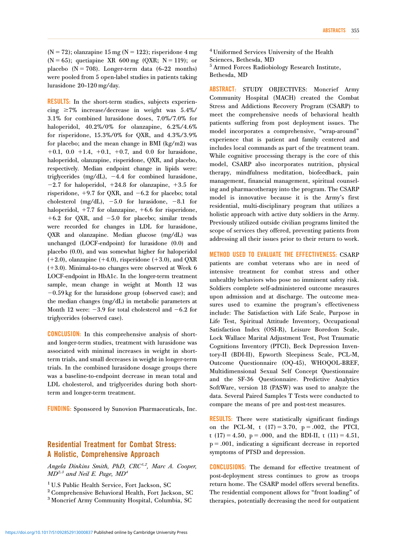$(N = 72)$ ; olanzapine 15 mg  $(N = 122)$ ; risperidone 4 mg  $(N = 65)$ ; quetiapine XR 600 mg (QXR; N = 119); or placebo  $(N = 708)$ . Longer-term data  $(6-22 \text{ months})$ were pooled from 5 open-label studies in patients taking lurasidone 20–120 mg/day.

RESULTS: In the short-term studies, subjects experiencing  $\geq 7\%$  increase/decrease in weight was 5.4%/ 3.1% for combined lurasidone doses, 7.0%/7.0% for haloperidol, 40.2%/0% for olanzapine, 6.2%/4.6% for risperidone, 15.3%/0% for QXR, and 4.3%/3.9% for placebo; and the mean change in BMI (kg/m2) was  $+0.1$ ,  $0.0 +1.4$ ,  $+0.1$ ,  $+0.7$ , and 0.0 for lurasidone, haloperidol, olanzapine, risperidone, QXR, and placebo, respectively. Median endpoint change in lipids were: triglycerides (mg/dL),  $-4.4$  for combined lurasidone,  $-2.7$  for haloperidol,  $+24.8$  for olanzapine,  $+3.5$  for risperidone,  $+9.7$  for QXR, and  $-6.2$  for placebo; total cholesterol (mg/dL),  $-5.0$  for lurasidone,  $-8.1$  for haloperidol,  $+7.7$  for olanzapine,  $+6.6$  for risperidone,  $+6.2$  for QXR, and  $-5.0$  for placebo; similar trends were recorded for changes in LDL for lurasidone, QXR and olanzapine. Median glucose (mg/dL) was unchanged (LOCF-endpoint) for lurasidone (0.0) and placebo (0.0), and was somewhat higher for haloperidol  $(+2.0)$ , olanzapine  $(+4.0)$ , risperidone  $(+3.0)$ , and QXR  $(+3.0)$ . Minimal-to-no changes were observed at Week 6 LOCF-endpoint in HbA1c. In the longer-term treatment sample, mean change in weight at Month 12 was  $-0.59$  kg for the lurasidone group (observed case); and the median changes (mg/dL) in metabolic parameters at Month 12 were:  $-3.9$  for total cholesterol and  $-6.2$  for triglycerides (observed case).

CONCLUSION: In this comprehensive analysis of shortand longer-term studies, treatment with lurasidone was associated with minimal increases in weight in shortterm trials, and small decreases in weight in longer-term trials. In the combined lurasidone dosage groups there was a baseline-to-endpoint decrease in mean total and LDL cholesterol, and triglycerides during both shortterm and longer-term treatment.

FUNDING: Sponsored by Sunovion Pharmaceuticals, Inc.

### Residential Treatment for Combat Stress: A Holistic, Comprehensive Approach

Angela Dinkins Smith, PhD, CRC<sup>1,2</sup>, Marc A. Cooper,  $\widetilde{MD}^{2,3}$  and Neil E. Page,  $MD^4$ 

<sup>1</sup> U.S Public Health Service, Fort Jackson, SC

<sup>2</sup> Comprehensive Behavioral Health, Fort Jackson, SC

<sup>3</sup> Moncrief Army Community Hospital, Columbia, SC

<sup>4</sup> Uniformed Services University of the Health Sciences, Bethesda, MD <sup>5</sup> Armed Forces Radiobiology Research Institute, Bethesda, MD

ABSTRACT: STUDY OBJECTIVES: Moncrief Army Community Hospital (MACH) created the Combat Stress and Addictions Recovery Program (CSARP) to meet the comprehensive needs of behavioral health patients suffering from post deployment issues. The model incorporates a comprehensive, ''wrap-around'' experience that is patient and family centered and includes local commands as part of the treatment team. While cognitive processing therapy is the core of this model, CSARP also incorporates nutrition, physical therapy, mindfulness meditation, biofeedback, pain management, financial management, spiritual counseling and pharmacotherapy into the program. The CSARP model is innovative because it is the Army's first residential, multi-disciplinary program that utilizes a holistic approach with active duty soldiers in the Army. Previously utilized outside civilian programs limited the scope of services they offered, preventing patients from addressing all their issues prior to their return to work.

METHOD USED TO EVALUATE THE EFFECTIVENESS: CSARP patients are combat veterans who are in need of intensive treatment for combat stress and other unhealthy behaviors who pose no imminent safety risk. Soldiers complete self-administered outcome measures upon admission and at discharge. The outcome measures used to examine the program's effectiveness include: The Satisfaction with Life Scale, Purpose in Life Test, Spiritual Attitude Inventory, Occupational Satisfaction Index (OSI-R), Leisure Boredom Scale, Lock Wallace Marital Adjustment Test, Post Traumatic Cognitions Inventory (PTCI), Beck Depression Inventory-II (BDI-II), Epworth Sleepiness Scale, PCL-M, Outcome Questionnaire (OQ-45), WHOQOL-BREF, Multidimensional Sexual Self Concept Questionnaire and the SF-36 Questionnaire. Predictive Analytics SoftWare, version 18 (PASW) was used to analyze the data. Several Paired Samples T Tests were conducted to compare the means of pre and post-test measures.

RESULTS: There were statistically significant findings on the PCL-M, t  $(17) = 3.70$ ,  $p = .002$ , the PTCI, t (17) = 4.50, p = .000, and the BDI-II, t (11) = 4.51,  $p = .001$ , indicating a significant decrease in reported symptoms of PTSD and depression.

CONCLUSIONS: The demand for effective treatment of post-deployment stress continues to grow as troops return home. The CSARP model offers several benefits. The residential component allows for "front loading" of therapies, potentially decreasing the need for outpatient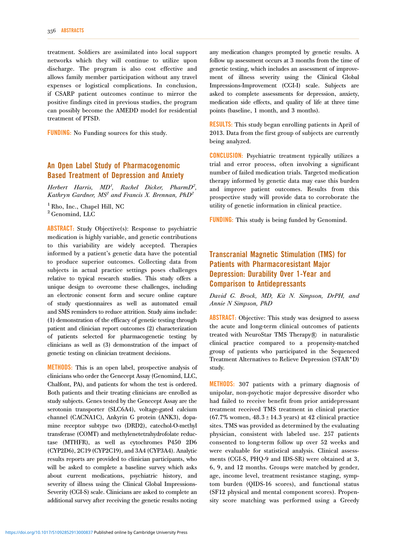treatment. Soldiers are assimilated into local support networks which they will continue to utilize upon discharge. The program is also cost effective and allows family member participation without any travel expenses or logistical complications. In conclusion, if CSARP patient outcomes continue to mirror the positive findings cited in previous studies, the program can possibly become the AMEDD model for residential treatment of PTSD.

FUNDING: No Funding sources for this study.

### An Open Label Study of Pharmacogenomic Based Treatment of Depression and Anxiety

Herbert Harris, MD<sup>1</sup>, Rachel Dicker, PharmD<sup>2</sup>, Kathryn Gardner,  $MS^2$  and Francis X. Brennan, PhD<sup>2</sup>

<sup>1</sup> Rho, Inc., Chapel Hill, NC

<sup>2</sup> Genomind, LLC

ABSTRACT: Study Objective(s): Response to psychiatric medication is highly variable, and genetic contributions to this variability are widely accepted. Therapies informed by a patient's genetic data have the potential to produce superior outcomes. Collecting data from subjects in actual practice settings poses challenges relative to typical research studies. This study offers a unique design to overcome these challenges, including an electronic consent form and secure online capture of study questionnaires as well as automated email and SMS reminders to reduce attrition. Study aims include: (1) demonstration of the efficacy of genetic testing through patient and clinician report outcomes (2) characterization of patients selected for pharmacogenetic testing by clinicians as well as (3) demonstration of the impact of genetic testing on clinician treatment decisions.

METHODS: This is an open label, prospective analysis of clinicians who order the Genecept Assay (Genomind, LLC, Chalfont, PA), and patients for whom the test is ordered. Both patients and their treating clinicians are enrolled as study subjects. Genes tested by the Genecept Assay are the serotonin transporter (SLC6A4), voltage-gated calcium channel (CACNA1C), Ankyrin G protein (ANK3), dopamine receptor subtype two (DRD2), catechol-O-methyl transferase (COMT) and methylenetetrahydrofolate reductase (MTHFR), as well as cytochromes P450 2D6 (CYP2D6), 2C19 (CYP2C19), and 3A4 (CYP3A4). Analytic results reports are provided to clinician participants, who will be asked to complete a baseline survey which asks about current medications, psychiatric history, and severity of illness using the Clinical Global Impressions-Severity (CGI-S) scale. Clinicians are asked to complete an additional survey after receiving the genetic results noting

any medication changes prompted by genetic results. A follow up assessment occurs at 3 months from the time of genetic testing, which includes an assessment of improvement of illness severity using the Clinical Global Impressions-Improvement (CGI-I) scale. Subjects are asked to complete assessments for depression, anxiety, medication side effects, and quality of life at three time points (baseline, 1 month, and 3 months).

RESULTS: This study began enrolling patients in April of 2013. Data from the first group of subjects are currently being analyzed.

CONCLUSION: Psychiatric treatment typically utilizes a trial and error process, often involving a significant number of failed medication trials. Targeted medication therapy informed by genetic data may ease this burden and improve patient outcomes. Results from this prospective study will provide data to corroborate the utility of genetic information in clinical practice.

**FUNDING:** This study is being funded by Genomind.

## Transcranial Magnetic Stimulation (TMS) for Patients with Pharmacoresistant Major Depression: Durability Over 1-Year and Comparison to Antidepressants

David G. Brock, MD, Kit N. Simpson, DrPH, and Annie N Simpson, PhD

**ABSTRACT:** Objective: This study was designed to assess the acute and long-term clinical outcomes of patients treated with NeuroStar TMS Therapy® in naturalistic clinical practice compared to a propensity-matched group of patients who participated in the Sequenced Treatment Alternatives to Relieve Depression (STAR\*D) study.

METHODS: 307 patients with a primary diagnosis of unipolar, non-psychotic major depressive disorder who had failed to receive benefit from prior antidepressant treatment received TMS treatment in clinical practice (67.7% women,  $48.3 \pm 14.3$  years) at 42 clinical practice sites. TMS was provided as determined by the evaluating physician, consistent with labeled use. 257 patients consented to long-term follow up over 52 weeks and were evaluable for statistical analysis. Clinical assessments (CGI-S, PHQ-9 and IDS-SR) were obtained at 3, 6, 9, and 12 months. Groups were matched by gender, age, income level, treatment resistance staging, symptom burden (QIDS-16 scores), and functional status (SF12 physical and mental component scores). Propensity score matching was performed using a Greedy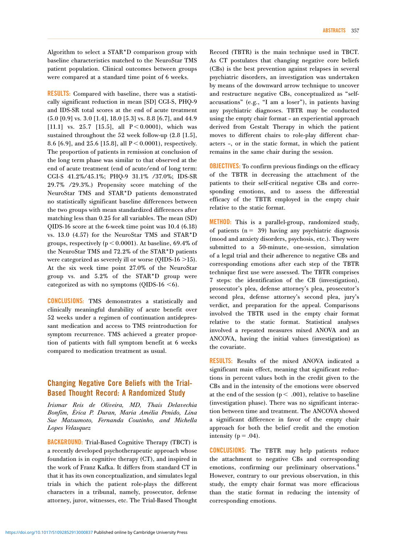Algorithm to select a STAR\*D comparison group with baseline characteristics matched to the NeuroStar TMS patient population. Clinical outcomes between groups were compared at a standard time point of 6 weeks.

RESULTS: Compared with baseline, there was a statistically significant reduction in mean [SD] CGI-S, PHQ-9 and IDS-SR total scores at the end of acute treatment (5.0 [0.9] vs. 3.0 [1.4], 18.0 [5.3] vs. 8.8 [6.7], and 44.9 [11.1] vs. 25.7 [15.5], all  $P < 0.0001$ ), which was sustained throughout the 52 week follow-up (2.8 [1.5], 8.6 [6.9], and 25.6 [15.8], all  $P < 0.0001$ ), respectively. The proportion of patients in remission at conclusion of the long term phase was similar to that observed at the end of acute treatment (end of acute/end of long term: CGI-S 41.2%/45.1%; PHQ-9 31.1% /37.0%; IDS-SR 29.7% /29.3%.) Propensity score matching of the NeuroStar TMS and STAR\*D patients demonstrated no statistically significant baseline differences between the two groups with mean standardized differences after matching less than 0.25 for all variables. The mean (SD) QIDS-16 score at the 6-week time point was 10.4 (6.18) vs. 13.0 (4.57) for the NeuroStar TMS and STAR\*D groups, respectively ( $p < 0.0001$ ). At baseline, 69.4% of the NeuroStar TMS and 72.2% of the STAR\*D patients were categorized as severely ill or worse (QIDS-16  $>15$ ). At the six week time point 27.0% of the NeuroStar group vs. and 5.2% of the STAR\*D group were categorized as with no symptoms (QIDS-16  $\leq$ 6).

CONCLUSIONS: TMS demonstrates a statistically and clinically meaningful durability of acute benefit over 52 weeks under a regimen of continuation antidepressant medication and access to TMS reintroduction for symptom recurrence. TMS achieved a greater proportion of patients with full symptom benefit at 6 weeks compared to medication treatment as usual.

### Changing Negative Core Beliefs with the Trial-Based Thought Record: A Randomized Study

Irismar Reis de Oliveira, MD, Thaı´s Delavechia Bonfim, Érica P. Duran, Maria Amélia Penido, Lina Sue Matsumoto, Fernanda Coutinho, and Michella Lopes Velasquez

BACKGROUND: Trial-Based Cognitive Therapy (TBCT) is a recently developed psychotherapeutic approach whose foundation is in cognitive therapy (CT), and inspired in the work of Franz Kafka. It differs from standard CT in that it has its own conceptualization, and simulates legal trials in which the patient role-plays the different characters in a tribunal, namely, prosecutor, defense attorney, juror, witnesses, etc. The Trial-Based Thought

Record (TBTR) is the main technique used in TBCT. As CT postulates that changing negative core beliefs (CBs) is the best prevention against relapses in several psychiatric disorders, an investigation was undertaken by means of the downward arrow technique to uncover and restructure negative CBs, conceptualized as "selfaccusations" (e.g., "I am a loser"), in patients having any psychiatric diagnoses. TBTR may be conducted using the empty chair format – an experiential approach derived from Gestalt Therapy in which the patient moves to different chairs to role-play different characters –, or in the static format, in which the patient remains in the same chair during the session.

**OBJECTIVES:** To confirm previous findings on the efficacy of the TBTR in decreasing the attachment of the patients to their self-critical negative CBs and corresponding emotions, and to assess the differential efficacy of the TBTR employed in the empty chair relative to the static format.

METHOD: This is a parallel-group, randomized study, of patients  $(n = 39)$  having any psychiatric diagnosis (mood and anxiety disorders, psychosis, etc.). They were submitted to a 50-minute, one-session, simulation of a legal trial and their adherence to negative CBs and corresponding emotions after each step of the TBTR technique first use were assessed. The TBTR comprises 7 steps: the identification of the CB (investigation), prosecutor's plea, defense attorney's plea, prosecutor's second plea, defense attorney's second plea, jury's verdict, and preparation for the appeal. Comparisons involved the TBTR used in the empty chair format relative to the static format. Statistical analyses involved a repeated measures mixed ANOVA and an ANCOVA, having the initial values (investigation) as the covariate.

RESULTS: Results of the mixed ANOVA indicated a significant main effect, meaning that significant reductions in percent values both in the credit given to the CBs and in the intensity of the emotions were observed at the end of the session ( $p < .001$ ), relative to baseline (investigation phase). There was no significant interaction between time and treatment. The ANCOVA showed a significant difference in favor of the empty chair approach for both the belief credit and the emotion intensity ( $p = .04$ ).

CONCLUSIONS: The TBTR may help patients reduce the attachment to negative CBs and corresponding emotions, confirming our preliminary observations.<sup>4</sup> However, contrary to our previous observation, in this study, the empty chair format was more efficacious than the static format in reducing the intensity of corresponding emotions.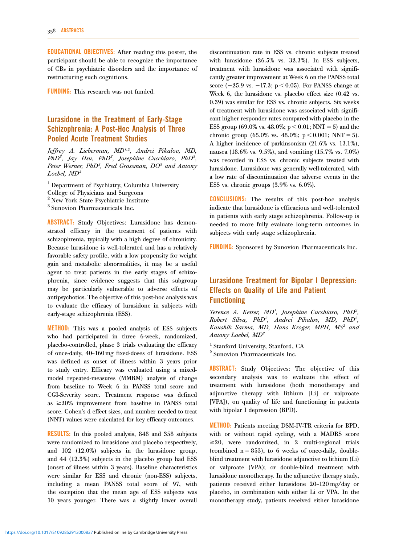EDUCATIONAL OBJECTIVES: After reading this poster, the participant should be able to recognize the importance of CBs in psychiatric disorders and the importance of restructuring such cognitions.

FUNDING: This research was not funded.

## Lurasidone in the Treatment of Early-Stage Schizophrenia: A Post-Hoc Analysis of Three Pooled Acute Treatment Studies

Jeffrey A. Lieberman, MD<sup>1,2</sup>, Andrei Pikalov, MD,  $PhD<sup>3</sup>$ , Jay Hsu, Ph $D<sup>3</sup>$ , Josephine Cucchiaro, Ph $D<sup>3</sup>$ , Peter Werner, PhD<sup>3</sup>, Fred Grossman,  $DO^3$  and Antony  $Loebel, \, MD^3$ 

<sup>1</sup> Department of Psychiatry, Columbia University

College of Physicians and Surgeons

<sup>2</sup> New York State Psychiatric Institute

<sup>3</sup> Sunovion Pharmaceuticals Inc.

ABSTRACT: Study Objectives: Lurasidone has demonstrated efficacy in the treatment of patients with schizophrenia, typically with a high degree of chronicity. Because lurasidone is well-tolerated and has a relatively favorable safety profile, with a low propensity for weight gain and metabolic abnormalities, it may be a useful agent to treat patients in the early stages of schizophrenia, since evidence suggests that this subgroup may be particularly vulnerable to adverse effects of antipsychotics. The objective of this post-hoc analysis was to evaluate the efficacy of lurasidone in subjects with early-stage schizophrenia (ESS).

**METHOD:** This was a pooled analysis of ESS subjects who had participated in three 6-week, randomized, placebo-controlled, phase 3 trials evaluating the efficacy of once-daily, 40–160 mg fixed-doses of lurasidone. ESS was defined as onset of illness within 3 years prior to study entry. Efficacy was evaluated using a mixedmodel repeated-measures (MMRM) analysis of change from baseline to Week 6 in PANSS total score and CGI-Severity score. Treatment response was defined as  $\geq$ 20% improvement from baseline in PANSS total score. Cohen's d effect sizes, and number needed to treat (NNT) values were calculated for key efficacy outcomes.

**RESULTS:** In this pooled analysis, 848 and 358 subjects were randomized to lurasidone and placebo respectively, and 102 (12.0%) subjects in the lurasidone group, and 44 (12.3%) subjects in the placebo group had ESS (onset of illness within 3 years). Baseline characteristics were similar for ESS and chronic (non-ESS) subjects, including a mean PANSS total score of 97, with the exception that the mean age of ESS subjects was 10 years younger. There was a slightly lower overall

discontinuation rate in ESS vs. chronic subjects treated with lurasidone (26.5% vs. 32.3%). In ESS subjects, treatment with lurasidone was associated with significantly greater improvement at Week 6 on the PANSS total score  $(-25.9 \text{ vs. } -17.3; \text{ p} < 0.05)$ . For PANSS change at Week 6, the lurasidone vs. placebo effect size (0.42 vs. 0.39) was similar for ESS vs. chronic subjects. Six weeks of treatment with lurasidone was associated with significant higher responder rates compared with placebo in the ESS group (69.0% vs. 48.0%;  $p < 0.01$ ; NNT = 5) and the chronic group (65.0% vs. 48.0%;  $p < 0.001$ ; NNT = 5). A higher incidence of parkinsonism (21.6% vs. 13.1%), nausea (18.6% vs. 9.5%), and vomiting (15.7% vs. 7.0%) was recorded in ESS vs. chronic subjects treated with lurasidone. Lurasidone was generally well-tolerated, with a low rate of discontinuation due adverse events in the ESS vs. chronic groups (3.9% vs. 6.0%).

CONCLUSIONS: The results of this post-hoc analysis indicate that lurasidone is efficacious and well-tolerated in patients with early stage schizophrenia. Follow-up is needed to more fully evaluate long-term outcomes in subjects with early stage schizophrenia.

FUNDING: Sponsored by Sunovion Pharmaceuticals Inc.

## Lurasidone Treatment for Bipolar I Depression: Effects on Quality of Life and Patient Functioning

Terence A. Ketter,  $MD<sup>1</sup>$ , Josephine Cucchiaro, Ph $D<sup>2</sup>$ , Robert Silva, PhD<sup>2</sup>, Andrei Pikalov, MD, PhD<sup>2</sup>, Kaushik Sarma, MD, Hans Kroger, MPH, MS<sup>2</sup> and Antony Loebel, MD<sup>2</sup>

<sup>1</sup> Stanford University, Stanford, CA <sup>2</sup> Sunovion Pharmaceuticals Inc.

ABSTRACT: Study Objectives: The objective of this secondary analysis was to evaluate the effect of treatment with lurasidone (both monotherapy and adjunctive therapy with lithium [Li] or valproate [VPA]), on quality of life and functioning in patients with bipolar I depression (BPD).

METHOD: Patients meeting DSM-IV-TR criteria for BPD, with or without rapid cycling, with a MADRS score  $\geq$ 20, were randomized, in 2 multi-regional trials (combined  $n = 853$ ), to 6 weeks of once-daily, doubleblind treatment with lurasidone adjunctive to lithium (Li) or valproate (VPA); or double-blind treatment with lurasidone monotherapy. In the adjunctive therapy study, patients received either lurasidone 20–120 mg/day or placebo, in combination with either Li or VPA. In the monotherapy study, patients received either lurasidone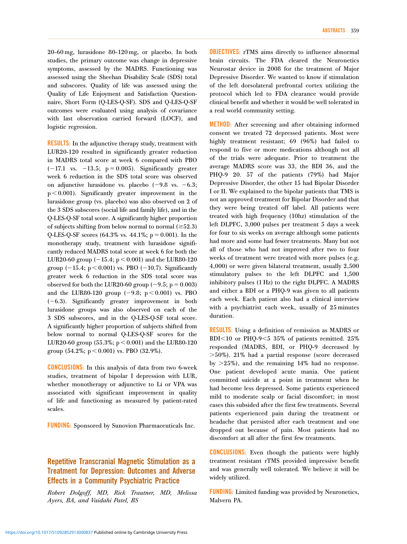20–60 mg, lurasidone 80–120 mg, or placebo. In both studies, the primary outcome was change in depressive symptoms, assessed by the MADRS. Functioning was assessed using the Sheehan Disability Scale (SDS) total and subscores. Quality of life was assessed using the Quality of Life Enjoyment and Satisfaction Questionnaire, Short Form (Q-LES-Q-SF). SDS and Q-LES-Q-SF outcomes were evaluated using analysis of covariance with last observation carried forward (LOCF), and logistic regression.

RESULTS: In the adjunctive therapy study, treatment with LUR20-120 resulted in significantly greater reduction in MADRS total score at week 6 compared with PBO  $(-17.1 \text{ vs. } -13.5; \text{ p} = 0.005)$ . Significantly greater week 6 reduction in the SDS total score was observed on adjunctive lurasidone vs. placebo  $(-9.8 \text{ vs. } -6.3;$  $p < 0.001$ ). Significantly greater improvement in the lurasidone group (vs. placebo) was also observed on 2 of the 3 SDS subscores (social life and family life), and in the Q-LES-Q-SF total score. A significantly higher proportion of subjects shifting from below normal to normal  $(\geq 52.3)$ Q-LES-Q-SF scores (64.3% vs. 44.1%;  $p = 0.001$ ). In the monotherapy study, treatment with lurasidone significantly reduced MADRS total score at week 6 for both the LUR20-60 group  $(-15.4; p < 0.001)$  and the LUR80-120 group  $(-15.4; p < 0.001)$  vs. PBO  $(-10.7)$ . Significantly greater week 6 reduction in the SDS total score was observed for both the LUR20-60 group  $(-9.5; p = 0.003)$ and the LUR80-120 group  $(-9.8; p < 0.001)$  vs. PBO (26.3). Significantly greater improvement in both lurasidone groups was also observed on each of the 3 SDS subscores, and in the Q-LES-Q-SF total score. A significantly higher proportion of subjects shifted from below normal to normal Q-LES-Q-SF scores for the LUR20-60 group (55.3%;  $p < 0.001$ ) and the LUR80-120 group  $(54.2\%; p < 0.001)$  vs. PBO  $(32.9\%).$ 

CONCLUSIONS: In this analysis of data from two 6-week studies, treatment of bipolar I depression with LUR, whether monotherapy or adjunctive to Li or VPA was associated with significant improvement in quality of life and functioning as measured by patient-rated scales.

FUNDING: Sponsored by Sunovion Pharmaceuticals Inc.

## Repetitive Transcranial Magnetic Stimulation as a Treatment for Depression: Outcomes and Adverse Effects in a Community Psychiatric Practice

Robert Dolgoff, MD, Rick Trautner, MD, Melissa Ayers, BA, and Vaidahi Patel, BS

OBJECTIVES: rTMS aims directly to influence abnormal brain circuits. The FDA cleared the Neuronetics Neurostar device in 2008 for the treatment of Major Depressive Disorder. We wanted to know if stimulation of the left dorsolateral prefrontal cortex utilizing the protocol which led to FDA clearance would provide clinical benefit and whether it would be well tolerated in a real world community setting.

METHOD: After screening and after obtaining informed consent we treated 72 depressed patients. Most were highly treatment resistant; 69 (96%) had failed to respond to five or more medications although not all of the trials were adequate. Prior to treatment the average MADRS score was 33, the BDI 36, and the PHQ-9 20. 57 of the patients (79%) had Major Depressive Disorder, the other 15 had Bipolar Disorder I or II. We explained to the bipolar patients that TMS is not an approved treatment for Bipolar Disorder and that they were being treated off label. All patients were treated with high frequency (10hz) stimulation of the left DLPFC, 3,000 pulses per treatment 5 days a week for four to six weeks on average although some patients had more and some had fewer treatments. Many but not all of those who had not improved after two to four weeks of treatment were treated with more pulses (e.g. 4,000) or were given bilateral treatment, usually 2,500 stimulatory pulses to the left DLPFC and 1,500 inhibitory pulses (1 Hz) to the right DLPFC. A MADRS and either a BDI or a PHQ-9 was given to all patients each week. Each patient also had a clinical interview with a psychiatrist each week, usually of 25 minutes duration.

RESULTS: Using a definition of remission as MADRS or BDI<10 or PHQ-9<5 35% of patients remitted.  $25\%$ responded (MADRS, BDI, or PHQ-9 decreased by  $>50\%$ ). 21% had a partial response (score decreased by  $>25\%$ ), and the remaining 14% had no response. One patient developed acute mania. One patient committed suicide at a point in treatment when he had become less depressed. Some patients experienced mild to moderate scalp or facial discomfort; in most cases this subsided after the first few treatments. Several patients experienced pain during the treatment or headache that persisted after each treatment and one dropped out because of pain. Most patients had no discomfort at all after the first few treatments.

CONCLUSIONS: Even though the patients were highly treatment resistant rTMS provided impressive benefit and was generally well tolerated. We believe it will be widely utilized.

FUNDING: Limited funding was provided by Neuronetics, Malvern PA.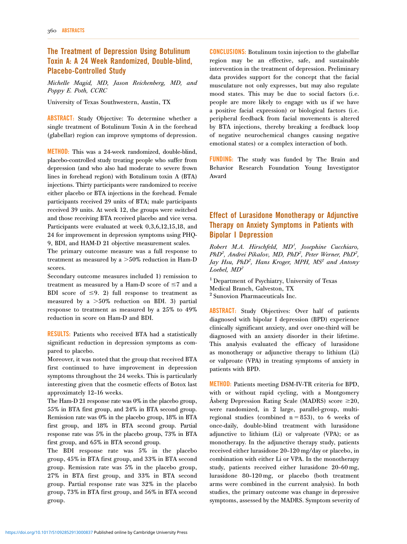## The Treatment of Depression Using Botulinum Toxin A: A 24 Week Randomized, Double-blind, Placebo-Controlled Study

Michelle Magid, MD, Jason Reichenberg, MD, and Poppy E. Poth, CCRC

University of Texas Southwestern, Austin, TX

ABSTRACT: Study Objective: To determine whether a single treatment of Botulinum Toxin A in the forehead (glabellar) region can improve symptoms of depression.

METHOD: This was a 24-week randomized, double-blind, placebo-controlled study treating people who suffer from depression (and who also had moderate to severe frown lines in forehead region) with Botulinum toxin A (BTA) injections. Thirty participants were randomized to receive either placebo or BTA injections in the forehead. Female participants received 29 units of BTA; male participants received 39 units. At week 12, the groups were switched and those receiving BTA received placebo and vice versa. Participants were evaluated at week 0,3,6,12,15,18, and 24 for improvement in depression symptoms using PHQ-9, BDI, and HAM-D 21 objective measurement scales.

The primary outcome measure was a full response to treatment as measured by a  $>50\%$  reduction in Ham-D scores.

Secondary outcome measures included 1) remission to treatment as measured by a Ham-D score of  $\leq 7$  and a BDI score of  $\leq$ 9. 2) full response to treatment as measured by a  $>50\%$  reduction on BDI. 3) partial response to treatment as measured by a 25% to 49% reduction in score on Ham-D and BDI.

RESULTS: Patients who received BTA had a statistically significant reduction in depression symptoms as compared to placebo.

Moreover, it was noted that the group that received BTA first continued to have improvement in depression symptoms throughout the 24 weeks. This is particularly interesting given that the cosmetic effects of Botox last approximately 12–16 weeks.

The Ham-D 21 response rate was 0% in the placebo group, 55% in BTA first group, and 24% in BTA second group. Remission rate was 0% in the placebo group, 18% in BTA first group, and 18% in BTA second group. Partial response rate was 5% in the placebo group, 73% in BTA first group, and 65% in BTA second group.

The BDI response rate was 5% in the placebo group, 45% in BTA first group, and 33% in BTA second group. Remission rate was 5% in the placebo group, 27% in BTA first group, and 33% in BTA second group. Partial response rate was 32% in the placebo group, 73% in BTA first group, and 56% in BTA second group.

CONCLUSIONS: Botulinum toxin injection to the glabellar region may be an effective, safe, and sustainable intervention in the treatment of depression. Preliminary data provides support for the concept that the facial musculature not only expresses, but may also regulate mood states. This may be due to social factors (i.e. people are more likely to engage with us if we have a positive facial expression) or biological factors (i.e. peripheral feedback from facial movements is altered by BTA injections, thereby breaking a feedback loop of negative neurochemical changes causing negative emotional states) or a complex interaction of both.

FUNDING: The study was funded by The Brain and Behavior Research Foundation Young Investigator Award

## Effect of Lurasidone Monotherapy or Adjunctive Therapy on Anxiety Symptoms in Patients with Bipolar I Depression

Robert M.A. Hirschfeld, MD<sup>1</sup>, Josephine Cucchiaro, PhD<sup>2</sup>, Andrei Pikalov, MD, PhD<sup>2</sup>, Peter Werner, PhD<sup>2</sup>, Jay Hsu, PhD<sup>2</sup>, Hans Kroger, MPH, MS<sup>2</sup> and Antony Loebel,  $MD^2$ 

<sup>1</sup> Department of Psychiatry, University of Texas Medical Branch, Galveston, TX <sup>2</sup> Sunovion Pharmaceuticals Inc.

ABSTRACT: Study Objectives: Over half of patients diagnosed with bipolar I depression (BPD) experience clinically significant anxiety, and over one-third will be diagnosed with an anxiety disorder in their lifetime. This analysis evaluated the efficacy of lurasidone as monotherapy or adjunctive therapy to lithium (Li) or valproate (VPA) in treating symptoms of anxiety in patients with BPD.

METHOD: Patients meeting DSM-IV-TR criteria for BPD, with or without rapid cycling, with a Montgomery Åsberg Depression Rating Scale (MADRS) score  $\geq 20$ , were randomized, in 2 large, parallel-group, multiregional studies (combined  $n = 853$ ), to 6 weeks of once-daily, double-blind treatment with lurasidone adjunctive to lithium (Li) or valproate (VPA); or as monotherapy. In the adjunctive therapy study, patients received either lurasidone 20–120 mg/day or placebo, in combination with either Li or VPA. In the monotherapy study, patients received either lurasidone 20–60 mg, lurasidone 80–120 mg, or placebo (both treatment arms were combined in the current analysis). In both studies, the primary outcome was change in depressive symptoms, assessed by the MADRS. Symptom severity of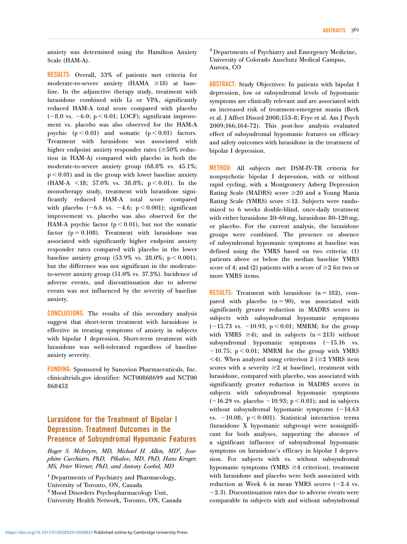anxiety was determined using the Hamilton Anxiety Scale (HAM-A).

RESULTS: Overall, 33% of patients met criteria for moderate-to-severe anxiety (HAMA  $\geq$ 18) at baseline. In the adjunctive therapy study, treatment with lurasidone combined with Li or VPA, significantly reduced HAM-A total score compared with placebo  $(-8.0 \text{ vs. } -6.0; \text{ p} < 0.01;$  LOCF); significant improvement vs. placebo was also observed for the HAM-A psychic  $(p < 0.01)$  and somatic  $(p < 0.01)$  factors. Treatment with lurasidone was associated with higher endpoint anxiety responder rates  $(\geq 50\% \text{ reduc-}$ tion in HAM-A) compared with placebo in both the moderate-to-severe anxiety group (68.8% vs. 45.1%;  $p < 0.01$ ) and in the group with lower baseline anxiety  $(HAM-A \leq 18; 57.0\% \text{ vs. } 38.8\%; p \leq 0.01)$ . In the monotherapy study, treatment with lurasidone significantly reduced HAM-A total score compared with placebo  $(-6.6 \text{ vs. } -4.6; \text{ p} < 0.001)$ ; significant improvement vs. placebo was also observed for the HAM-A psychic factor  $(p < 0.01)$ , but not the somatic factor ( $p = 0.108$ ). Treatment with lurasidone was associated with significantly higher endpoint anxiety responder rates compared with placebo in the lower baseline anxiety group  $(53.9\% \text{ vs. } 28.0\%; \text{ p} < 0.001),$ but the difference was not significant in the moderateto-severe anxiety group (51.0% vs. 37.3%). Incidence of adverse events, and discontinuation due to adverse events was not influenced by the severity of baseline anxiety.

CONCLUSIONS: The results of this secondary analysis suggest that short-term treatment with lurasidone is effective in treating symptoms of anxiety in subjects with bipolar I depression. Short-term treatment with lurasidone was well-tolerated regardless of baseline anxiety severity.

FUNDING: Sponsored by Sunovion Pharmaceuticals, Inc. clinicaltrials.gov identifier: NCT00868699 and NCT00 868452

## Lurasidone for the Treatment of Bipolar I Depression: Treatment Outcomes in the Presence of Subsyndromal Hypomanic Features

Roger S. McIntyre, MD, Michael H. Allen, MD<sup>2</sup>, Josephine Cucchiaro, PhD, Pikalov, MD, PhD, Hans Kroger, MS, Peter Werner, PhD, and Antony Loebel, MD

<sup>1</sup> Departments of Psychiatry and Pharmacology, University of Toronto, ON, Canada <sup>2</sup> Mood Disorders Psychopharmacology Unit,

University Health Network, Toronto, ON, Canada

<sup>3</sup> Departments of Psychiatry and Emergency Medicine, University of Colorado Anschutz Medical Campus, Aurora, CO

ABSTRACT: Study Objectives: In patients with bipolar I depression, low or subsyndromal levels of hypomanic symptoms are clinically relevant and are associated with an increased risk of treatment-emergent mania (Berk et al. J Affect Disord 2008;153–8; Frye et al. Am J Psych 2009;166;164–72). This post-hoc analysis evaluated effect of subsyndromal hypomanic features on efficacy and safety outcomes with lurasidone in the treatment of bipolar I depression.

METHOD: All subjects met DSM-IV-TR criteria for nonpsychotic bipolar I depression, with or without rapid cycling, with a Montgomery Asberg Depression Rating Scale (MADRS) score  $\geq 20$  and a Young Mania Rating Scale (YMRS) score  $\leq 12$ . Subjects were randomized to 6 weeks double-blind, once-daily treatment with either lurasidone 20–60 mg, lurasidone 80–120 mg, or placebo. For the current analysis, the lurasidone groups were combined. The presence or absence of subsyndromal hypomanic symptoms at baseline was defined using the YMRS based on two criteria: (1) patients above or below the median baseline YMRS score of 4; and (2) patients with a score of  $\geq 2$  for two or more YMRS items.

**RESULTS:** Treatment with lurasidone  $(n = 182)$ , compared with placebo  $(n = 90)$ , was associated with significantly greater reduction in MADRS scores in subjects with subsyndromal hypomanic symptoms  $(-15.73 \text{ vs. } -10.93; \text{ p} < 0.01; \text{ MMRM}; \text{ for the group})$ with YMRS  $\geq 4$ ); and in subjects (n = 213) without subsyndromal hypomanic symptoms  $(-15.16 \text{ vs.}$  $-10.75$ ; p < 0.01; MMRM for the group with YMRS  $\leq$ 4). When analyzed using criterion 2 ( $\geq$ 2 YMRS item scores with a severity  $\geq 2$  at baseline), treatment with lurasidone, compared with placebo, was associated with significantly greater reduction in MADRS scores in subjects with subsyndromal hypomanic symptoms  $(-16.29 \text{ vs. placebo } -10.93; \text{ p} < 0.01)$ ; and in subjects without subsyndromal hypomanic symptoms  $(-14.63)$ vs.  $-10.08$ ; p < 0.001). Statistical interaction terms (lurasidone X hypomanic subgroup) were nonsignificant for both analyses, supporting the absence of a significant influence of subsyndromal hypomanic symptoms on lurasidone's efficacy in bipolar I depression. For subjects with vs. without subsyndromal hypomanic symptoms (YMRS  $\geq 4$  criterion), treatment with lurasidone and placebo were both associated with reduction at Week 6 in mean YMRS scores  $(-2.4 \text{ vs.}$  $-2.3$ ). Discontinuation rates due to adverse events were comparable in subjects with and without subsyndromal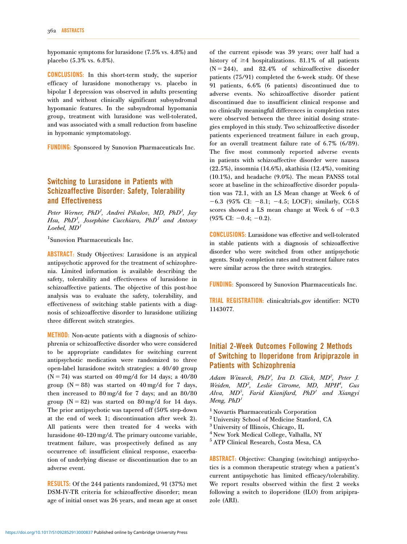hypomanic symptoms for lurasidone (7.5% vs. 4.8%) and placebo (5.3% vs. 6.8%).

CONCLUSIONS: In this short-term study, the superior efficacy of lurasidone monotherapy vs. placebo in bipolar I depression was observed in adults presenting with and without clinically significant subsyndromal hypomanic features. In the subsyndromal hypomania group, treatment with lurasidone was well-tolerated, and was associated with a small reduction from baseline in hypomanic symptomatology.

FUNDING: Sponsored by Sunovion Pharmaceuticals Inc.

## Switching to Lurasidone in Patients with Schizoaffective Disorder: Safety, Tolerability and Effectiveness

Peter Werner, PhD<sup>1</sup>, Andrei Pikalov, MD, PhD<sup>1</sup>, Jay Hsu, PhD<sup>1</sup>, Josephine Cucchiaro, PhD<sup>1</sup> and Antony Loebel,  $\overline{MD}^1$ 

1 Sunovion Pharmaceuticals Inc.

ABSTRACT: Study Objectives: Lurasidone is an atypical antipsychotic approved for the treatment of schizophrenia. Limited information is available describing the safety, tolerability and effectiveness of lurasidone in schizoaffective patients. The objective of this post-hoc analysis was to evaluate the safety, tolerability, and effectiveness of switching stable patients with a diagnosis of schizoaffective disorder to lurasidone utilizing three different switch strategies.

METHOD: Non-acute patients with a diagnosis of schizophrenia or schizoaffective disorder who were considered to be appropriate candidates for switching current antipsychotic medication were randomized to three open-label lurasidone switch strategies: a 40/40 group  $(N = 74)$  was started on 40 mg/d for 14 days; a 40/80 group  $(N = 88)$  was started on 40 mg/d for 7 days, then increased to 80 mg/d for 7 days; and an 80/80 group  $(N = 82)$  was started on 80 mg/d for 14 days. The prior antipsychotic was tapered off (50% step-down at the end of week 1; discontinuation after week 2). All patients were then treated for 4 weeks with lurasidone 40–120 mg/d. The primary outcome variable, treatment failure, was prospectively defined as any occurrence of: insufficient clinical response, exacerbation of underlying disease or discontinuation due to an adverse event.

RESULTS: Of the 244 patients randomized, 91 (37%) met DSM-IV-TR criteria for schizoaffective disorder; mean age of initial onset was 26 years, and mean age at onset

of the current episode was 39 years; over half had a history of  $\geq 4$  hospitalizations. 81.1% of all patients  $(N = 244)$ , and 82.4% of schizoaffective disorder patients (75/91) completed the 6-week study. Of these 91 patients, 6.6% (6 patients) discontinued due to adverse events. No schizoaffective disorder patient discontinued due to insufficient clinical response and no clinically meaningful differences in completion rates were observed between the three initial dosing strategies employed in this study. Two schizoaffective disorder patients experienced treatment failure in each group, for an overall treatment failure rate of 6.7% (6/89). The five most commonly reported adverse events in patients with schizoaffective disorder were nausea (22.5%), insomnia (14.6%), akathisia (12.4%), vomiting (10.1%), and headache (9.0%). The mean PANSS total score at baseline in the schizoaffective disorder population was 72.1, with an LS Mean change at Week 6 of  $-6.3$  (95% CI:  $-8.1$ ;  $-4.5$ ; LOCF); similarly, CGI-S scores showed a LS mean change at Week  $6$  of  $-0.3$  $(95\% \text{ CI: } -0.4; -0.2).$ 

CONCLUSIONS: Lurasidone was effective and well-tolerated in stable patients with a diagnosis of schizoaffective disorder who were switched from other antipsychotic agents. Study completion rates and treatment failure rates were similar across the three switch strategies.

FUNDING: Sponsored by Sunovion Pharmaceuticals Inc.

TRIAL REGISTRATION: clinicaltrials.gov identifier: NCT0 1143077.

## Initial 2-Week Outcomes Following 2 Methods of Switching to Iloperidone from Aripiprazole in Patients with Schizophrenia

Adam Winseck, PhD<sup>1</sup>, Ira D. Glick, MD<sup>2</sup>, Peter J. Weiden, MD<sup>3</sup>, Leslie Citrome, MD, MPH<sup>4</sup> , Gus Alva, MD<sup>5</sup>, Farid Kianifard, PhD<sup>1</sup> and Xiangyi Meng,  $PhD'$ 

- <sup>1</sup> Novartis Pharmaceuticals Corporation
- <sup>2</sup> University School of Medicine Stanford, CA
- <sup>3</sup> University of Illinois, Chicago, IL
- <sup>4</sup> New York Medical College, Valhalla, NY
- <sup>5</sup> ATP Clinical Research, Costa Mesa, CA

ABSTRACT: Objective: Changing (switching) antipsychotics is a common therapeutic strategy when a patient's current antipsychotic has limited efficacy/tolerability. We report results observed within the first 2 weeks following a switch to iloperidone (ILO) from aripiprazole (ARI).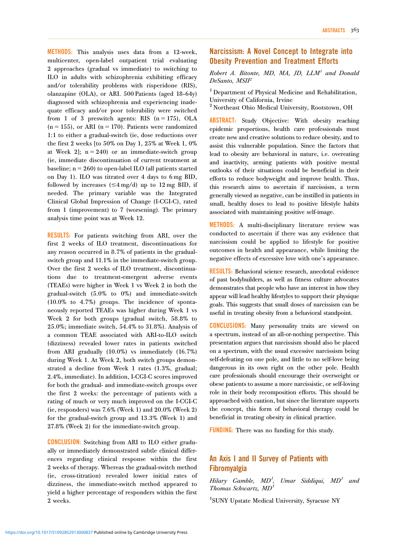METHODS: This analysis uses data from a 12-week, multicenter, open-label outpatient trial evaluating 2 approaches (gradual vs immediate) to switching to ILO in adults with schizophrenia exhibiting efficacy and/or tolerability problems with risperidone (RIS), olanzapine (OLA), or ARI. 500 Patients (aged 18–64y) diagnosed with schizophrenia and experiencing inadequate efficacy and/or poor tolerability were switched from 1 of 3 preswitch agents: RIS  $(n = 175)$ , OLA  $(n = 155)$ , or ARI  $(n = 170)$ . Patients were randomized 1:1 to either a gradual-switch (ie, dose reductions over the first 2 weeks [to 50% on Day 1, 25% at Week 1, 0% at Week 2];  $n = 240$  or an immediate-switch group (ie, immediate discontinuation of current treatment at baseline;  $n = 260$ ) to open-label ILO (all patients started on Day 1). ILO was titrated over 4 days to 6 mg BID, followed by increases  $(\leq 4 \text{ mg/d})$  up to  $12 \text{ mg BID}$ , if needed. The primary variable was the Integrated Clinical Global Impression of Change (I-CGI-C), rated from 1 (improvement) to 7 (worsening). The primary analysis time point was at Week 12.

**RESULTS:** For patients switching from ARI, over the first 2 weeks of ILO treatment, discontinuations for any reason occurred in 8.7% of patients in the gradualswitch group and 11.1% in the immediate-switch group. Over the first 2 weeks of ILO treatment, discontinuations due to treatment-emergent adverse events (TEAEs) were higher in Week 1 vs Week 2 in both the gradual-switch (5.0% to 0%) and immediate-switch (10.0% to 4.7%) groups. The incidence of spontaneously reported TEAEs was higher during Week 1 vs Week 2 for both groups (gradual switch, 58.8% to 25.0%; immediate switch, 54.4% to 31.8%). Analysis of a common TEAE associated with ARI-to-ILO switch (dizziness) revealed lower rates in patients switched from ARI gradually (10.0%) vs immediately (16.7%) during Week 1. At Week 2, both switch groups demonstrated a decline from Week 1 rates (1.3%, gradual; 2.4%, immediate). In addition, I-CGI-C scores improved for both the gradual- and immediate-switch groups over the first 2 weeks: the percentage of patients with a rating of much or very much improved on the I-CGI-C (ie, responders) was 7.6% (Week 1) and 20.0% (Week 2) for the gradual-switch group and 13.3% (Week 1) and 27.8% (Week 2) for the immediate-switch group.

CONCLUSION: Switching from ARI to ILO either gradually or immediately demonstrated subtle clinical differences regarding clinical response within the first 2 weeks of therapy. Whereas the gradual-switch method (ie, cross-titration) revealed lower initial rates of dizziness, the immediate-switch method appeared to yield a higher percentage of responders within the first 2 weeks.

### Narcissism: A Novel Concept to Integrate into Obesity Prevention and Treatment Efforts

Robert A. Bitonte, MD, MA, JD, LLM<sup>1</sup> and Donald DeSanto, MSII<sup>2</sup>

<sup>1</sup> Department of Physical Medicine and Rehabilitation, University of California, Irvine

<sup>2</sup> Northeast Ohio Medical University, Rootstown, OH

ABSTRACT: Study Objective: With obesity reaching epidemic proportions, health care professionals must create new and creative solutions to reduce obesity, and to assist this vulnerable population. Since the factors that lead to obesity are behavioral in nature, i.e. overeating and inactivity, arming patients with positive mental outlooks of their situations could be beneficial in their efforts to reduce bodyweight and improve health. Thus, this research aims to ascertain if narcissism, a term generally viewed as negative, can be instilled in patients in small, healthy doses to lead to positive lifestyle habits associated with maintaining positive self-image.

METHODS: A multi-disciplinary literature review was conducted to ascertain if there was any evidence that narcissism could be applied to lifestyle for positive outcomes in health and appearance, while limiting the negative effects of excessive love with one's appearance.

RESULTS: Behavioral science research, anecdotal evidence of past bodybuilders, as well as fitness culture advocates demonstrates that people who have an interest in how they appear will lead healthy lifestyles to support their physique goals. This suggests that small doses of narcissism can be useful in treating obesity from a behavioral standpoint.

CONCLUSIONS: Many personality traits are viewed on a spectrum, instead of an all-or-nothing perspective. This presentation argues that narcissism should also be placed on a spectrum, with the usual excessive narcissism being self-defeating on one pole, and little to no self-love being dangerous in its own right on the other pole. Health care professionals should encourage their overweight or obese patients to assume a more narcissistic, or self-loving role in their body recomposition efforts. This should be approached with caution, but since the literature supports the concept, this form of behavioral therapy could be beneficial in treating obesity in clinical practice.

FUNDING: There was no funding for this study.

#### An Axis I and II Survey of Patients with Fibromyalgia

Hilary Gamble, MD<sup>1</sup>, Umar Siddiqui, MD<sup>1</sup> and Thomas Schwartz, MD<sup>1</sup>

1 SUNY Upstate Medical University, Syracuse NY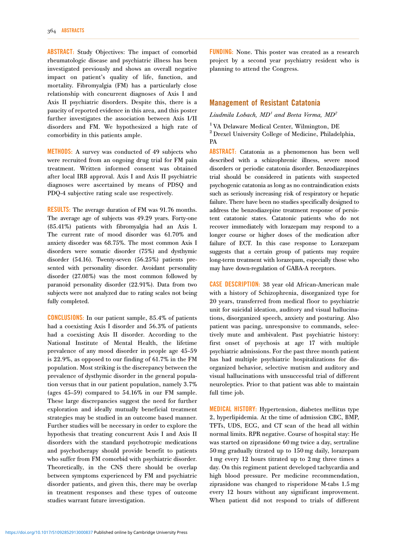ABSTRACT: Study Objectives: The impact of comorbid rheumatologic disease and psychiatric illness has been investigated previously and shows an overall negative impact on patient's quality of life, function, and mortality. Fibromyalgia (FM) has a particularly close relationship with concurrent diagnoses of Axis I and Axis II psychiatric disorders. Despite this, there is a paucity of reported evidence in this area, and this poster further investigates the association between Axis I/II disorders and FM. We hypothesized a high rate of comorbidity in this patients ample.

**METHODS:** A survey was conducted of 49 subjects who were recruited from an ongoing drug trial for FM pain treatment. Written informed consent was obtained after local IRB approval. Axis I and Axis II psychiatric diagnoses were ascertained by means of PDSQ and PDQ-4 subjective rating scale use respectively.

RESULTS: The average duration of FM was 91.76 months. The average age of subjects was 49.29 years. Forty-one (85.41%) patients with fibromyalgia had an Axis I. The current rate of mood disorder was 61.70% and anxiety disorder was 68.75%. The most common Axis I disorders were somatic disorder (75%) and dysthymic disorder (54.16). Twenty-seven (56.25%) patients presented with personality disorder. Avoidant personality disorder (27.08%) was the most common followed by paranoid personality disorder (22.91%). Data from two subjects were not analyzed due to rating scales not being fully completed.

CONCLUSIONS: In our patient sample, 85.4% of patients had a coexisting Axis I disorder and 56.3% of patients had a coexisting Axis II disorder. According to the National Institute of Mental Health, the lifetime prevalence of any mood disorder in people age 45–59 is 22.9%, as opposed to our finding of 61.7% in the FM population. Most striking is the discrepancy between the prevalence of dysthymic disorder in the general population versus that in our patient population, namely 3.7% (ages 45–59) compared to 54.16% in our FM sample. These large discrepancies suggest the need for further exploration and ideally mutually beneficial treatment strategies may be studied in an outcome based manner. Further studies will be necessary in order to explore the hypothesis that treating concurrent Axis I and Axis II disorders with the standard psychotropic medications and psychotherapy should provide benefit to patients who suffer from FM comorbid with psychiatric disorder. Theoretically, in the CNS there should be overlap between symptoms experienced by FM and psychiatric disorder patients, and given this, there may be overlap in treatment responses and these types of outcome studies warrant future investigation.

FUNDING: None. This poster was created as a research project by a second year psychiatry resident who is planning to attend the Congress.

#### Management of Resistant Catatonia

Liudmila Lobach,  $MD'$  and Beeta Verma,  $MD^2$ 

<sup>1</sup> VA Delaware Medical Center, Wilmington, DE <sup>2</sup> Drexel University College of Medicine, Philadelphia, PA

ABSTRACT: Catatonia as a phenomenon has been well described with a schizophrenic illness, severe mood disorders or periodic catatonia disorder. Benzodiazepines trial should be considered in patients with suspected psychogenic catatonia as long as no contraindication exists such as seriously increasing risk of respiratory or hepatic failure. There have been no studies specifically designed to address the benzodiazepine treatment response of persistent catatonic states. Catatonic patients who do not recover immediately with lorazepam may respond to a longer course or higher doses of the medication after failure of ECT. In this case response to Lorazepam suggests that a certain group of patients may require long-term treatment with lorazepam, especially those who may have down-regulation of GABA-A receptors.

CASE DESCRIPTION: 38 year old African-American male with a history of Schizophrenia, disorganized type for 20 years, transferred from medical floor to psychiatric unit for suicidal ideation, auditory and visual hallucinations, disorganized speech, anxiety and posturing. Also patient was pacing, unresponsive to commands, selectively mute and ambivalent. Past psychiatric history: first onset of psychosis at age 17 with multiple psychiatric admissions. For the past three month patient has had multiple psychiatric hospitalizations for disorganized behavior, selective mutism and auditory and visual hallucinations with unsuccessful trial of different neuroleptics. Prior to that patient was able to maintain full time job.

MEDICAL HISTORY: Hypertension, diabetes mellitus type 2, hyperlipidemia. At the time of admission CBC, BMP, TFTs, UDS, ECG, and CT scan of the head all within normal limits. RPR negative. Course of hospital stay: He was started on ziprasidone 60 mg twice a day, sertraline 50 mg gradually titrated up to 150 mg daily, lorazepam 1 mg every 12 hours titrated up to 2 mg three times a day. On this regiment patient developed tachycardia and high blood pressure. Per medicine recommendation, ziprasidone was changed to risperidone M-tabs 1.5 mg every 12 hours without any significant improvement. When patient did not respond to trials of different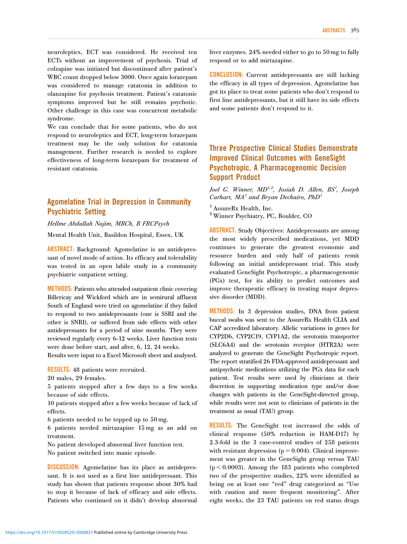neuroleptics, ECT was considered. He received ten ECTs without an improvement of psychosis. Trial of colzapine was initiated but discontinued after patient's WBC count dropped below 3000. Once again lorazepam was considered to manage catatonia in addition to olanzapine for psychosis treatment. Patient's catatonic symptoms improved but he still remains psychotic. Other challenge in this case was concurrent metabolic syndrome.

We can conclude that for some patients, who do not respond to neuroleptics and ECT, long-term lorazepam treatment may be the only solution for catatonia management. Further research is needed to explore effectiveness of long-term lorazepam for treatment of resistant catatonia.

## Agomelatine Trial in Depression in Community Psychiatric Setting

Hellme Abdullah Najim, MBCh, B FRCPsych

Mental Health Unit, Basildon Hospital, Essex, UK

ABSTRACT: Background: Agomelatine is an antidepressant of novel mode of action. Its efficacy and tolerability was tested in an open labile study in a community psychiatric outpatient setting.

METHODS: Patients who attended outpatient clinic covering Billericay and Wickford which are in semirural affluent South of England were tried on agomelatine if they failed to respond to two antidepressants (one is SSRI and the other is SNRI), or suffered from side effects with other antidepressants for a period of nine months. They were reviewed regularly every 6–12 weeks. Liver function tests were done before start, and afrer, 6, 12, 24 weeks.

Results were input to a Excel Microsoft sheet and analysed.

RESULTS: 48 patients were recruited.

20 males, 29 females.

5 patients stopped after a few days to a few weeks because of side effects.

10 patients stopped after a few weeks because of lack of effects.

6 patients needed to be topped up to 50 mg.

6 patients needed mirtazapine 15 mg as an add on treatment.

No patient developed abnormal liver function test. No patient switched into manic episode.

DISCUSSION: Agomelatine has its place as antidepressant. It is not used as a first line antidepressant. This study has shown that patients response about 30% had to stop it because of lack of efficacy and side effects. Patients who continued on it didn't develop abnormal liver enzymes. 24% needed either to go to 50 mg to fully respond or to add mirtazapine.

CONCLUSION: Current antidepressants are still lacking the efficacy in all types of depression. Agomelatine has got its place to treat some patients who don't respond to first line antidepressants, but it still have its side effects and some patients don't respond to it.

## Three Prospective Clinical Studies Demonstrate Improved Clinical Outcomes with GeneSight Psychotropic, A Pharmacogenomic Decision Support Product

Joel G. Winner, MD<sup>1,2</sup>, Josiah D. Allen, BS<sup>1</sup>, Joseph Carhart,  $MA<sup>1</sup>$  and Bryan Dechairo,  $PhD<sup>1</sup>$ 

<sup>1</sup> AssureRx Health, Inc. <sup>2</sup> Winner Psychiatry, PC, Boulder, CO

ABSTRACT: Study Objectives: Antidepressants are among the most widely prescribed medications, yet MDD continues to generate the greatest economic and resource burden and only half of patients remit following an initial antidepressant trial. This study evaluated GeneSight Psychotropic, a pharmacogenomic (PGx) test, for its ability to predict outcomes and improve therapeutic efficacy in treating major depressive disorder (MDD).

METHODS: In 3 depression studies, DNA from patient buccal swabs was sent to the AssureRx Health CLIA and CAP accredited laboratory. Allelic variations in genes for CYP2D6, CYP2C19, CYP1A2, the serotonin transporter (SLC6A4) and the serotonin receptor (HTR2A) were analyzed to generate the GeneSight Psychotropic report. The report stratified 26 FDA-approved antidepressant and antipsychotic medications utilizing the PGx data for each patient. Test results were used by clinicians at their discretion in supporting medication type and/or dose changes with patients in the GeneSight-directed group, while results were not sent to clinicians of patients in the treatment as usual (TAU) group.

**RESULTS:** The GeneSight test increased the odds of clinical response (50% reduction in HAM-D17) by 2.3-fold in the 3 case-control studies of 258 patients with resistant depression ( $p = 0.004$ ). Clinical improvement was greater in the GeneSight group versus TAU  $(p < 0.0003)$ . Among the 183 patients who completed two of the prospective studies, 22% were identified as being on at least one "red" drug categorized as "Use with caution and more frequent monitoring''. After eight weeks, the 23 TAU patients on red status drugs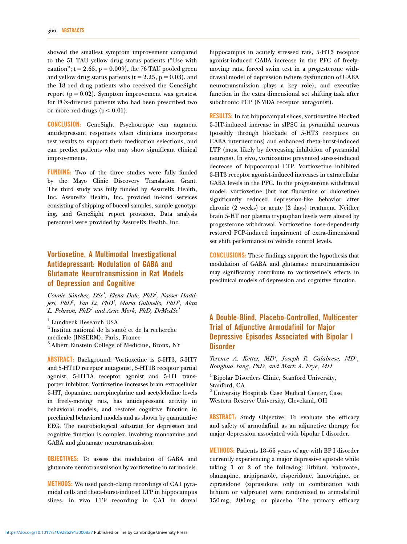showed the smallest symptom improvement compared to the 51 TAU yellow drug status patients (''Use with caution";  $t = 2.65$ ,  $p = 0.009$ ), the 76 TAU pooled green and yellow drug status patients ( $t = 2.25$ ,  $p = 0.03$ ), and the 18 red drug patients who received the GeneSight report ( $p = 0.02$ ). Symptom improvement was greatest for PGx-directed patients who had been prescribed two or more red drugs ( $p < 0.01$ ).

CONCLUSION: GeneSight Psychotropic can augment antidepressant responses when clinicians incorporate test results to support their medication selections, and can predict patients who may show significant clinical improvements.

FUNDING: Two of the three studies were fully funded by the Mayo Clinic Discovery Translation Grant. The third study was fully funded by AssureRx Health, Inc. AssureRx Health, Inc. provided in-kind services consisting of shipping of buccal samples, sample genotyping, and GeneSight report provision. Data analysis personnel were provided by AssureRx Health, Inc.

## Vortioxetine, A Multimodal Investigational Antidepressant: Modulation of GABA and Glutamate Neurotransmission in Rat Models of Depression and Cognitive

Connie Sánchez, DSc<sup>1</sup>, Elena Dale, PhD<sup>1</sup>, Nasser Haddjeri, PhD<sup>2</sup>, Yan Li, PhD<sup>1</sup>, Maria Gulinello, PhD<sup>3</sup>, Alan L. Pehrson,  $PhD'$  and Arne Mørk, PhD, DrMedSc<sup>1</sup>

<sup>1</sup> Lundbeck Research USA

 $^2$ Institut national de la santé et de la recherche<br>médicale (INSERM), Paris, France

ABSTRACT: Background: Vortioxetine is 5-HT3, 5-HT7 and 5-HT1D receptor antagonist, 5-HT1B receptor partial agonist, 5-HT1A receptor agonist and 5-HT transporter inhibitor. Vortioxetine increases brain extracellular 5-HT, dopamine, norepinephrine and acetylcholine levels in freely-moving rats, has antidepressant activity in behavioral models, and restores cognitive function in preclinical behavioral models and as shown by quantitative EEG. The neurobiological substrate for depression and cognitive function is complex, involving monoamine and GABA and glutamate neurotransmission.

OBJECTIVES: To assess the modulation of GABA and glutamate neurotransmission by vortioxetine in rat models.

METHODS: We used patch-clamp recordings of CA1 pyramidal cells and theta-burst-induced LTP in hippocampus slices, in vivo LTP recording in CA1 in dorsal

hippocampus in acutely stressed rats, 5-HT3 receptor agonist-induced GABA increase in the PFC of freelymoving rats, forced swim test in a progesterone withdrawal model of depression (where dysfunction of GABA neurotransmission plays a key role), and executive function in the extra dimensional set shifting task after subchronic PCP (NMDA receptor antagonist).

RESULTS: In rat hippocampal slices, vortioxetine blocked 5-HT-induced increase in sIPSC in pyramidal neurons (possibly through blockade of 5-HT3 receptors on GABA interneurons) and enhanced theta-burst-induced LTP (most likely by decreasing inhibition of pyramidal neurons). In vivo, vortioxetine prevented stress-induced decrease of hippocampal LTP. Vortioxetine inhibited 5-HT3 receptor agonist-induced increases in extracellular GABA levels in the PFC. In the progesterone withdrawal model, vortioxetine (but not fluoxetine or duloxetine) significantly reduced depression-like behavior after chronic (2 weeks) or acute (2 days) treatment. Neither brain 5-HT nor plasma tryptophan levels were altered by progesterone withdrawal. Vortioxetine dose-dependently restored PCP-induced impairment of extra-dimensional set shift performance to vehicle control levels.

CONCLUSIONS: These findings support the hypothesis that modulation of GABA and glutamate neurotransmission may significantly contribute to vortioxetine's effects in preclinical models of depression and cognitive function.

## A Double-Blind, Placebo-Controlled, Multicenter Trial of Adjunctive Armodafinil for Major Depressive Episodes Associated with Bipolar I **Disorder**

Terence A. Ketter,  $MD<sup>1</sup>$ , Joseph R. Calabrese,  $MD<sup>2</sup>$ , Ronghua Yang, PhD, and Mark A. Frye, MD

<sup>1</sup> Bipolar Disorders Clinic, Stanford University, Stanford, CA

<sup>2</sup> University Hospitals Case Medical Center, Case Western Reserve University, Cleveland, OH

ABSTRACT: Study Objective: To evaluate the efficacy and safety of armodafinil as an adjunctive therapy for major depression associated with bipolar I disorder.

METHODS: Patients 18–65 years of age with BP I disorder currently experiencing a major depressive episode while taking 1 or 2 of the following: lithium, valproate, olanzapine, aripiprazole, risperidone, lamotrigine, or ziprasidone (ziprasidone only in combination with lithium or valproate) were randomized to armodafinil 150 mg, 200 mg, or placebo. The primary efficacy

<sup>&</sup>lt;sup>3</sup> Albert Einstein College of Medicine, Bronx, NY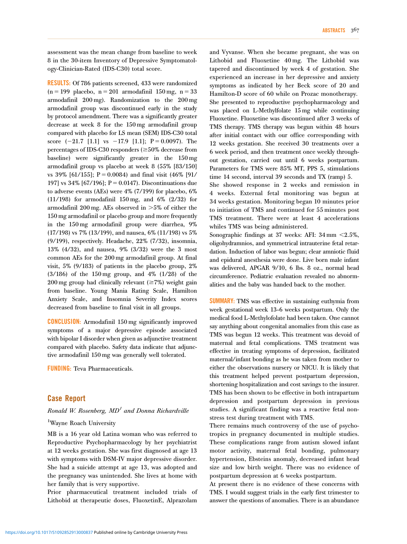assessment was the mean change from baseline to week 8 in the 30-item Inventory of Depressive Symptomatology-Clinician-Rated (IDS-C30) total score.

RESULTS: Of 786 patients screened, 433 were randomized  $(n = 199$  placebo,  $n = 201$  armodafinil 150 mg,  $n = 33$ armodafinil 200 mg). Randomization to the 200 mg armodafinil group was discontinued early in the study by protocol amendment. There was a significantly greater decrease at week 8 for the 150 mg armodafinil group compared with placebo for LS mean (SEM) IDS-C30 total score  $(-21.7 \t[1.1]$  vs  $-17.9 \t[1.1]$ ; P = 0.0097). The percentages of IDS-C30 responders ( $\geq$ 50% decrease from baseline) were significantly greater in the 150 mg armodafinil group vs placebo at week 8 (55% [83/150] vs 39%  $[61/155]$ ; P = 0.0084) and final visit (46%  $[91/$ 197] vs  $34\%$  [67/196]; P = 0.0147). Discontinuations due to adverse events (AEs) were 4% (7/199) for placebo, 6% (11/198) for armodafinil 150 mg, and 6% (2/32) for armodafinil  $200 \text{ mg}$ . AEs observed in  $>5\%$  of either the 150 mg armodafinil or placebo group and more frequently in the 150 mg armodafinil group were diarrhea, 9% (17/198) vs 7% (13/199), and nausea, 6% (11/198) vs 5% (9/199), respectively. Headache, 22% (7/32), insomnia, 13% (4/32), and nausea, 9% (3/32) were the 3 most common AEs for the 200 mg armodafinil group. At final visit, 5% (9/183) of patients in the placebo group, 2% (3/186) of the 150 mg group, and 4% (1/28) of the 200 mg group had clinically relevant  $(\geq 7\%)$  weight gain from baseline. Young Mania Rating Scale, Hamilton Anxiety Scale, and Insomnia Severity Index scores decreased from baseline to final visit in all groups.

**CONCLUSION:** Armodafinil 150 mg significantly improved symptoms of a major depressive episode associated with bipolar I disorder when given as adjunctive treatment compared with placebo. Safety data indicate that adjunctive armodafinil 150 mg was generally well tolerated.

FUNDING: Teva Pharmaceuticals.

#### Case Report

#### Ronald W. Rosenberg,  $MD<sup>1</sup>$  and Donna Richardville

#### <sup>1</sup>Wayne Roach University

MB is a 16 year old Latina woman who was referred to Reproductive Psychopharmacology by her psychiatrist at 12 weeks gestation. She was first diagnosed at age 13 with symptoms with DSM-IV major depressive disorder. She had a suicide attempt at age 13, was adopted and the pregnancy was unintended. She lives at home with her family that is very supportive.

Prior pharmaceutical treatment included trials of Lithobid at therapeutic doses, FluoxetinE, Alprazolam

and Vyvanse. When she became pregnant, she was on Lithobid and Fluoxetine 40 mg. The Lithobid was tapered and discontinued by week 4 of gestation. She experienced an increase in her depressive and anxiety symptoms as indicated by her Beck score of 20 and Hamilton-D score of 60 while on Prozac monotherapy. She presented to reproductive psychopharmacology and was placed on L-Methylfolate 15 mg while continuing Fluoxetine. Fluoxetine was discontinued after 3 weeks of TMS therapy. TMS therapy was begun within 48 hours after initial contact with our office corresponding with 12 weeks gestation. She received 30 treatments over a 6 week period, and then treatment once weekly throughout gestation, carried out until 6 weeks postpartum. Parameters for TMS were 85% MT, PPS 5, stimulations time 14 second, interval 39 seconds and TX (ramp) 5.

She showed response in 2 weeks and remission in 4 weeks. External fetal monitoring was begun at 34 weeks gestation. Monitoring began 10 minutes prior to initiation of TMS and continued for 55 minutes post TMS treatment. There were at least 4 accelerations whiles TMS was being administered.

Sonographic findings at 37 weeks: AFI:  $34 \text{ mm} < 2.5\%$ , oligohydramnios, and symmetrical intrauterine fetal retardation. Induction of labor was begun; clear amniotic fluid and epidural anesthesia were done. Live born male infant was delivered, APGAR 9/10, 6 lbs. 8 oz., normal head circumference. Pediatric evaluation revealed no abnormalities and the baby was handed back to the mother.

SUMMARY: TMS was effective in sustaining euthymia from week gestational week 13–6 weeks postpartum. Only the medical food L-Methylofolate had been taken. One cannot say anything about congenital anomalies from this case as TMS was begun 12 weeks. This treatment was devoid of maternal and fetal complications. TMS treatment was effective in treating symptoms of depression, facilitated maternal/infant bonding as he was taken from mother to either the observations nursery or NICU. It is likely that this treatment helped prevent postpartum depression, shortening hospitalization and cost savings to the insurer. TMS has been shown to be effective in both intrapartum depression and postpartum depression in previous studies. A significant finding was a reactive fetal nonstress test during treatment with TMS.

There remains much controversy of the use of psychotropics in pregnancy documented in multiple studies. These complications range from autism slowed infant motor activity, maternal fetal bonding, pulmonary hypertension, Ebsteins anomaly, decreased infant head size and low birth weight. There was no evidence of postpartum depression at 6 weeks postpartum.

At present there is no evidence of these concerns with TMS. I would suggest trials in the early first trimester to answer the questions of anomalies. There is an abundance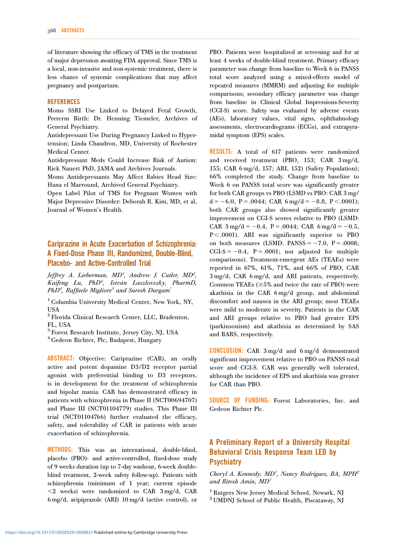of literature showing the efficacy of TMS in the treatment of major depression awaiting FDA approval. Since TMS is a local, non-invasive and non-systemic treatment, there is less chance of systemic complications that may affect pregnancy and postpartum.

#### **REFERENCES**

Moms SSRI Use Linked to Delayed Fetal Growth, Preterm Birth: Dr. Henning Tiemeler, Archives of General Psychiatry.

Antidepressant Use During Pregnancy Linked to Hypertension; Linda Chaudron, MD, University of Rochester Medical Center.

Antidepressant Meds Could Increase Risk of Autism: Rick Nauert PhD, JAMA and Archives Journals.

Moms Antidepressants May Affect Babies Head Size: Hana el Marround, Archived General Psychiatry.

Open Label Pilot of TMS for Pregnant Women with Major Depressive Disorder: Deborah R. Kim, MD, et al, Journal of Women's Health.

## Cariprazine in Acute Exacerbation of Schizophrenia: A Fixed-Dose Phase III, Randomized, Double-Blind, Placebo- and Active-Controlled Trial

Jeffrey A. Lieberman, MD<sup>1</sup>, Andrew J. Cutler, MD<sup>2</sup>, Kaifeng Lu, PhD<sup>3</sup>, István Laszlovszky, PharmD, PhD<sup>4</sup>, Raffaele Migliore $^3$  and Suresh Durgam $^3$ 

<sup>1</sup> Columbia University Medical Center, New York, NY, USA

<sup>2</sup> Florida Clinical Research Center, LLC, Bradenton, FL, USA

<sup>3</sup> Forest Research Institute, Jersey City, NJ, USA

<sup>4</sup> Gedeon Richter, Plc, Budapest, Hungary

**ABSTRACT:** Objective: Cariprazine (CAR), an orally active and potent dopamine D3/D2 receptor partial agonist with preferential binding to D3 receptors, is in development for the treatment of schizophrenia and bipolar mania. CAR has demonstrated efficacy in patients with schizophrenia in Phase II (NCT00694707) and Phase III (NCT01104779) studies. This Phase III trial (NCT01104766) further evaluated the efficacy, safety, and tolerability of CAR in patients with acute exacerbation of schizophrenia.

METHODS: This was an international, double-blind, placebo (PBO)- and active-controlled, fixed-dose study of 9 weeks duration (up to 7-day washout, 6-week doubleblind treatment, 2-week safety follow-up). Patients with schizophrenia (minimum of 1 year; current episode  $<$ 2 weeks) were randomized to CAR 3 mg/d, CAR 6 mg/d, aripiprazole (ARI) 10 mg/d (active control), or

PBO. Patients were hospitalized at screening and for at least 4 weeks of double-blind treatment. Primary efficacy parameter was change from baseline to Week 6 in PANSS total score analyzed using a mixed-effects model of repeated measures (MMRM) and adjusting for multiple comparisons; secondary efficacy parameter was change from baseline in Clinical Global Impressions-Severity (CGI-S) score. Safety was evaluated by adverse events (AEs), laboratory values, vital signs, ophthalmology assessments, electrocardiograms (ECGs), and extrapyramidal symptom (EPS) scales.

RESULTS: A total of 617 patients were randomized and received treatment (PBO, 153; CAR 3 mg/d, 155; CAR 6 mg/d, 157; ARI, 152) (Safety Population); 66% completed the study. Change from baseline to Week 6 on PANSS total score was significantly greater for both CAR groups vs PBO (LSMD vs PBO: CAR 3 mg/  $d = -6.0$ , P = .0044; CAR 6 mg/d = -8.8, P < .0001); both CAR groups also showed significantly greater improvement on CGI-S scores relative to PBO (LSMD: CAR  $3 \text{ mg/d} = -0.4$ , P = .0044; CAR 6 mg/d = -0.5,  $P < .0001$ ). ARI was significantly superior to PBO on both measures (LSMD: PANSS =  $-7.0$ , P =  $.0008$ ;  $CGI-S = -0.4$ ,  $P = .0001$ ; not adjusted for multiple comparisons). Treatment-emergent AEs (TEAEs) were reported in 67%, 61%, 71%, and 66% of PBO, CAR 3 mg/d, CAR 6 mg/d, and ARI patients, respectively. Common TEAEs ( $\geq$ 5% and twice the rate of PBO) were akathisia in the CAR 6 mg/d group, and abdominal discomfort and nausea in the ARI group; most TEAEs were mild to moderate in severity. Patients in the CAR and ARI groups relative to PBO had greater EPS (parkinsonism) and akathisia as determined by SAS and BARS, respectively.

CONCLUSION: CAR 3 mg/d and 6 mg/d demonstrated significant improvement relative to PBO on PANSS total score and CGI-S. CAR was generally well tolerated, although the incidence of EPS and akathisia was greater for CAR than PBO.

SOURCE OF FUNDING: Forest Laboratories, Inc. and Gedeon Richter Plc.

## A Preliminary Report of a University Hospital Behavioral Crisis Response Team LED by **Psychiatry**

Cheryl A. Kennedy, MD<sup>1</sup>, Nancy Rodrigues, BA, MPH<sup>2</sup> and Ritesh Amin,  $MD<sup>1</sup>$ 

<sup>1</sup> Rutgers New Jersey Medical School, Newark, NJ

<sup>2</sup> UMDNJ School of Public Health, Piscataway, NJ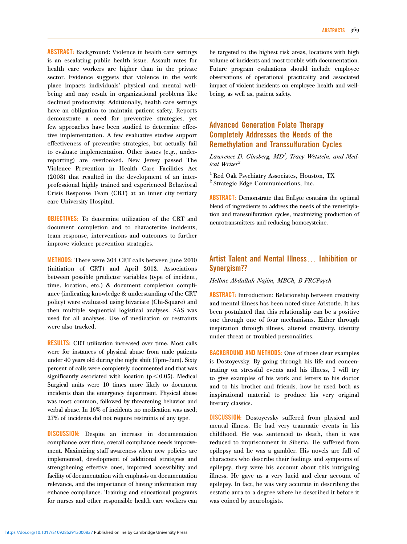ABSTRACT: Background: Violence in health care settings is an escalating public health issue. Assault rates for health care workers are higher than in the private sector. Evidence suggests that violence in the work place impacts individuals' physical and mental wellbeing and may result in organizational problems like declined productivity. Additionally, health care settings have an obligation to maintain patient safety. Reports demonstrate a need for preventive strategies, yet few approaches have been studied to determine effective implementation. A few evaluative studies support effectiveness of preventive strategies, but actually fail to evaluate implementation. Other issues (e.g., underreporting) are overlooked. New Jersey passed The Violence Prevention in Health Care Facilities Act (2008) that resulted in the development of an interprofessional highly trained and experienced Behavioral Crisis Response Team (CRT) at an inner city tertiary care University Hospital.

**OBJECTIVES:** To determine utilization of the CRT and document completion and to characterize incidents, team response, interventions and outcomes to further improve violence prevention strategies.

METHODS: There were 304 CRT calls between June 2010 (initiation of CRT) and April 2012. Associations between possible predictor variables (type of incident, time, location, etc.) & document completion compliance (indicating knowledge & understanding of the CRT policy) were evaluated using bivariate (Chi-Square) and then multiple sequential logistical analyses. SAS was used for all analyses. Use of medication or restraints were also tracked.

RESULTS: CRT utilization increased over time. Most calls were for instances of physical abuse from male patients under 40 years old during the night shift (7pm–7am). Sixty percent of calls were completely documented and that was significantly associated with location ( $p < 0.05$ ). Medical Surgical units were 10 times more likely to document incidents than the emergency department. Physical abuse was most common, followed by threatening behavior and verbal abuse. In 16% of incidents no medication was used; 27% of incidents did not require restraints of any type.

DISCUSSION: Despite an increase in documentation compliance over time, overall compliance needs improvement. Maximizing staff awareness when new policies are implemented, development of additional strategies and strengthening effective ones, improved accessibility and facility of documentation with emphasis on documentation relevance, and the importance of having information may enhance compliance. Training and educational programs for nurses and other responsible health care workers can

be targeted to the highest risk areas, locations with high volume of incidents and most trouble with documentation. Future program evaluations should include employee observations of operational practicality and associated impact of violent incidents on employee health and wellbeing, as well as, patient safety.

## Advanced Generation Folate Therapy Completely Addresses the Needs of the Remethylation and Transsulfuration Cycles

Lawrence D. Ginsberg, MD<sup>1</sup>, Tracy Wetstein, and Medical Writer<sup>2</sup>

<sup>1</sup> Red Oak Psychiatry Associates, Houston, TX <sup>2</sup> Strategic Edge Communications, Inc.

ABSTRACT: Demonstrate that EnLyte contains the optimal blend of ingredients to address the needs of the remethylation and transsulfuration cycles, maximizing production of neurotransmitters and reducing homocysteine.

### Artist Talent and Mental Illness... Inhibition or Synergism??

Hellme Abdullah Najim, MBCh, B FRCPsych

ABSTRACT: Introduction: Relationship between creativity and mental illness has been noted since Aristotle. It has been postulated that this relationship can be a positive one through one of four mechanisms. Either through inspiration through illness, altered creativity, identity under threat or troubled personalities.

BACKGROUND AND METHODS: One of those clear examples is Dostoyevsky. By going through his life and concentrating on stressful events and his illness, I will try to give examples of his work and letters to his doctor and to his brother and friends, how he used both as inspirational material to produce his very original literary classics.

DISCUSSION: Dostoyevsky suffered from physical and mental illness. He had very traumatic events in his childhood. He was sentenced to death, then it was reduced to imprisonment in Siberia. He suffered from epilepsy and he was a gambler. His novels are full of characters who describe their feelings and symptoms of epilepsy, they were his account about this intriguing illness. He gave us a very lucid and clear account of epilepsy. In fact, he was very accurate in describing the ecstatic aura to a degree where he described it before it was coined by neurologists.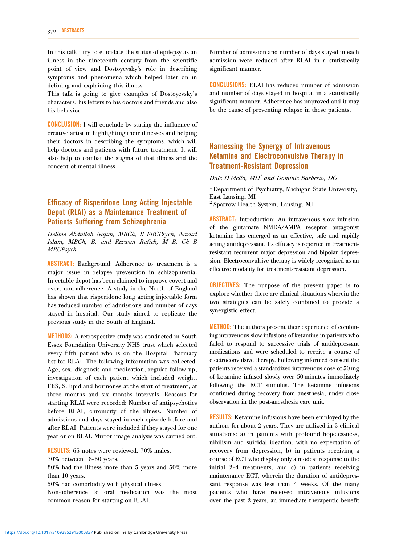In this talk I try to elucidate the status of epilepsy as an illness in the nineteenth century from the scientific point of view and Dostoyevsky's role in describing symptoms and phenomena which helped later on in defining and explaining this illness.

This talk is going to give examples of Dostoyevsky's characters, his letters to his doctors and friends and also his behavior.

CONCLUSION: I will conclude by stating the influence of creative artist in highlighting their illnesses and helping their doctors in describing the symptoms, which will help doctors and patients with future treatment. It will also help to combat the stigma of that illness and the concept of mental illness.

## Efficacy of Risperidone Long Acting Injectable Depot (RLAI) as a Maintenance Treatment of Patients Suffering from Schizophrenia

Hellme Abdullah Najim, MBCh, B FRCPsych, Nazurl Islam, MBCh, B, and Rizwan Rafick, M B, Ch B MRCPsych

**ABSTRACT:** Background: Adherence to treatment is a major issue in relapse prevention in schizophrenia. Injectable depot has been claimed to improve covert and overt non-adherence. A study in the North of England has shown that risperidone long acting injectable form has reduced number of admissions and number of days stayed in hospital. Our study aimed to replicate the previous study in the South of England.

METHODS: A retrospective study was conducted in South Essex Foundation University NHS trust which selected every fifth patient who is on the Hospital Pharmacy list for RLAI. The following information was collected. Age, sex, diagnosis and medication, regular follow up, investigation of each patient which included weight, FBS, S. lipid and hormones at the start of treatment, at three months and six months intervals. Reasons for starting RLAI were recorded: Number of antipsychotics before RLAI, chronicity of the illness. Number of admissions and days stayed in each episode before and after RLAI. Patients were included if they stayed for one year or on RLAI. Mirror image analysis was carried out.

RESULTS: 65 notes were reviewed. 70% males.

70% between 18–50 years.

80% had the illness more than 5 years and 50% more than 10 years.

50% had comorbidity with physical illness.

Non-adherence to oral medication was the most common reason for starting on RLAI.

Number of admission and number of days stayed in each admission were reduced after RLAI in a statistically significant manner.

CONCLUSIONS: RLAI has reduced number of admission and number of days stayed in hospital in a statistically significant manner. Adherence has improved and it may be the cause of preventing relapse in these patients.

### Harnessing the Synergy of Intravenous Ketamine and Electroconvulsive Therapy in Treatment-Resistant Depression

Dale D'Mello, MD<sup>1</sup> and Dominic Barberio, DO

<sup>1</sup> Department of Psychiatry, Michigan State University, East Lansing, MI <sup>2</sup> Sparrow Health System, Lansing, MI

ABSTRACT: Introduction: An intravenous slow infusion of the glutamate NMDA/AMPA receptor antagonist ketamine has emerged as an effective, safe and rapidly acting antidepressant. Its efficacy is reported in treatmentresistant recurrent major depression and bipolar depression. Electroconvulsive therapy is widely recognized as an effective modality for treatment-resistant depression.

**OBJECTIVES:** The purpose of the present paper is to explore whether there are clinical situations wherein the two strategies can be safely combined to provide a synergistic effect.

METHOD: The authors present their experience of combining intravenous slow infusions of ketamine in patients who failed to respond to successive trials of antidepressant medications and were scheduled to receive a course of electroconvulsive therapy. Following informed consent the patients received a standardized intravenous dose of 50 mg of ketamine infused slowly over 50 minutes immediately following the ECT stimulus. The ketamine infusions continued during recovery from anesthesia, under close observation in the post-anesthesia care unit.

RESULTS: Ketamine infusions have been employed by the authors for about 2 years. They are utilized in 3 clinical situations: a) in patients with profound hopelessness, nihilism and suicidal ideation, with no expectation of recovery from depression, b) in patients receiving a course of ECT who display only a modest response to the initial 2–4 treatments, and c) in patients receiving maintenance ECT, wherein the duration of antidepressant response was less than 4 weeks. Of the many patients who have received intravenous infusions over the past 2 years, an immediate therapeutic benefit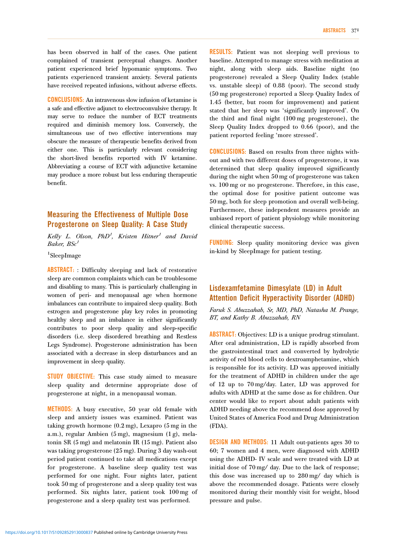has been observed in half of the cases. One patient complained of transient perceptual changes. Another patient experienced brief hypomanic symptoms. Two patients experienced transient anxiety. Several patients have received repeated infusions, without adverse effects.

CONCLUSIONS: An intravenous slow infusion of ketamine is a safe and effective adjunct to electroconvulsive therapy. It may serve to reduce the number of ECT treatments required and diminish memory loss. Conversely, the simultaneous use of two effective interventions may obscure the measure of therapeutic benefits derived from either one. This is particularly relevant considering the short-lived benefits reported with IV ketamine. Abbreviating a course of ECT with adjunctive ketamine may produce a more robust but less enduring therapeutic benefit.

### Measuring the Effectiveness of Multiple Dose Progesterone on Sleep Quality: A Case Study

Kelly L. Olson, PhD<sup>1</sup>, Kristen Hitner<sup>1</sup> and David Baker, BSc<sup>1</sup>

1 SleepImage

**ABSTRACT:** : Difficulty sleeping and lack of restorative sleep are common complaints which can be troublesome and disabling to many. This is particularly challenging in women of peri- and menopausal age when hormone imbalances can contribute to impaired sleep quality. Both estrogen and progesterone play key roles in promoting healthy sleep and an imbalance in either significantly contributes to poor sleep quality and sleep-specific disorders (i.e. sleep disordered breathing and Restless Legs Syndrome). Progesterone administration has been associated with a decrease in sleep disturbances and an improvement in sleep quality.

**STUDY OBJECTIVE:** This case study aimed to measure sleep quality and determine appropriate dose of progesterone at night, in a menopausal woman.

**METHODS:** A busy executive, 50 year old female with sleep and anxiety issues was examined. Patient was taking growth hormone (0.2 mg), Lexapro (5 mg in the a.m.), regular Ambien (5 mg), magnesium (1 g), melatonin SR (5 mg) and melatonin IR (15 mg). Patient also was taking progesterone (25 mg). During 3 day wash-out period patient continued to take all medications except for progesterone. A baseline sleep quality test was performed for one night. Four nights later, patient took 50 mg of progesterone and a sleep quality test was performed. Six nights later, patient took 100 mg of progesterone and a sleep quality test was performed.

RESULTS: Patient was not sleeping well previous to baseline. Attempted to manage stress with meditation at night, along with sleep aids. Baseline night (no progesterone) revealed a Sleep Quality Index (stable vs. unstable sleep) of 0.88 (poor). The second study (50 mg progesterone) reported a Sleep Quality Index of 1.45 (better, but room for improvement) and patient stated that her sleep was 'significantly improved'. On the third and final night (100 mg progesterone), the Sleep Quality Index dropped to 0.66 (poor), and the patient reported feeling 'more stressed'.

CONCLUSIONS: Based on results from three nights without and with two different doses of progesterone, it was determined that sleep quality improved significantly during the night when 50 mg of progesterone was taken vs. 100 mg or no progesterone. Therefore, in this case, the optimal dose for positive patient outcome was 50 mg, both for sleep promotion and overall well-being. Furthermore, these independent measures provide an unbiased report of patient physiology while monitoring clinical therapeutic success.

FUNDING: Sleep quality monitoring device was given in-kind by SleepImage for patient testing.

### Lisdexamfetamine Dimesylate (LD) in Adult Attention Deficit Hyperactivity Disorder (ADHD)

Faruk S. Abuzzahab, Sr, MD, PhD, Natasha M. Prange, BT, and Kathy B. Abuzzahab, RN

ABSTRACT: Objectives: LD is a unique prodrug stimulant. After oral administration, LD is rapidly absorbed from the gastrointestinal tract and converted by hydrolytic activity of red blood cells to dextroamphetamine, which is responsible for its activity. LD was approved initially for the treatment of ADHD in children under the age of 12 up to 70 mg/day. Later, LD was approved for adults with ADHD at the same dose as for children. Our center would like to report about adult patients with ADHD needing above the recommend dose approved by United States of America Food and Drug Administration (FDA).

DESIGN AND METHODS: 11 Adult out-patients ages 30 to 60; 7 women and 4 men, were diagnosed with ADHD using the ADHD- IV scale and were treated with LD at initial dose of 70 mg/ day. Due to the lack of response; this dose was increased up to 280 mg/ day which is above the recommended dosage. Patients were closely monitored during their monthly visit for weight, blood pressure and pulse.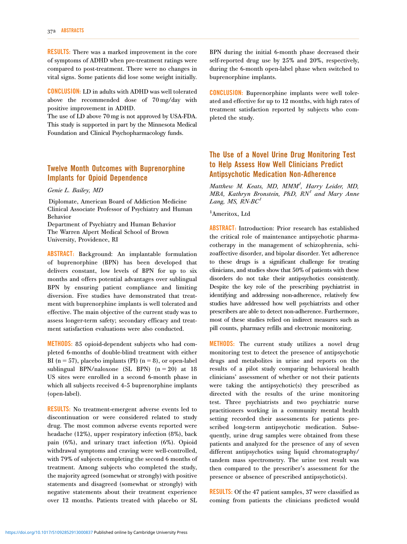**RESULTS:** There was a marked improvement in the core of symptoms of ADHD when pre-treatment ratings were compared to post-treatment. There were no changes in vital signs. Some patients did lose some weight initially.

CONCLUSION: LD in adults with ADHD was well tolerated above the recommended dose of 70 mg/day with positive improvement in ADHD.

The use of LD above 70 mg is not approved by USA-FDA. This study is supported in part by the Minnesota Medical Foundation and Clinical Psychopharmacology funds.

### Twelve Month Outcomes with Buprenorphine Implants for Opioid Dependence

#### Genie L. Bailey, MD

Diplomate, American Board of Addiction Medicine Clinical Associate Professor of Psychiatry and Human Behavior

Department of Psychiatry and Human Behavior The Warren Alpert Medical School of Brown University, Providence, RI

ABSTRACT: Background: An implantable formulation of buprenorphine (BPN) has been developed that delivers constant, low levels of BPN for up to six months and offers potential advantages over sublingual BPN by ensuring patient compliance and limiting diversion. Five studies have demonstrated that treatment with buprenorphine implants is well tolerated and effective. The main objective of the current study was to assess longer-term safety; secondary efficacy and treatment satisfaction evaluations were also conducted.

METHODS: 85 opioid-dependent subjects who had completed 6-months of double-blind treatment with either BI ( $n = 57$ ), placebo implants (PI) ( $n = 8$ ), or open-label sublingual BPN/naloxone (SL BPN)  $(n = 20)$  at 18 US sites were enrolled in a second 6-month phase in which all subjects received 4–5 buprenorphine implants (open-label).

**RESULTS:** No treatment-emergent adverse events led to discontinuation or were considered related to study drug. The most common adverse events reported were headache (12%), upper respiratory infection (8%), back pain (6%), and urinary tract infection (6%). Opioid withdrawal symptoms and craving were well-controlled, with 79% of subjects completing the second 6 months of treatment. Among subjects who completed the study, the majority agreed (somewhat or strongly) with positive statements and disagreed (somewhat or strongly) with negative statements about their treatment experience over 12 months. Patients treated with placebo or SL

BPN during the initial 6-month phase decreased their self-reported drug use by 25% and 20%, respectively, during the 6-month open-label phase when switched to buprenorphine implants.

CONCLUSION: Buprenorphine implants were well tolerated and effective for up to 12 months, with high rates of treatment satisfaction reported by subjects who completed the study.

## The Use of a Novel Urine Drug Monitoring Test to Help Assess How Well Clinicians Predict Antipsychotic Medication Non-Adherence

Matthew M. Keats, MD, MMM<sup>1</sup>, Harry Leider, MD, MBA, Kathryn Bronstein, PhD,  $RN<sup>1</sup>$  and Mary Anne Lang, MS,  $RN$ - $BC<sup>1</sup>$ 

1 Ameritox, Ltd

ABSTRACT: Introduction: Prior research has established the critical role of maintenance antipsychotic pharmacotherapy in the management of schizophrenia, schizoaffective disorder, and bipolar disorder. Yet adherence to these drugs is a significant challenge for treating clinicians, and studies show that 50% of patients with these disorders do not take their antipsychotics consistently. Despite the key role of the prescribing psychiatrist in identifying and addressing non-adherence, relatively few studies have addressed how well psychiatrists and other prescribers are able to detect non-adherence. Furthermore, most of these studies relied on indirect measures such as pill counts, pharmacy refills and electronic monitoring.

**METHODS:** The current study utilizes a novel drug monitoring test to detect the presence of antipsychotic drugs and metabolites in urine and reports on the results of a pilot study comparing behavioral health clinicians' assessment of whether or not their patients were taking the antipsychotic(s) they prescribed as directed with the results of the urine monitoring test. Three psychiatrists and two psychiatric nurse practitioners working in a community mental health setting recorded their assessments for patients prescribed long-term antipsychotic medication. Subsequently, urine drug samples were obtained from these patients and analyzed for the presence of any of seven different antipsychotics using liquid chromatography/ tandem mass spectrometry. The urine test result was then compared to the prescriber's assessment for the presence or absence of prescribed antipsychotic(s).

RESULTS: Of the 47 patient samples, 37 were classified as coming from patients the clinicians predicted would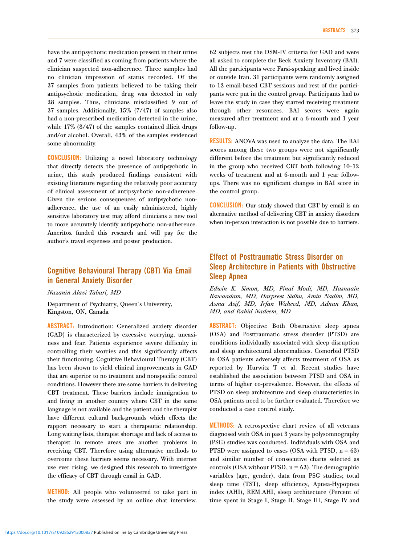have the antipsychotic medication present in their urine and 7 were classified as coming from patients where the clinician suspected non-adherence. Three samples had no clinician impression of status recorded. Of the 37 samples from patients believed to be taking their antipsychotic medication, drug was detected in only 28 samples. Thus, clinicians misclassified 9 out of 37 samples. Additionally, 15% (7/47) of samples also had a non-prescribed medication detected in the urine, while 17% (8/47) of the samples contained illicit drugs and/or alcohol. Overall, 43% of the samples evidenced some abnormality.

CONCLUSION: Utilizing a novel laboratory technology that directly detects the presence of antipsychotic in urine, this study produced findings consistent with existing literature regarding the relatively poor accuracy of clinical assessment of antipsychotic non-adherence. Given the serious consequences of antipsychotic nonadherence, the use of an easily administered, highly sensitive laboratory test may afford clinicians a new tool to more accurately identify antipsychotic non-adherence. Ameritox funded this research and will pay for the author's travel expenses and poster production.

## Cognitive Behavioural Therapy (CBT) Via Email in General Anxiety Disorder

Nazanin Alavi Tabari, MD

Department of Psychiatry, Queen's University, Kingston, ON, Canada

ABSTRACT: Introduction: Generalized anxiety disorder (GAD) is characterized by excessive worrying, uneasiness and fear. Patients experience severe difficulty in controlling their worries and this significantly affects their functioning. Cognitive Behavioural Therapy (CBT) has been shown to yield clinical improvements in GAD that are superior to no treatment and nonspecific control conditions. However there are some barriers in delivering CBT treatment. These barriers include immigration to and living in another country where CBT in the same language is not available and the patient and the therapist have different cultural back-grounds which effects the rapport necessary to start a therapeutic relationship. Long waiting lists, therapist shortage and lack of access to therapist in remote areas are another problems in receiving CBT. Therefore using alternative methods to overcome these barriers seems necessary. With internet use ever rising, we designed this research to investigate the efficacy of CBT through email in GAD.

**METHOD:** All people who volunteered to take part in the study were assessed by an online chat interview.

62 subjects met the DSM-IV criteria for GAD and were all asked to complete the Beck Anxiety Inventory (BAI). All the participants were Farsi-speaking and lived inside or outside Iran. 31 participants were randomly assigned to 12 email-based CBT sessions and rest of the participants were put in the control group. Participants had to leave the study in case they started receiving treatment through other resources. BAI scores were again measured after treatment and at a 6-month and 1 year follow-up.

RESULTS: ANOVA was used to analyze the data. The BAI scores among these two groups were not significantly different before the treatment but significantly reduced in the group who received CBT both following 10–12 weeks of treatment and at 6-month and 1 year followups. There was no significant changes in BAI score in the control group.

**CONCLUSION:** Our study showed that CBT by email is an alternative method of delivering CBT in anxiety disorders when in-person interaction is not possible due to barriers.

## Effect of Posttraumatic Stress Disorder on Sleep Architecture in Patients with Obstructive Sleep Apnea

Edwin K. Simon, MD, Pinal Modi, MD, Hasnaain Bawaadam, MD, Harpreet Sidhu, Amin Nadim, MD, Asma Asif, MD, Irfan Waheed, MD, Adnan Khan, MD, and Rahid Nadeem, MD

ABSTRACT: Objective: Both Obstructive sleep apnea (OSA) and Posttraumatic stress disorder (PTSD) are conditions individually associated with sleep disruption and sleep architectural abnormalities. Comorbid PTSD in OSA patients adversely affects treatment of OSA as reported by Hurwitz T et al. Recent studies have established the association between PTSD and OSA in terms of higher co-prevalence. However, the effects of PTSD on sleep architecture and sleep characteristics in OSA patients need to be further evaluated. Therefore we conducted a case control study.

METHODS: A retrospective chart review of all veterans diagnosed with OSA in past 3 years by polysomnography (PSG) studies was conducted. Individuals with OSA and PTSD were assigned to cases (OSA with PTSD,  $n = 63$ ) and similar number of consecutive charts selected as controls (OSA without PTSD,  $n = 63$ ). The demographic variables (age, gender), data from PSG studies; total sleep time (TST), sleep efficiency, Apnea-Hypopnea index (AHI), REM.AHI, sleep architecture (Percent of time spent in Stage I, Stage II, Stage III, Stage IV and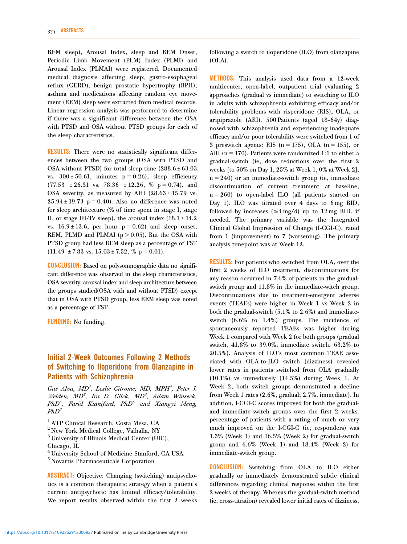REM sleep), Arousal Index, sleep and REM Onset, Periodic Limb Movement (PLM) Index (PLMI) and Arousal Index (PLMAI) were registered. Documented medical diagnosis affecting sleep; gastro-esophageal reflux (GERD), benign prostatic hypertrophy (BPH), asthma and medications affecting random eye movement (REM) sleep were extracted from medical records. Linear regression analysis was performed to determine if there was a significant difference between the OSA with PTSD and OSA without PTSD groups for each of the sleep characteristics.

RESULTS: There were no statistically significant differences between the two groups (OSA with PTSD and OSA without PTSD) for total sleep time  $(288.6 \pm 63.03)$ vs.  $300 \pm 50.61$ , minutes  $p = 0.26$ ), sleep efficiency  $(77.53 \pm 26.31 \text{ vs. } 78.36 \pm 12.26, \% \text{ p} = 0.74)$ , and OSA severity, as measured by AHI  $(28.63 \pm 15.79 \text{ vs.}$  $25.94 \pm 19.73$  p = 0.40). Also no difference was noted for sleep architecture (% of time spent in stage I, stage II, or stage III/IV sleep), the arousal index  $(18.1 \pm 14.2)$ vs.  $16.9 \pm 13.6$ , per hour  $p = 0.62$ ) and sleep onset, REM, PLMD and PLMAI ( $p > 0.05$ ). But the OSA with PTSD group had less REM sleep as a percentage of TST  $(11.49 \pm 7.83 \text{ vs. } 15.03 \pm 7.52, \% \text{ p} = 0.01).$ 

CONCLUSION: Based on polysomnographic data no significant difference was observed in the sleep characteristics, OSA severity, arousal index and sleep architecture between the groups studied(OSA with and without PTSD) except that in OSA with PTSD group, less REM sleep was noted as a percentage of TST.

FUNDING: No funding.

## Initial 2-Week Outcomes Following 2 Methods of Switching to Iloperidone from Olanzapine in Patients with Schizophrenia

Gus Alva, MD<sup>1</sup>, Leslie Citrome, MD, MPH<sup>2</sup>, Peter J. Weiden, MD<sup>3</sup>, Ira D. Glick, MD<sup>4</sup>, Adam Winseck, PhD<sup>5</sup>, Farid Kianifard, PhD<sup>5</sup> and Xiangyi Meng,  $PhD<sup>5</sup>$ 

<sup>2</sup> New York Medical College, Valhalla, NY

<sup>3</sup> University of Illinois Medical Center (UIC),

Chicago, IL

<sup>4</sup> University School of Medicine Stanford, CA USA

<sup>5</sup> Novartis Pharmaceuticals Corporation

ABSTRACT: Objective: Changing (switching) antipsychotics is a common therapeutic strategy when a patient's current antipsychotic has limited efficacy/tolerability. We report results observed within the first 2 weeks following a switch to iloperidone (ILO) from olanzapine (OLA).

METHODS: This analysis used data from a 12-week multicenter, open-label, outpatient trial evaluating 2 approaches (gradual vs immediate) to switching to ILO in adults with schizophrenia exhibiting efficacy and/or tolerability problems with risperidone (RIS), OLA, or aripiprazole (ARI). 500 Patients (aged 18–64y) diagnosed with schizophrenia and experiencing inadequate efficacy and/or poor tolerability were switched from 1 of 3 preswitch agents: RIS ( $n = 175$ ), OLA ( $n = 155$ ), or ARI ( $n = 170$ ). Patients were randomized 1:1 to either a gradual-switch (ie, dose reductions over the first 2 weeks [to 50% on Day 1, 25% at Week 1, 0% at Week 2];  $n = 240$ ) or an immediate-switch group (ie, immediate discontinuation of current treatment at baseline;  $n = 260$ ) to open-label ILO (all patients started on Day 1). ILO was titrated over 4 days to 6 mg BID, followed by increases  $(\leq 4 \text{ mg/d})$  up to  $12 \text{ mg BID}$ , if needed. The primary variable was the Integrated Clinical Global Impression of Change (I-CGI-C), rated from 1 (improvement) to 7 (worsening). The primary analysis timepoint was at Week 12.

RESULTS: For patients who switched from OLA, over the first 2 weeks of ILO treatment, discontinuations for any reason occurred in 7.6% of patients in the gradualswitch group and 11.8% in the immediate-witch group. Discontinuations due to treatment-emergent adverse events (TEAEs) were higher in Week 1 vs Week 2 in both the gradual-switch (5.1% to 2.6%) and immediateswitch (6.6% to 1.4%) groups. The incidence of spontaneously reported TEAEs was higher during Week 1 compared with Week 2 for both groups (gradual switch, 41.8% to 39.0%; immediate switch, 63.2% to 20.5%). Analysis of ILO's most common TEAE associated with OLA-to-ILO switch (dizziness) revealed lower rates in patients switched from OLA gradually (10.1%) vs immediately (14.5%) during Week 1. At Week 2, both switch groups demonstrated a decline from Week 1 rates (2.6%, gradual; 2.7%, immediate). In addition, I-CGI-C scores improved for both the gradualand immediate-switch groups over the first 2 weeks: percentage of patients with a rating of much or very much improved on the I-CGI-C (ie, responders) was 1.3% (Week 1) and 16.5% (Week 2) for gradual-switch group and 6.6% (Week 1) and 18.4% (Week 2) for immediate-switch group.

CONCLUSION: Switching from OLA to ILO either gradually or immediately demonstrated subtle clinical differences regarding clinical response within the first 2 weeks of therapy. Whereas the gradual-switch method (ie, cross-titration) revealed lower initial rates of dizziness,

<sup>&</sup>lt;sup>1</sup> ATP Clinical Research, Costa Mesa, CA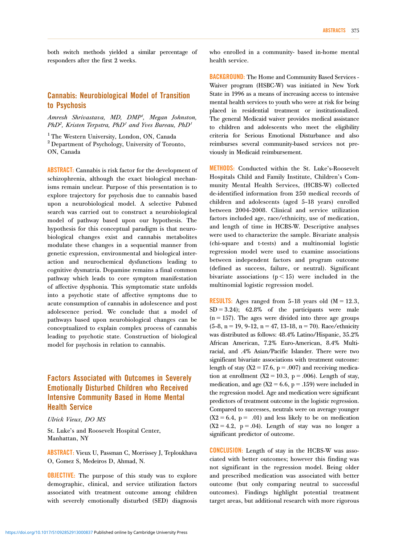both switch methods yielded a similar percentage of responders after the first 2 weeks.

## Cannabis: Neurobiological Model of Transition to Psychosis

Amresh Shrivastava, MD, DMP<sup>1</sup> , Megan Johnston, PhD<sup>2</sup>, Kristen Terpstra, PhD<sup>1</sup> and Yves Bureau, PhD<sup>1</sup>

<sup>1</sup> The Western University, London, ON, Canada <sup>2</sup> Department of Psychology, University of Toronto, ON, Canada

**ABSTRACT:** Cannabis is risk factor for the development of schizophrenia, although the exact biological mechanisms remain unclear. Purpose of this presentation is to explore trajectory for psychosis due to cannabis based upon a neurobiological model. A selective Pubmed search was carried out to construct a neurobiological model of pathway based upon our hypothesis. The hypothesis for this conceptual paradigm is that neurobiological changes exist and cannabis metabolites modulate these changes in a sequential manner from genetic expression, environmental and biological interaction and neurochemical dysfunctions leading to cognitive dysmatria. Dopamine remains a final common pathway which leads to core symptom manifestation of affective dysphonia. This symptomatic state unfolds into a psychotic state of affective symptoms due to acute consumption of cannabis in adolescence and post adolescence period. We conclude that a model of pathways based upon neurobiological changes can be conceptualized to explain complex process of cannabis leading to psychotic state. Construction of biological model for psychosis in relation to cannabis.

## Factors Associated with Outcomes in Severely Emotionally Disturbed Children who Received Intensive Community Based in Home Mental Health Service

Ulrick Vieux, DO MS

St. Luke's and Roosevelt Hospital Center, Manhattan, NY

ABSTRACT: Vieux U, Passman C, Morrissey J, Teploukhava O, Gomez S, Medeiros D, Ahmad, N.

**OBJECTIVE:** The purpose of this study was to explore demographic, clinical, and service utilization factors associated with treatment outcome among children with severely emotionally disturbed (SED) diagnosis

who enrolled in a community- based in-home mental health service.

BACKGROUND: The Home and Community Based Services - Waiver program (HSBC-W) was initiated in New York State in 1996 as a means of increasing access to intensive mental health services to youth who were at risk for being placed in residential treatment or institutionalized. The general Medicaid waiver provides medical assistance to children and adolescents who meet the eligibility criteria for Serious Emotional Disturbance and also reimburses several community-based services not previously in Medicaid reimbursement.

METHODS: Conducted within the St. Luke's-Roosevelt Hospitals Child and Family Institute, Children's Community Mental Health Services, (HCBS-W) collected de-identified information from 250 medical records of children and adolescents (aged 5–18 years) enrolled between 2004–2008. Clinical and service utilization factors included age, race/ethnicity, use of medication, and length of time in HCBS-W. Descriptive analyses were used to characterize the sample. Bivariate analysis (chi-square and t-tests) and a multinomial logistic regression model were used to examine associations between independent factors and program outcome (defined as success, failure, or neutral). Significant bivariate associations  $(p < 15)$  were included in the multinomial logistic regression model.

**RESULTS:** Ages ranged from 5-18 years old  $(M = 12.3$ ,  $SD = 3.24$ ; 62.8% of the participants were male  $(n = 157)$ . The ages were divided into three age groups  $(5-8, n = 19, 9-12, n = 47, 13-18, n = 70)$ . Race/ethnicity was distributed as follows: 48.4% Latino/Hispanic, 35.2% African American, 7.2% Euro-American, 8.4% Multiracial, and .4% Asian/Pacific Islander. There were two significant bivariate associations with treatment outcome: length of stay  $(X2 = 17.6, p = .007)$  and receiving medication at enrollment  $(X2 = 10.3, p = .006)$ . Length of stay, medication, and age  $(X2 = 6.6, p = .159)$  were included in the regression model. Age and medication were significant predictors of treatment outcome in the logistic regression. Compared to successes, neutrals were on average younger  $(X2 = 6.4, p = .01)$  and less likely to be on medication  $(X2 = 4.2, p = .04)$ . Length of stay was no longer a significant predictor of outcome.

CONCLUSION: Length of stay in the HCBS-W was associated with better outcomes; however this finding was not significant in the regression model. Being older and prescribed medication was associated with better outcome (but only comparing neutral to successful outcomes). Findings highlight potential treatment target areas, but additional research with more rigorous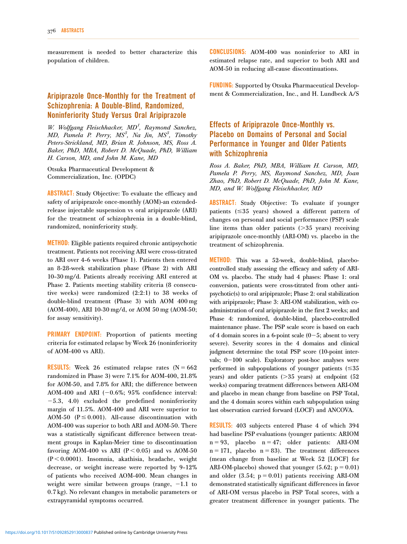measurement is needed to better characterize this population of children.

### Aripiprazole Once-Monthly for the Treatment of Schizophrenia: A Double-Blind, Randomized, Noninferiority Study Versus Oral Aripiprazole

W. Wolfgang Fleischhacker, MD<sup>1</sup>, Raymond Sanchez, MD, Pamela P. Perry, MS $^3$ , Na Jin, MS $^3$ , Timothy Peters-Strickland, MD, Brian R. Johnson, MS, Ross A. Baker, PhD, MBA, Robert D. McQuade, PhD, William H. Carson, MD, and John M. Kane, MD

Otsuka Pharmaceutical Development & Commercialization, Inc. (OPDC)

**ABSTRACT:** Study Objective: To evaluate the efficacy and safety of aripiprazole once-monthly (AOM)-an extendedrelease injectable suspension vs oral aripiprazole (ARI) for the treatment of schizophrenia in a double-blind, randomized, noninferiority study.

METHOD: Eligible patients required chronic antipsychotic treatment. Patients not receiving ARI were cross-titrated to ARI over 4–6 weeks (Phase 1). Patients then entered an 8-28-week stabilization phase (Phase 2) with ARI 10–30 mg/d. Patients already receiving ARI entered at Phase 2. Patients meeting stability criteria (8 consecutive weeks) were randomized (2:2:1) to 38 weeks of double-blind treatment (Phase 3) with AOM 400 mg (AOM-400), ARI 10-30 mg/d, or AOM 50 mg (AOM-50; for assay sensitivity).

PRIMARY ENDPOINT: Proportion of patients meeting criteria for estimated relapse by Week 26 (noninferiority of AOM-400 vs ARI).

**RESULTS:** Week 26 estimated relapse rates  $(N = 662$ randomized in Phase 3) were 7.1% for AOM-400, 21.8% for AOM-50, and 7.8% for ARI; the difference between AOM-400 and ARI  $(-0.6\%; 95\%$  confidence interval:  $-5.3$ ,  $4.0$ ) excluded the predefined noninferiority margin of 11.5%. AOM-400 and ARI were superior to AOM-50 ( $P \le 0.001$ ). All-cause discontinuation with AOM-400 was superior to both ARI and AOM-50. There was a statistically significant difference between treatment groups in Kaplan-Meier time to discontinuation favoring AOM-400 vs ARI ( $P < 0.05$ ) and vs AOM-50  $(P < 0.0001)$ . Insomnia, akathisia, headache, weight decrease, or weight increase were reported by 9–12% of patients who received AOM-400. Mean changes in weight were similar between groups (range,  $-1.1$  to 0.7 kg). No relevant changes in metabolic parameters or extrapyramidal symptoms occurred.

CONCLUSIONS: AOM-400 was noninferior to ARI in estimated relapse rate, and superior to both ARI and AOM-50 in reducing all-cause discontinuations.

FUNDING: Supported by Otsuka Pharmaceutical Development & Commercialization, Inc., and H. Lundbeck A/S

## Effects of Aripiprazole Once-Monthly vs. Placebo on Domains of Personal and Social Performance in Younger and Older Patients with Schizophrenia

Ross A. Baker, PhD, MBA, William H. Carson, MD, Pamela P. Perry, MS, Raymond Sanchez, MD, Joan Zhao, PhD, Robert D. McQuade, PhD, John M. Kane, MD, and W. Wolfgang Fleischhacker, MD

ABSTRACT: Study Objective: To evaluate if younger patients  $(\leq 35$  years) showed a different pattern of changes on personal and social performance (PSP) scale line items than older patients  $(>\,35$  years) receiving aripiprazole once-monthly (ARI-OM) vs. placebo in the treatment of schizophrenia.

METHOD: This was a 52-week, double-blind, placebocontrolled study assessing the efficacy and safety of ARI-OM vs. placebo. The study had 4 phases: Phase 1: oral conversion, patients were cross-titrated from other antipsychotic(s) to oral aripiprazole; Phase 2: oral stabilization with aripiprazole; Phase 3: ARI-OM stabilization, with coadministration of oral aripiprazole in the first 2 weeks; and Phase 4: randomized, double-blind, placebo-controlled maintenance phase. The PSP scale score is based on each of 4 domain scores in a 6-point scale  $(0-5)$ ; absent to very severe). Severity scores in the 4 domains and clinical judgment determine the total PSP score (10-point intervals;  $0-100$  scale). Exploratory post-hoc analyses were performed in subpopulations of younger patients  $(\leq 35)$ years) and older patients  $(>\,35$  years) at endpoint  $(52)$ weeks) comparing treatment differences between ARI-OM and placebo in mean change from baseline on PSP Total, and the 4 domain scores within each subpopulation using last observation carried forward (LOCF) and ANCOVA.

RESULTS: 403 subjects entered Phase 4 of which 394 had baseline PSP evaluations (younger patients: ARIOM  $n = 93$ , placebo  $n = 47$ ; older patients: ARI-OM  $n = 171$ , placebo  $n = 83$ ). The treatment differences (mean change from baseline at Week 52 [LOCF] for ARI-OM-placebo) showed that younger  $(5.62; p = 0.01)$ and older  $(3.54; p = 0.01)$  patients receiving ARI-OM demonstrated statistically significant differences in favor of ARI-OM versus placebo in PSP Total scores, with a greater treatment difference in younger patients. The